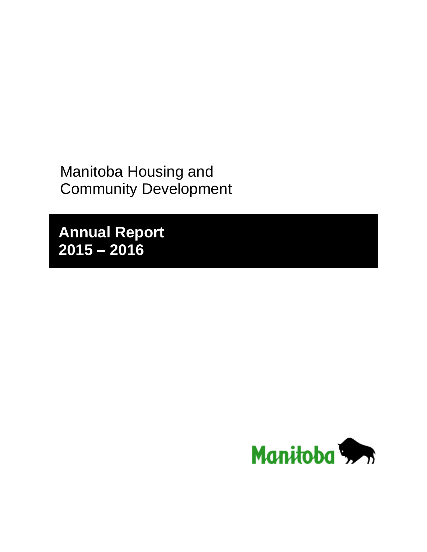Manitoba Housing and Community Development

 **Annual Report 2015 – 2016**

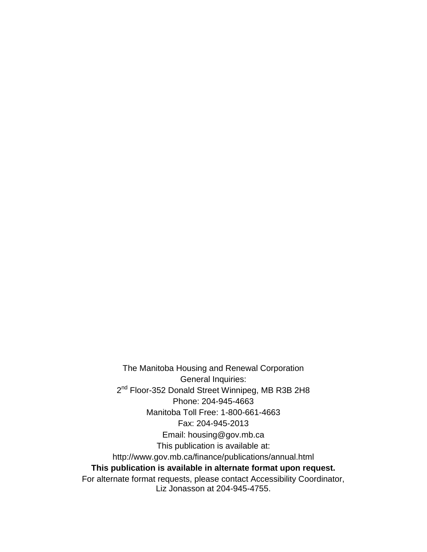The Manitoba Housing and Renewal Corporation General Inquiries: 2<sup>nd</sup> Floor-352 Donald Street Winnipeg, MB R3B 2H8 Phone: 204-945-4663 Manitoba Toll Free: 1-800-661-4663 Fax: 204-945-2013 Email: housing@gov.mb.ca This publication is available at: http://www.gov.mb.ca/finance/publications/annual.html **This publication is available in alternate format upon request.** For alternate format requests, please contact Accessibility Coordinator, Liz Jonasson at 204-945-4755.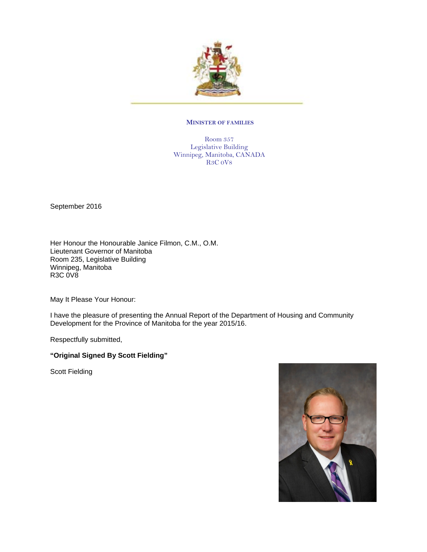

#### **MINISTER OF FAMILIES**

Room 357 Legislative Building Winnipeg, Manitoba, CANADA R3C 0V8

September 2016

Her Honour the Honourable Janice Filmon, C.M., O.M. Lieutenant Governor of Manitoba Room 235, Legislative Building Winnipeg, Manitoba R3C 0V8

May It Please Your Honour:

I have the pleasure of presenting the Annual Report of the Department of Housing and Community Development for the Province of Manitoba for the year 2015/16.

Respectfully submitted,

**"Original Signed By Scott Fielding"**

Scott Fielding

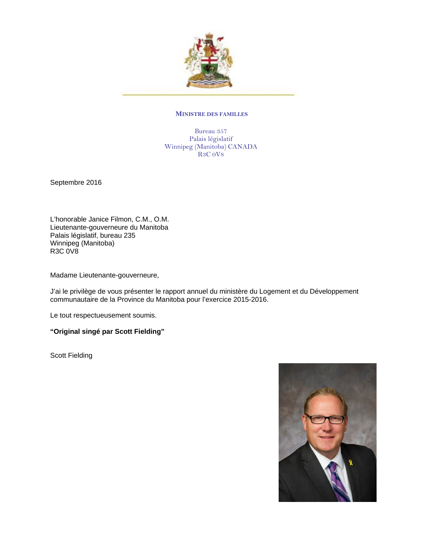

#### **MINISTRE DES FAMILLES**

Bureau 357 Palais législatif Winnipeg (Manitoba) CANADA R3C 0V8

Septembre 2016

L'honorable Janice Filmon, C.M., O.M. Lieutenante-gouverneure du Manitoba Palais législatif, bureau 235 Winnipeg (Manitoba) R3C 0V8

Madame Lieutenante-gouverneure,

J'ai le privilège de vous présenter le rapport annuel du ministère du Logement et du Développement communautaire de la Province du Manitoba pour l'exercice 2015-2016.

Le tout respectueusement soumis.

**"Original singé par Scott Fielding"**

Scott Fielding

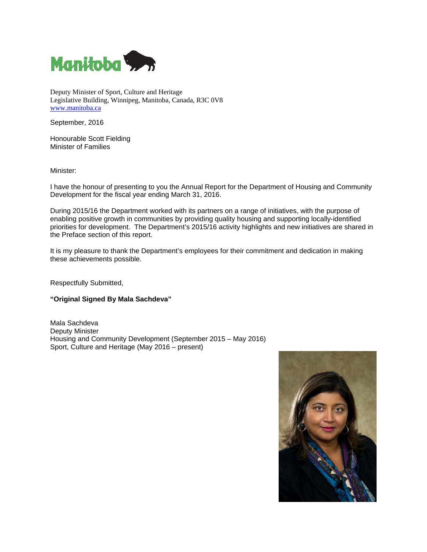

Deputy Minister of Sport, Culture and Heritage Legislative Building, Winnipeg, Manitoba, Canada, R3C 0V8 www.manitoba.ca

September, 2016

Honourable Scott Fielding Minister of Families

Minister:

I have the honour of presenting to you the Annual Report for the Department of Housing and Community Development for the fiscal year ending March 31, 2016.

During 2015/16 the Department worked with its partners on a range of initiatives, with the purpose of enabling positive growth in communities by providing quality housing and supporting locally-identified priorities for development. The Department's 2015/16 activity highlights and new initiatives are shared in the Preface section of this report.

It is my pleasure to thank the Department's employees for their commitment and dedication in making these achievements possible.

Respectfully Submitted,

**"Original Signed By Mala Sachdeva"** 

Mala Sachdeva Deputy Minister Housing and Community Development (September 2015 – May 2016) Sport, Culture and Heritage (May 2016 – present)

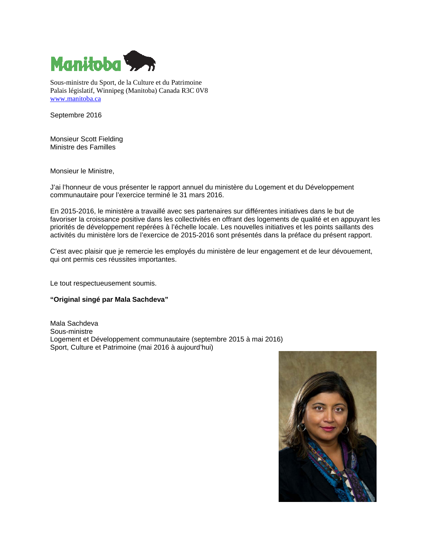

Sous-ministre du Sport, de la Culture et du Patrimoine Palais législatif, Winnipeg (Manitoba) Canada R3C 0V8 www.manitoba.ca

Septembre 2016

Monsieur Scott Fielding Ministre des Familles

Monsieur le Ministre,

J'ai l'honneur de vous présenter le rapport annuel du ministère du Logement et du Développement communautaire pour l'exercice terminé le 31 mars 2016.

En 2015-2016, le ministère a travaillé avec ses partenaires sur différentes initiatives dans le but de favoriser la croissance positive dans les collectivités en offrant des logements de qualité et en appuyant les priorités de développement repérées à l'échelle locale. Les nouvelles initiatives et les points saillants des activités du ministère lors de l'exercice de 2015-2016 sont présentés dans la préface du présent rapport.

C'est avec plaisir que je remercie les employés du ministère de leur engagement et de leur dévouement, qui ont permis ces réussites importantes.

Le tout respectueusement soumis.

#### **"Original singé par Mala Sachdeva"**

Mala Sachdeva Sous-ministre Logement et Développement communautaire (septembre 2015 à mai 2016) Sport, Culture et Patrimoine (mai 2016 à aujourd'hui)

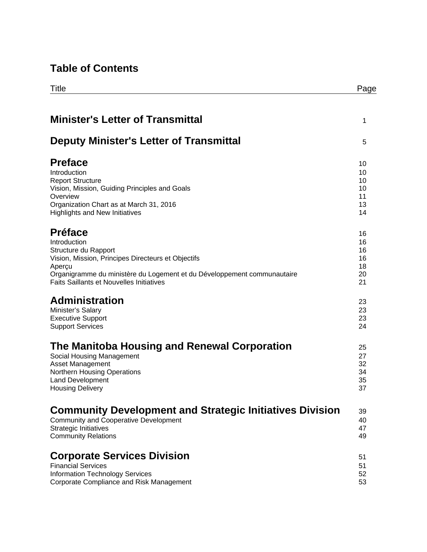# **Table of Contents**

| <b>Minister's Letter of Transmittal</b>                                                                                              | 1                    |
|--------------------------------------------------------------------------------------------------------------------------------------|----------------------|
| <b>Deputy Minister's Letter of Transmittal</b>                                                                                       | 5                    |
| <b>Preface</b>                                                                                                                       | 10                   |
| Introduction                                                                                                                         | 10                   |
| <b>Report Structure</b>                                                                                                              | 10                   |
| Vision, Mission, Guiding Principles and Goals                                                                                        | 10                   |
| Overview                                                                                                                             | 11                   |
| Organization Chart as at March 31, 2016                                                                                              | 13                   |
| <b>Highlights and New Initiatives</b>                                                                                                | 14                   |
| <b>Préface</b>                                                                                                                       | 16                   |
| Introduction<br>Structure du Rapport<br>Vision, Mission, Principes Directeurs et Objectifs                                           | 16<br>16<br>16<br>18 |
| Aperçu<br>Organigramme du ministère du Logement et du Développement communautaire<br><b>Faits Saillants et Nouvelles Initiatives</b> | 20<br>21             |
| <b>Administration</b>                                                                                                                | 23                   |
| Minister's Salary                                                                                                                    | 23                   |
| <b>Executive Support</b>                                                                                                             | 23                   |
| <b>Support Services</b>                                                                                                              | 24                   |
| The Manitoba Housing and Renewal Corporation                                                                                         | 25                   |
| Social Housing Management                                                                                                            | 27                   |
| Asset Management                                                                                                                     | 32                   |
| <b>Northern Housing Operations</b>                                                                                                   | 34                   |
| <b>Land Development</b>                                                                                                              | 35                   |
| <b>Housing Delivery</b>                                                                                                              | 37                   |
| <b>Community Development and Strategic Initiatives Division</b>                                                                      | 39                   |
| <b>Community and Cooperative Development</b>                                                                                         | 40                   |
| <b>Strategic Initiatives</b>                                                                                                         | 47                   |
| <b>Community Relations</b>                                                                                                           | 49                   |
| <b>Corporate Services Division</b>                                                                                                   | 51                   |
| <b>Financial Services</b>                                                                                                            | 51                   |
| <b>Information Technology Services</b>                                                                                               | 52                   |
| Corporate Compliance and Risk Management                                                                                             | 53                   |

Title Page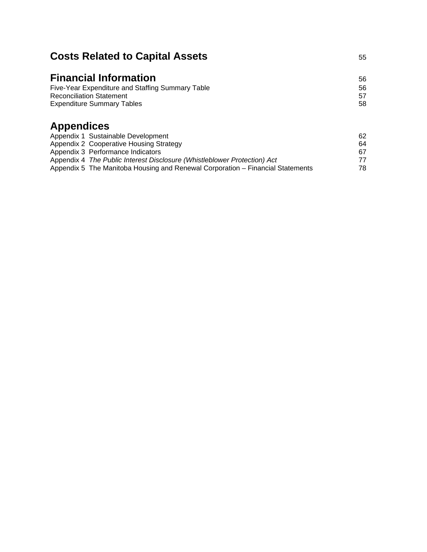| <b>Costs Related to Capital Assets</b> |  |
|----------------------------------------|--|
|----------------------------------------|--|

| Five-Year Expenditure and Staffing Summary Table | 56 |
|--------------------------------------------------|----|
| <b>Reconciliation Statement</b>                  |    |
| <b>Expenditure Summary Tables</b>                | 58 |

# **Appendices**

| Appendix 1 Sustainable Development                                             | 62. |
|--------------------------------------------------------------------------------|-----|
| Appendix 2 Cooperative Housing Strategy                                        | 64  |
| Appendix 3 Performance Indicators                                              | 67  |
| Appendix 4 The Public Interest Disclosure (Whistleblower Protection) Act       | 77  |
| Appendix 5 The Manitoba Housing and Renewal Corporation - Financial Statements | 78  |
|                                                                                |     |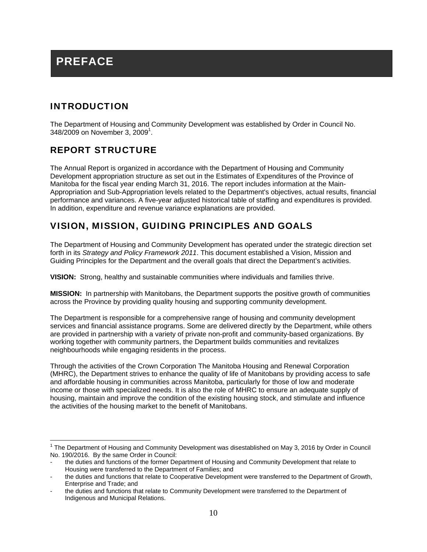# **PREFACE**

# INTRODUCTION

The Department of Housing and Community Development was established by Order in Council No.  $348/2009$  on November 3,  $2009<sup>1</sup>$ .

# REPORT STRUCTURE

The Annual Report is organized in accordance with the Department of Housing and Community Development appropriation structure as set out in the Estimates of Expenditures of the Province of Manitoba for the fiscal year ending March 31, 2016. The report includes information at the Main-Appropriation and Sub-Appropriation levels related to the Department's objectives, actual results, financial performance and variances. A five-year adjusted historical table of staffing and expenditures is provided. In addition, expenditure and revenue variance explanations are provided.

# VISION, MISSION, GUIDING PRINCIPLES AND GOALS

The Department of Housing and Community Development has operated under the strategic direction set forth in its *Strategy and Policy Framework 2011*. This document established a Vision, Mission and Guiding Principles for the Department and the overall goals that direct the Department's activities.

**VISION:** Strong, healthy and sustainable communities where individuals and families thrive.

**MISSION:** In partnership with Manitobans, the Department supports the positive growth of communities across the Province by providing quality housing and supporting community development.

The Department is responsible for a comprehensive range of housing and community development services and financial assistance programs. Some are delivered directly by the Department, while others are provided in partnership with a variety of private non-profit and community-based organizations. By working together with community partners, the Department builds communities and revitalizes neighbourhoods while engaging residents in the process.

Through the activities of the Crown Corporation The Manitoba Housing and Renewal Corporation (MHRC), the Department strives to enhance the quality of life of Manitobans by providing access to safe and affordable housing in communities across Manitoba, particularly for those of low and moderate income or those with specialized needs. It is also the role of MHRC to ensure an adequate supply of housing, maintain and improve the condition of the existing housing stock, and stimulate and influence the activities of the housing market to the benefit of Manitobans.

 $\overline{1}$ <sup>1</sup> The Department of Housing and Community Development was disestablished on May 3, 2016 by Order in Council No. 190/2016. By the same Order in Council:

<sup>-</sup> the duties and functions of the former Department of Housing and Community Development that relate to Housing were transferred to the Department of Families; and

the duties and functions that relate to Cooperative Development were transferred to the Department of Growth, Enterprise and Trade; and

the duties and functions that relate to Community Development were transferred to the Department of Indigenous and Municipal Relations.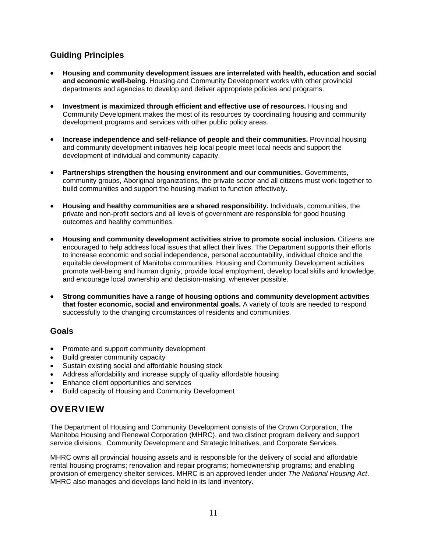## **Guiding Principles**

- **Housing and community development issues are interrelated with health, education and social and economic well-being.** Housing and Community Development works with other provincial departments and agencies to develop and deliver appropriate policies and programs.
- **Investment is maximized through efficient and effective use of resources.** Housing and Community Development makes the most of its resources by coordinating housing and community development programs and services with other public policy areas.
- **Increase independence and self-reliance of people and their communities.** Provincial housing and community development initiatives help local people meet local needs and support the development of individual and community capacity.
- **Partnerships strengthen the housing environment and our communities.** Governments, community groups, Aboriginal organizations, the private sector and all citizens must work together to build communities and support the housing market to function effectively.
- **Housing and healthy communities are a shared responsibility.** Individuals, communities, the private and non-profit sectors and all levels of government are responsible for good housing outcomes and healthy communities.
- **Housing and community development activities strive to promote social inclusion.** Citizens are encouraged to help address local issues that affect their lives. The Department supports their efforts to increase economic and social independence, personal accountability, individual choice and the equitable development of Manitoba communities. Housing and Community Development activities promote well-being and human dignity, provide local employment, develop local skills and knowledge, and encourage local ownership and decision-making, whenever possible.
- **Strong communities have a range of housing options and community development activities that foster economic, social and environmental goals.** A variety of tools are needed to respond successfully to the changing circumstances of residents and communities.

### **Goals**

- Promote and support community development
- Build greater community capacity
- Sustain existing social and affordable housing stock
- Address affordability and increase supply of quality affordable housing
- Enhance client opportunities and services
- Build capacity of Housing and Community Development

# **OVERVIEW**

The Department of Housing and Community Development consists of the Crown Corporation, The Manitoba Housing and Renewal Corporation (MHRC), and two distinct program delivery and support service divisions: Community Development and Strategic Initiatives, and Corporate Services.

MHRC owns all provincial housing assets and is responsible for the delivery of social and affordable rental housing programs; renovation and repair programs; homeownership programs; and enabling provision of emergency shelter services. MHRC is an approved lender under *The National Housing Act*. MHRC also manages and develops land held in its land inventory.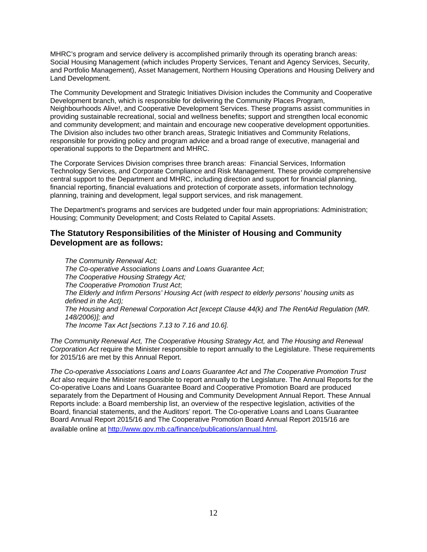MHRC's program and service delivery is accomplished primarily through its operating branch areas: Social Housing Management (which includes Property Services, Tenant and Agency Services, Security, and Portfolio Management), Asset Management, Northern Housing Operations and Housing Delivery and Land Development.

The Community Development and Strategic Initiatives Division includes the Community and Cooperative Development branch, which is responsible for delivering the Community Places Program, Neighbourhoods Alive!, and Cooperative Development Services. These programs assist communities in providing sustainable recreational, social and wellness benefits; support and strengthen local economic and community development; and maintain and encourage new cooperative development opportunities. The Division also includes two other branch areas, Strategic Initiatives and Community Relations, responsible for providing policy and program advice and a broad range of executive, managerial and operational supports to the Department and MHRC.

The Corporate Services Division comprises three branch areas: Financial Services, Information Technology Services, and Corporate Compliance and Risk Management. These provide comprehensive central support to the Department and MHRC, including direction and support for financial planning, financial reporting, financial evaluations and protection of corporate assets, information technology planning, training and development, legal support services, and risk management.

The Department's programs and services are budgeted under four main appropriations: Administration; Housing; Community Development; and Costs Related to Capital Assets.

### **The Statutory Responsibilities of the Minister of Housing and Community Development are as follows:**

 *The Community Renewal Act; The Co-operative Associations Loans and Loans Guarantee Act*; *The Cooperative Housing Strategy Act; The Cooperative Promotion Trust Act*;  *The Elderly and Infirm Persons' Housing Act (with respect to elderly persons' housing units as defined in the Act); The Housing and Renewal Corporation Act [except Clause 44(k) and The RentAid Regulation (MR. 148/2006)]; and The Income Tax Act [sections 7.13 to 7.16 and 10.6].* 

*The Community Renewal Act, The Cooperative Housing Strategy Act,* and *The Housing and Renewal Corporation Act* require the Minister responsible to report annually to the Legislature. These requirements for 2015/16 are met by this Annual Report.

*The Co-operative Associations Loans and Loans Guarantee Act* and *The Cooperative Promotion Trust Act* also require the Minister responsible to report annually to the Legislature. The Annual Reports for the Co-operative Loans and Loans Guarantee Board and Cooperative Promotion Board are produced separately from the Department of Housing and Community Development Annual Report. These Annual Reports include: a Board membership list, an overview of the respective legislation, activities of the Board, financial statements, and the Auditors' report. The Co-operative Loans and Loans Guarantee Board Annual Report 2015/16 and The Cooperative Promotion Board Annual Report 2015/16 are available online at http://www.gov.mb.ca/finance/publications/annual.html.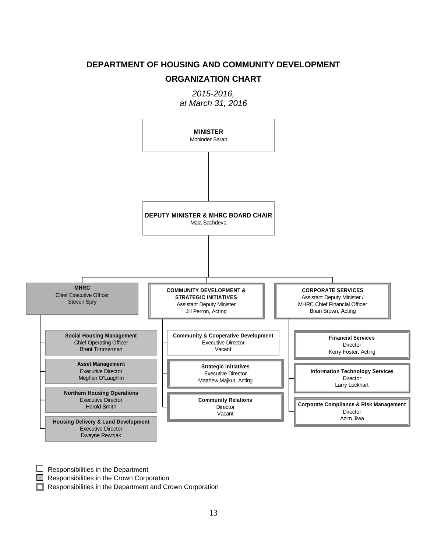## **DEPARTMENT OF HOUSING AND COMMUNITY DEVELOPMENT**

### **ORGANIZATION CHART**

*2015-2016, at March 31, 2016* 



 $\Box$  Responsibilities in the Department

Responsibilities in the Crown Corporation  $\Box$ 

Responsibilities in the Department and Crown Corporation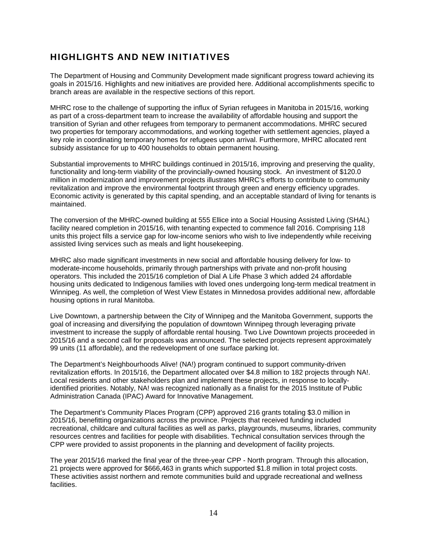# HIGHLIGHTS AND NEW INITIATIVES

The Department of Housing and Community Development made significant progress toward achieving its goals in 2015/16. Highlights and new initiatives are provided here. Additional accomplishments specific to branch areas are available in the respective sections of this report.

MHRC rose to the challenge of supporting the influx of Syrian refugees in Manitoba in 2015/16, working as part of a cross-department team to increase the availability of affordable housing and support the transition of Syrian and other refugees from temporary to permanent accommodations. MHRC secured two properties for temporary accommodations, and working together with settlement agencies, played a key role in coordinating temporary homes for refugees upon arrival. Furthermore, MHRC allocated rent subsidy assistance for up to 400 households to obtain permanent housing.

Substantial improvements to MHRC buildings continued in 2015/16, improving and preserving the quality, functionality and long-term viability of the provincially-owned housing stock. An investment of \$120.0 million in modernization and improvement projects illustrates MHRC's efforts to contribute to community revitalization and improve the environmental footprint through green and energy efficiency upgrades. Economic activity is generated by this capital spending, and an acceptable standard of living for tenants is maintained.

The conversion of the MHRC-owned building at 555 Ellice into a Social Housing Assisted Living (SHAL) facility neared completion in 2015/16, with tenanting expected to commence fall 2016. Comprising 118 units this project fills a service gap for low-income seniors who wish to live independently while receiving assisted living services such as meals and light housekeeping.

MHRC also made significant investments in new social and affordable housing delivery for low- to moderate-income households, primarily through partnerships with private and non-profit housing operators. This included the 2015/16 completion of Dial A Life Phase 3 which added 24 affordable housing units dedicated to Indigenous families with loved ones undergoing long-term medical treatment in Winnipeg. As well, the completion of West View Estates in Minnedosa provides additional new, affordable housing options in rural Manitoba.

Live Downtown, a partnership between the City of Winnipeg and the Manitoba Government, supports the goal of increasing and diversifying the population of downtown Winnipeg through leveraging private investment to increase the supply of affordable rental housing. Two Live Downtown projects proceeded in 2015/16 and a second call for proposals was announced. The selected projects represent approximately 99 units (11 affordable), and the redevelopment of one surface parking lot.

The Department's Neighbourhoods Alive! (NA!) program continued to support community-driven revitalization efforts. In 2015/16, the Department allocated over \$4.8 million to 182 projects through NA!. Local residents and other stakeholders plan and implement these projects, in response to locallyidentified priorities. Notably, NA! was recognized nationally as a finalist for the 2015 Institute of Public Administration Canada (IPAC) Award for Innovative Management.

The Department's Community Places Program (CPP) approved 216 grants totaling \$3.0 million in 2015/16, benefitting organizations across the province. Projects that received funding included recreational, childcare and cultural facilities as well as parks, playgrounds, museums, libraries, community resources centres and facilities for people with disabilities. Technical consultation services through the CPP were provided to assist proponents in the planning and development of facility projects.

The year 2015/16 marked the final year of the three-year CPP - North program. Through this allocation, 21 projects were approved for \$666,463 in grants which supported \$1.8 million in total project costs. These activities assist northern and remote communities build and upgrade recreational and wellness facilities.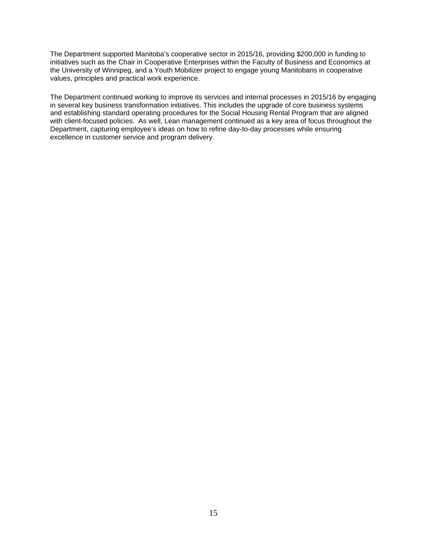The Department supported Manitoba's cooperative sector in 2015/16, providing \$200,000 in funding to initiatives such as the Chair in Cooperative Enterprises within the Faculty of Business and Economics at the University of Winnipeg, and a Youth Mobilizer project to engage young Manitobans in cooperative values, principles and practical work experience.

The Department continued working to improve its services and internal processes in 2015/16 by engaging in several key business transformation initiatives. This includes the upgrade of core business systems and establishing standard operating procedures for the Social Housing Rental Program that are aligned with client-focused policies. As well, Lean management continued as a key area of focus throughout the Department, capturing employee's ideas on how to refine day-to-day processes while ensuring excellence in customer service and program delivery.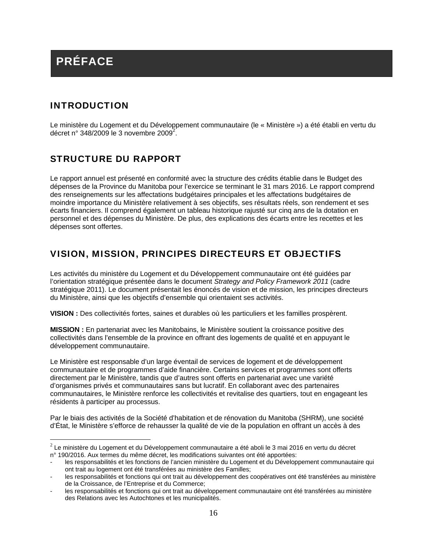# **PRÉFACE**

# INTRODUCTION

 $\overline{a}$ 

Le ministère du Logement et du Développement communautaire (le « Ministère ») a été établi en vertu du décret n° 348/2009 le 3 novembre 2009 $2$ .

# STRUCTURE DU RAPPORT

Le rapport annuel est présenté en conformité avec la structure des crédits établie dans le Budget des dépenses de la Province du Manitoba pour l'exercice se terminant le 31 mars 2016. Le rapport comprend des renseignements sur les affectations budgétaires principales et les affectations budgétaires de moindre importance du Ministère relativement à ses objectifs, ses résultats réels, son rendement et ses écarts financiers. Il comprend également un tableau historique rajusté sur cinq ans de la dotation en personnel et des dépenses du Ministère. De plus, des explications des écarts entre les recettes et les dépenses sont offertes.

# VISION, MISSION, PRINCIPES DIRECTEURS ET OBJECTIFS

Les activités du ministère du Logement et du Développement communautaire ont été guidées par l'orientation stratégique présentée dans le document *Strategy and Policy Framework 2011* (cadre stratégique 2011). Le document présentait les énoncés de vision et de mission, les principes directeurs du Ministère, ainsi que les objectifs d'ensemble qui orientaient ses activités.

**VISION :** Des collectivités fortes, saines et durables où les particuliers et les familles prospèrent.

**MISSION :** En partenariat avec les Manitobains, le Ministère soutient la croissance positive des collectivités dans l'ensemble de la province en offrant des logements de qualité et en appuyant le développement communautaire.

Le Ministère est responsable d'un large éventail de services de logement et de développement communautaire et de programmes d'aide financière. Certains services et programmes sont offerts directement par le Ministère, tandis que d'autres sont offerts en partenariat avec une variété d'organismes privés et communautaires sans but lucratif. En collaborant avec des partenaires communautaires, le Ministère renforce les collectivités et revitalise des quartiers, tout en engageant les résidents à participer au processus.

Par le biais des activités de la Société d'habitation et de rénovation du Manitoba (SHRM), une société d'État, le Ministère s'efforce de rehausser la qualité de vie de la population en offrant un accès à des

 $2$  Le ministère du Logement et du Développement communautaire a été aboli le 3 mai 2016 en vertu du décret n° 190/2016. Aux termes du même décret, les modifications suivantes ont été apportées:

<sup>-</sup> les responsabilités et les fonctions de l'ancien ministère du Logement et du Développement communautaire qui ont trait au logement ont été transférées au ministère des Familles;

les responsabilités et fonctions qui ont trait au développement des coopératives ont été transférées au ministère de la Croissance, de l'Entreprise et du Commerce;

les responsabilités et fonctions qui ont trait au développement communautaire ont été transférées au ministère des Relations avec les Autochtones et les municipalités.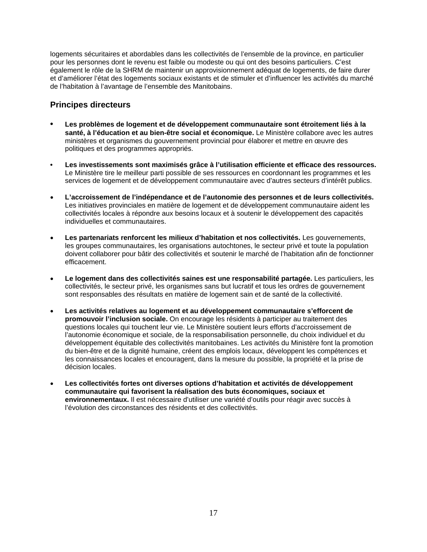logements sécuritaires et abordables dans les collectivités de l'ensemble de la province, en particulier pour les personnes dont le revenu est faible ou modeste ou qui ont des besoins particuliers. C'est également le rôle de la SHRM de maintenir un approvisionnement adéquat de logements, de faire durer et d'améliorer l'état des logements sociaux existants et de stimuler et d'influencer les activités du marché de l'habitation à l'avantage de l'ensemble des Manitobains.

### **Principes directeurs**

- **Les problèmes de logement et de développement communautaire sont étroitement liés à la santé, à l'éducation et au bien-être social et économique.** Le Ministère collabore avec les autres ministères et organismes du gouvernement provincial pour élaborer et mettre en œuvre des politiques et des programmes appropriés.
- **Les investissements sont maximisés grâce à l'utilisation efficiente et efficace des ressources.** Le Ministère tire le meilleur parti possible de ses ressources en coordonnant les programmes et les services de logement et de développement communautaire avec d'autres secteurs d'intérêt publics.
- **L'accroissement de l'indépendance et de l'autonomie des personnes et de leurs collectivités.** Les initiatives provinciales en matière de logement et de développement communautaire aident les collectivités locales à répondre aux besoins locaux et à soutenir le développement des capacités individuelles et communautaires.
- **Les partenariats renforcent les milieux d'habitation et nos collectivités.** Les gouvernements, les groupes communautaires, les organisations autochtones, le secteur privé et toute la population doivent collaborer pour bâtir des collectivités et soutenir le marché de l'habitation afin de fonctionner efficacement.
- **Le logement dans des collectivités saines est une responsabilité partagée.** Les particuliers, les collectivités, le secteur privé, les organismes sans but lucratif et tous les ordres de gouvernement sont responsables des résultats en matière de logement sain et de santé de la collectivité.
- **Les activités relatives au logement et au développement communautaire s'efforcent de promouvoir l'inclusion sociale.** On encourage les résidents à participer au traitement des questions locales qui touchent leur vie. Le Ministère soutient leurs efforts d'accroissement de l'autonomie économique et sociale, de la responsabilisation personnelle, du choix individuel et du développement équitable des collectivités manitobaines. Les activités du Ministère font la promotion du bien-être et de la dignité humaine, créent des emplois locaux, développent les compétences et les connaissances locales et encouragent, dans la mesure du possible, la propriété et la prise de décision locales.
- **Les collectivités fortes ont diverses options d'habitation et activités de développement communautaire qui favorisent la réalisation des buts économiques, sociaux et environnementaux.** Il est nécessaire d'utiliser une variété d'outils pour réagir avec succès à l'évolution des circonstances des résidents et des collectivités.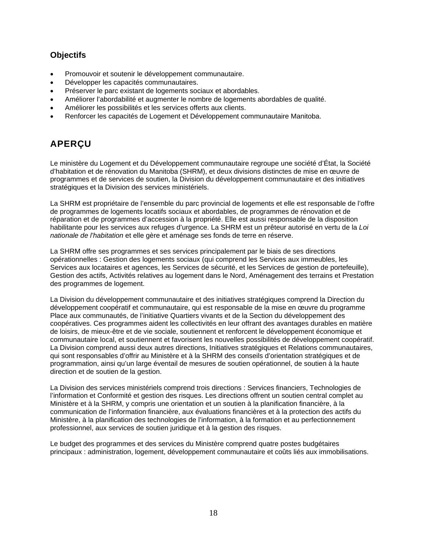## **Objectifs**

- Promouvoir et soutenir le développement communautaire.
- Développer les capacités communautaires.
- Préserver le parc existant de logements sociaux et abordables.
- Améliorer l'abordabilité et augmenter le nombre de logements abordables de qualité.
- Améliorer les possibilités et les services offerts aux clients.
- Renforcer les capacités de Logement et Développement communautaire Manitoba.

# APERÇU

Le ministère du Logement et du Développement communautaire regroupe une société d'État, la Société d'habitation et de rénovation du Manitoba (SHRM), et deux divisions distinctes de mise en œuvre de programmes et de services de soutien, la Division du développement communautaire et des initiatives stratégiques et la Division des services ministériels.

La SHRM est propriétaire de l'ensemble du parc provincial de logements et elle est responsable de l'offre de programmes de logements locatifs sociaux et abordables, de programmes de rénovation et de réparation et de programmes d'accession à la propriété. Elle est aussi responsable de la disposition habilitante pour les services aux refuges d'urgence. La SHRM est un prêteur autorisé en vertu de la *Loi nationale de l'habitation* et elle gère et aménage ses fonds de terre en réserve.

La SHRM offre ses programmes et ses services principalement par le biais de ses directions opérationnelles : Gestion des logements sociaux (qui comprend les Services aux immeubles, les Services aux locataires et agences, les Services de sécurité, et les Services de gestion de portefeuille), Gestion des actifs, Activités relatives au logement dans le Nord, Aménagement des terrains et Prestation des programmes de logement.

La Division du développement communautaire et des initiatives stratégiques comprend la Direction du développement coopératif et communautaire, qui est responsable de la mise en œuvre du programme Place aux communautés, de l'initiative Quartiers vivants et de la Section du développement des coopératives. Ces programmes aident les collectivités en leur offrant des avantages durables en matière de loisirs, de mieux-être et de vie sociale, soutiennent et renforcent le développement économique et communautaire local, et soutiennent et favorisent les nouvelles possibilités de développement coopératif. La Division comprend aussi deux autres directions, Initiatives stratégiques et Relations communautaires, qui sont responsables d'offrir au Ministère et à la SHRM des conseils d'orientation stratégiques et de programmation, ainsi qu'un large éventail de mesures de soutien opérationnel, de soutien à la haute direction et de soutien de la gestion.

La Division des services ministériels comprend trois directions : Services financiers, Technologies de l'information et Conformité et gestion des risques. Les directions offrent un soutien central complet au Ministère et à la SHRM, y compris une orientation et un soutien à la planification financière, à la communication de l'information financière, aux évaluations financières et à la protection des actifs du Ministère, à la planification des technologies de l'information, à la formation et au perfectionnement professionnel, aux services de soutien juridique et à la gestion des risques.

Le budget des programmes et des services du Ministère comprend quatre postes budgétaires principaux : administration, logement, développement communautaire et coûts liés aux immobilisations.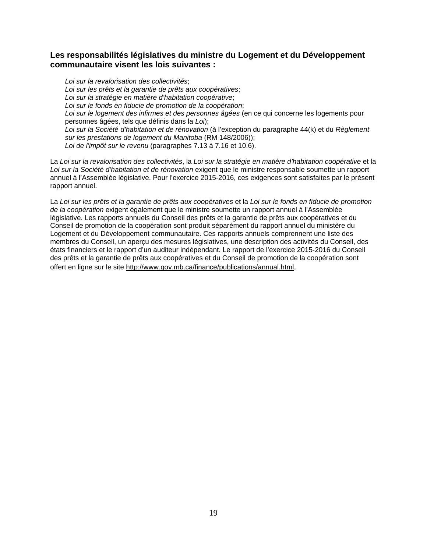### **Les responsabilités législatives du ministre du Logement et du Développement communautaire visent les lois suivantes :**

*Loi sur la revalorisation des collectivités*; *Loi sur les prêts et la garantie de prêts aux coopératives*; *Loi sur la stratégie en matière d'habitation coopérative*; *Loi sur le fonds en fiducie de promotion de la coopération*; *Loi sur le logement des infirmes et des personnes âgées* (en ce qui concerne les logements pour personnes âgées, tels que définis dans la *Loi*); *Loi sur la Société d'habitation et de rénovation* (à l'exception du paragraphe 44(k) et du *Règlement sur les prestations de logement du Manitoba* (RM 148/2006)); *Loi de l'impôt sur le revenu* (paragraphes 7.13 à 7.16 et 10.6).

La *Loi sur la revalorisation des collectivités*, la *Loi sur la stratégie en matière d'habitation coopérative* et la *Loi sur la Société d'habitation et de rénovation* exigent que le ministre responsable soumette un rapport annuel à l'Assemblée législative. Pour l'exercice 2015-2016, ces exigences sont satisfaites par le présent rapport annuel.

La Loi sur les prêts et la garantie de prêts aux coopératives et la Loi sur le fonds en fiducie de promotion *de la coopération* exigent également que le ministre soumette un rapport annuel à l'Assemblée législative. Les rapports annuels du Conseil des prêts et la garantie de prêts aux coopératives et du Conseil de promotion de la coopération sont produit séparément du rapport annuel du ministère du Logement et du Développement communautaire. Ces rapports annuels comprennent une liste des membres du Conseil, un aperçu des mesures législatives, une description des activités du Conseil, des états financiers et le rapport d'un auditeur indépendant. Le rapport de l'exercice 2015-2016 du Conseil des prêts et la garantie de prêts aux coopératives et du Conseil de promotion de la coopération sont offert en ligne sur le site http://www.gov.mb.ca/finance/publications/annual.html.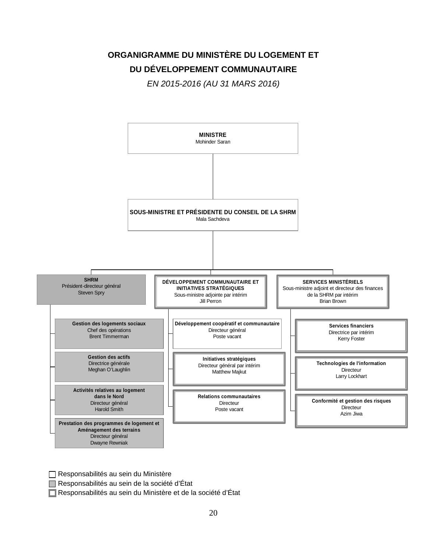# **ORGANIGRAMME DU MINISTÈRE DU LOGEMENT ET DU DÉVELOPPEMENT COMMUNAUTAIRE**

*EN 2015-2016 (AU 31 MARS 2016)* 



**Responsabilités au sein du Ministère** 

Responsabilités au sein de la société d'État

Responsabilités au sein du Ministère et de la société d'État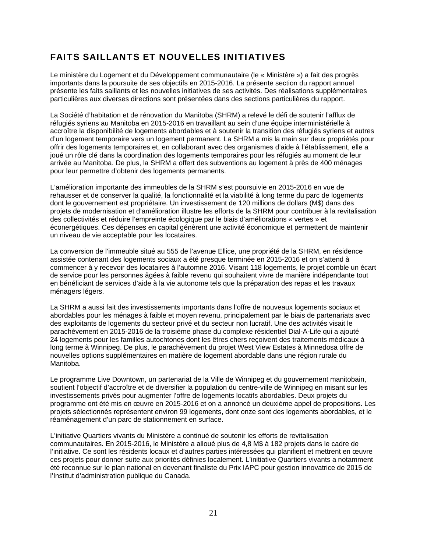# FAITS SAILLANTS ET NOUVELLES INITIATIVES

Le ministère du Logement et du Développement communautaire (le « Ministère ») a fait des progrès importants dans la poursuite de ses objectifs en 2015-2016. La présente section du rapport annuel présente les faits saillants et les nouvelles initiatives de ses activités. Des réalisations supplémentaires particulières aux diverses directions sont présentées dans des sections particulières du rapport.

La Société d'habitation et de rénovation du Manitoba (SHRM) a relevé le défi de soutenir l'afflux de réfugiés syriens au Manitoba en 2015-2016 en travaillant au sein d'une équipe interministérielle à accroître la disponibilité de logements abordables et à soutenir la transition des réfugiés syriens et autres d'un logement temporaire vers un logement permanent. La SHRM a mis la main sur deux propriétés pour offrir des logements temporaires et, en collaborant avec des organismes d'aide à l'établissement, elle a joué un rôle clé dans la coordination des logements temporaires pour les réfugiés au moment de leur arrivée au Manitoba. De plus, la SHRM a offert des subventions au logement à près de 400 ménages pour leur permettre d'obtenir des logements permanents.

L'amélioration importante des immeubles de la SHRM s'est poursuivie en 2015-2016 en vue de rehausser et de conserver la qualité, la fonctionnalité et la viabilité à long terme du parc de logements dont le gouvernement est propriétaire. Un investissement de 120 millions de dollars (M\$) dans des projets de modernisation et d'amélioration illustre les efforts de la SHRM pour contribuer à la revitalisation des collectivités et réduire l'empreinte écologique par le biais d'améliorations « vertes » et éconergétiques. Ces dépenses en capital génèrent une activité économique et permettent de maintenir un niveau de vie acceptable pour les locataires.

La conversion de l'immeuble situé au 555 de l'avenue Ellice, une propriété de la SHRM, en résidence assistée contenant des logements sociaux a été presque terminée en 2015-2016 et on s'attend à commencer à y recevoir des locataires à l'automne 2016. Visant 118 logements, le projet comble un écart de service pour les personnes âgées à faible revenu qui souhaitent vivre de manière indépendante tout en bénéficiant de services d'aide à la vie autonome tels que la préparation des repas et les travaux ménagers légers.

La SHRM a aussi fait des investissements importants dans l'offre de nouveaux logements sociaux et abordables pour les ménages à faible et moyen revenu, principalement par le biais de partenariats avec des exploitants de logements du secteur privé et du secteur non lucratif. Une des activités visait le parachèvement en 2015-2016 de la troisième phase du complexe résidentiel Dial-A-Life qui a ajouté 24 logements pour les familles autochtones dont les êtres chers reçoivent des traitements médicaux à long terme à Winnipeg. De plus, le parachèvement du projet West View Estates à Minnedosa offre de nouvelles options supplémentaires en matière de logement abordable dans une région rurale du Manitoba.

Le programme Live Downtown, un partenariat de la Ville de Winnipeg et du gouvernement manitobain, soutient l'objectif d'accroître et de diversifier la population du centre-ville de Winnipeg en misant sur les investissements privés pour augmenter l'offre de logements locatifs abordables. Deux projets du programme ont été mis en œuvre en 2015-2016 et on a annoncé un deuxième appel de propositions. Les projets sélectionnés représentent environ 99 logements, dont onze sont des logements abordables, et le réaménagement d'un parc de stationnement en surface.

L'initiative Quartiers vivants du Ministère a continué de soutenir les efforts de revitalisation communautaires. En 2015-2016, le Ministère a alloué plus de 4,8 M\$ à 182 projets dans le cadre de l'initiative. Ce sont les résidents locaux et d'autres parties intéressées qui planifient et mettrent en œuvre ces projets pour donner suite aux priorités définies localement. L'initiative Quartiers vivants a notamment été reconnue sur le plan national en devenant finaliste du Prix IAPC pour gestion innovatrice de 2015 de l'Institut d'administration publique du Canada.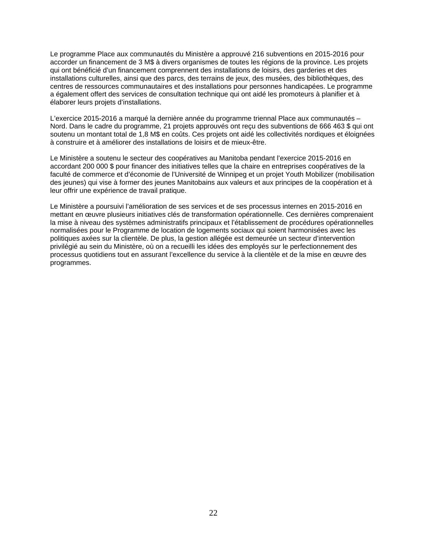Le programme Place aux communautés du Ministère a approuvé 216 subventions en 2015-2016 pour accorder un financement de 3 M\$ à divers organismes de toutes les régions de la province. Les projets qui ont bénéficié d'un financement comprennent des installations de loisirs, des garderies et des installations culturelles, ainsi que des parcs, des terrains de jeux, des musées, des bibliothèques, des centres de ressources communautaires et des installations pour personnes handicapées. Le programme a également offert des services de consultation technique qui ont aidé les promoteurs à planifier et à élaborer leurs projets d'installations.

L'exercice 2015-2016 a marqué la dernière année du programme triennal Place aux communautés – Nord. Dans le cadre du programme, 21 projets approuvés ont reçu des subventions de 666 463 \$ qui ont soutenu un montant total de 1,8 M\$ en coûts. Ces projets ont aidé les collectivités nordiques et éloignées à construire et à améliorer des installations de loisirs et de mieux-être.

Le Ministère a soutenu le secteur des coopératives au Manitoba pendant l'exercice 2015-2016 en accordant 200 000 \$ pour financer des initiatives telles que la chaire en entreprises coopératives de la faculté de commerce et d'économie de l'Université de Winnipeg et un projet Youth Mobilizer (mobilisation des jeunes) qui vise à former des jeunes Manitobains aux valeurs et aux principes de la coopération et à leur offrir une expérience de travail pratique.

Le Ministère a poursuivi l'amélioration de ses services et de ses processus internes en 2015-2016 en mettant en œuvre plusieurs initiatives clés de transformation opérationnelle. Ces dernières comprenaient la mise à niveau des systèmes administratifs principaux et l'établissement de procédures opérationnelles normalisées pour le Programme de location de logements sociaux qui soient harmonisées avec les politiques axées sur la clientèle. De plus, la gestion allégée est demeurée un secteur d'intervention privilégié au sein du Ministère, où on a recueilli les idées des employés sur le perfectionnement des processus quotidiens tout en assurant l'excellence du service à la clientèle et de la mise en œuvre des programmes.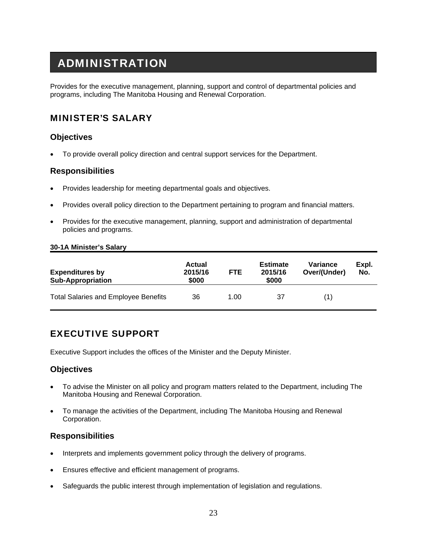# **ADMINISTRATION**

Provides for the executive management, planning, support and control of departmental policies and programs, including The Manitoba Housing and Renewal Corporation.

# MINISTER'S SALARY

### **Objectives**

To provide overall policy direction and central support services for the Department.

### **Responsibilities**

- Provides leadership for meeting departmental goals and objectives.
- Provides overall policy direction to the Department pertaining to program and financial matters.
- Provides for the executive management, planning, support and administration of departmental policies and programs.

#### **30-1A Minister's Salary**

| <b>Expenditures by</b><br><b>Sub-Appropriation</b> | <b>Actual</b><br>2015/16<br>\$000 | <b>FTE</b> | <b>Estimate</b><br>2015/16<br>\$000 | Variance<br>Over/(Under) | Expl.<br>No. |
|----------------------------------------------------|-----------------------------------|------------|-------------------------------------|--------------------------|--------------|
| <b>Total Salaries and Employee Benefits</b>        | 36                                | 1.00       | 37                                  | (1)                      |              |

# EXECUTIVE SUPPORT

Executive Support includes the offices of the Minister and the Deputy Minister.

### **Objectives**

- To advise the Minister on all policy and program matters related to the Department, including The Manitoba Housing and Renewal Corporation.
- To manage the activities of the Department, including The Manitoba Housing and Renewal Corporation.

### **Responsibilities**

- Interprets and implements government policy through the delivery of programs.
- Ensures effective and efficient management of programs.
- Safeguards the public interest through implementation of legislation and regulations.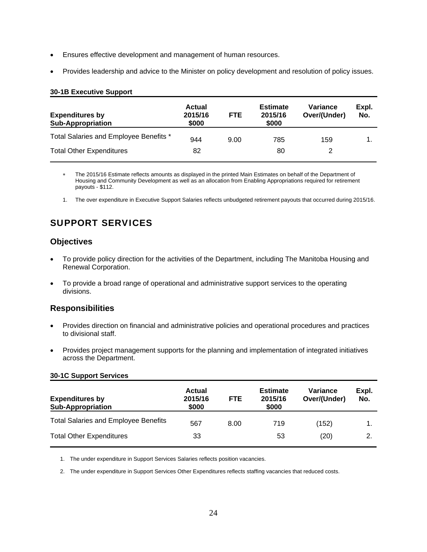- Ensures effective development and management of human resources.
- Provides leadership and advice to the Minister on policy development and resolution of policy issues.

| <b>Expenditures by</b><br><b>Sub-Appropriation</b> | <b>Actual</b><br>2015/16<br>\$000 | <b>FTE</b> | <b>Estimate</b><br>2015/16<br>\$000 | Variance<br>Over/(Under) | Expl.<br>No. |
|----------------------------------------------------|-----------------------------------|------------|-------------------------------------|--------------------------|--------------|
| Total Salaries and Employee Benefits *             | 944                               | 9.00       | 785                                 | 159                      |              |
| <b>Total Other Expenditures</b>                    | 82                                |            | 80                                  | 2                        |              |

#### **30-1B Executive Support**

 The 2015/16 Estimate reflects amounts as displayed in the printed Main Estimates on behalf of the Department of Housing and Community Development as well as an allocation from Enabling Appropriations required for retirement payouts - \$112.

1. The over expenditure in Executive Support Salaries reflects unbudgeted retirement payouts that occurred during 2015/16.

# SUPPORT SERVICES

#### **Objectives**

- To provide policy direction for the activities of the Department, including The Manitoba Housing and Renewal Corporation.
- To provide a broad range of operational and administrative support services to the operating divisions.

### **Responsibilities**

- Provides direction on financial and administrative policies and operational procedures and practices to divisional staff.
- Provides project management supports for the planning and implementation of integrated initiatives across the Department.

| <b>30-1C Support Services</b>                      |                            |            |                                     |                          |              |
|----------------------------------------------------|----------------------------|------------|-------------------------------------|--------------------------|--------------|
| <b>Expenditures by</b><br><b>Sub-Appropriation</b> | Actual<br>2015/16<br>\$000 | <b>FTE</b> | <b>Estimate</b><br>2015/16<br>\$000 | Variance<br>Over/(Under) | Expl.<br>No. |
| <b>Total Salaries and Employee Benefits</b>        | 567                        | 8.00       | 719                                 | (152)                    | 1.           |
| <b>Total Other Expenditures</b>                    | 33                         |            | 53                                  | (20)                     | 2.           |

1. The under expenditure in Support Services Salaries reflects position vacancies.

2. The under expenditure in Support Services Other Expenditures reflects staffing vacancies that reduced costs.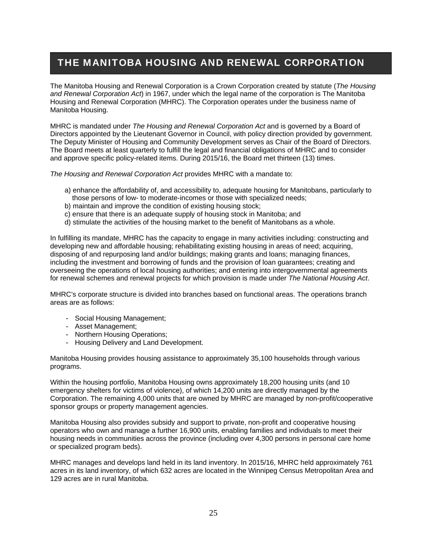# THE MANITOBA HOUSING AND RENEWAL CORPORATION

The Manitoba Housing and Renewal Corporation is a Crown Corporation created by statute (*The Housing and Renewal Corporation Act*) in 1967, under which the legal name of the corporation is The Manitoba Housing and Renewal Corporation (MHRC). The Corporation operates under the business name of Manitoba Housing.

MHRC is mandated under *The Housing and Renewal Corporation Act* and is governed by a Board of Directors appointed by the Lieutenant Governor in Council, with policy direction provided by government. The Deputy Minister of Housing and Community Development serves as Chair of the Board of Directors. The Board meets at least quarterly to fulfill the legal and financial obligations of MHRC and to consider and approve specific policy-related items. During 2015/16, the Board met thirteen (13) times.

*The Housing and Renewal Corporation Act* provides MHRC with a mandate to:

- a) enhance the affordability of, and accessibility to, adequate housing for Manitobans, particularly to those persons of low- to moderate-incomes or those with specialized needs;
- b) maintain and improve the condition of existing housing stock;
- c) ensure that there is an adequate supply of housing stock in Manitoba; and
- d) stimulate the activities of the housing market to the benefit of Manitobans as a whole.

In fulfilling its mandate, MHRC has the capacity to engage in many activities including: constructing and developing new and affordable housing; rehabilitating existing housing in areas of need; acquiring, disposing of and repurposing land and/or buildings; making grants and loans; managing finances, including the investment and borrowing of funds and the provision of loan guarantees; creating and overseeing the operations of local housing authorities; and entering into intergovernmental agreements for renewal schemes and renewal projects for which provision is made under *The National Housing Act*.

MHRC's corporate structure is divided into branches based on functional areas. The operations branch areas are as follows:

- Social Housing Management;
- Asset Management;
- Northern Housing Operations;
- Housing Delivery and Land Development.

Manitoba Housing provides housing assistance to approximately 35,100 households through various programs.

Within the housing portfolio, Manitoba Housing owns approximately 18,200 housing units (and 10 emergency shelters for victims of violence), of which 14,200 units are directly managed by the Corporation. The remaining 4,000 units that are owned by MHRC are managed by non-profit/cooperative sponsor groups or property management agencies.

Manitoba Housing also provides subsidy and support to private, non-profit and cooperative housing operators who own and manage a further 16,900 units, enabling families and individuals to meet their housing needs in communities across the province (including over 4,300 persons in personal care home or specialized program beds).

MHRC manages and develops land held in its land inventory. In 2015/16, MHRC held approximately 761 acres in its land inventory, of which 632 acres are located in the Winnipeg Census Metropolitan Area and 129 acres are in rural Manitoba.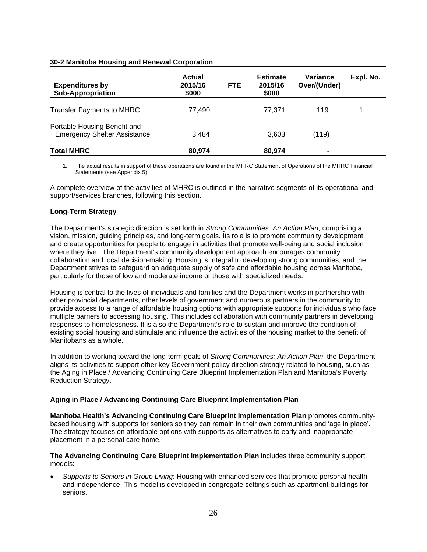#### **30-2 Manitoba Housing and Renewal Corporation**

| <b>Expenditures by</b><br><b>Sub-Appropriation</b>                  | Actual<br>2015/16<br>\$000 | <b>FTE</b> | <b>Estimate</b><br>2015/16<br>\$000 | Variance<br>Over/(Under) | Expl. No. |
|---------------------------------------------------------------------|----------------------------|------------|-------------------------------------|--------------------------|-----------|
| <b>Transfer Payments to MHRC</b>                                    | 77.490                     |            | 77,371                              | 119                      | 1.        |
| Portable Housing Benefit and<br><b>Emergency Shelter Assistance</b> | 3,484                      |            | 3,603                               | (119)                    |           |
| <b>Total MHRC</b>                                                   | 80,974                     |            | 80,974                              | ۰                        |           |

1. The actual results in support of these operations are found in the MHRC Statement of Operations of the MHRC Financial Statements (see Appendix 5).

A complete overview of the activities of MHRC is outlined in the narrative segments of its operational and support/services branches, following this section.

#### **Long-Term Strategy**

The Department's strategic direction is set forth in *Strong Communities: An Action Plan*, comprising a vision, mission, guiding principles, and long-term goals. Its role is to promote community development and create opportunities for people to engage in activities that promote well-being and social inclusion where they live. The Department's community development approach encourages community collaboration and local decision-making. Housing is integral to developing strong communities, and the Department strives to safeguard an adequate supply of safe and affordable housing across Manitoba, particularly for those of low and moderate income or those with specialized needs.

Housing is central to the lives of individuals and families and the Department works in partnership with other provincial departments, other levels of government and numerous partners in the community to provide access to a range of affordable housing options with appropriate supports for individuals who face multiple barriers to accessing housing. This includes collaboration with community partners in developing responses to homelessness. It is also the Department's role to sustain and improve the condition of existing social housing and stimulate and influence the activities of the housing market to the benefit of Manitobans as a whole.

In addition to working toward the long-term goals of *Strong Communities: An Action Plan*, the Department aligns its activities to support other key Government policy direction strongly related to housing, such as the Aging in Place / Advancing Continuing Care Blueprint Implementation Plan and Manitoba's Poverty Reduction Strategy.

#### **Aging in Place / Advancing Continuing Care Blueprint Implementation Plan**

**Manitoba Health's Advancing Continuing Care Blueprint Implementation Plan** promotes communitybased housing with supports for seniors so they can remain in their own communities and 'age in place'. The strategy focuses on affordable options with supports as alternatives to early and inappropriate placement in a personal care home.

**The Advancing Continuing Care Blueprint Implementation Plan** includes three community support models:

 *Supports to Seniors in Group Living*: Housing with enhanced services that promote personal health and independence. This model is developed in congregate settings such as apartment buildings for seniors.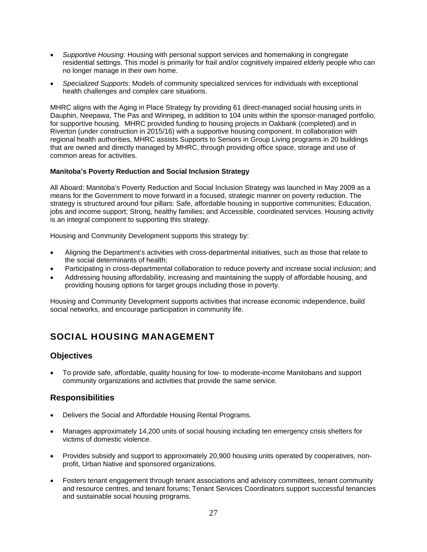- *Supportive Housing:* Housing with personal support services and homemaking in congregate residential settings. This model is primarily for frail and/or cognitively impaired elderly people who can no longer manage in their own home.
- *Specialized Supports*: Models of community specialized services for individuals with exceptional health challenges and complex care situations.

MHRC aligns with the Aging in Place Strategy by providing 61 direct-managed social housing units in Dauphin, Neepawa, The Pas and Winnipeg, in addition to 104 units within the sponsor-managed portfolio, for supportive housing. MHRC provided funding to housing projects in Oakbank (completed) and in Riverton (under construction in 2015/16) with a supportive housing component. In collaboration with regional health authorities, MHRC assists Supports to Seniors in Group Living programs in 20 buildings that are owned and directly managed by MHRC, through providing office space, storage and use of common areas for activities.

#### **Manitoba's Poverty Reduction and Social Inclusion Strategy**

All Aboard: Manitoba's Poverty Reduction and Social Inclusion Strategy was launched in May 2009 as a means for the Government to move forward in a focused, strategic manner on poverty reduction. The strategy is structured around four pillars: Safe, affordable housing in supportive communities; Education, jobs and income support; Strong, healthy families; and Accessible, coordinated services. Housing activity is an integral component to supporting this strategy.

Housing and Community Development supports this strategy by:

- Aligning the Department's activities with cross-departmental initiatives, such as those that relate to the social determinants of health;
- Participating in cross-departmental collaboration to reduce poverty and increase social inclusion; and
- Addressing housing affordability, increasing and maintaining the supply of affordable housing, and providing housing options for target groups including those in poverty.

Housing and Community Development supports activities that increase economic independence, build social networks, and encourage participation in community life.

# SOCIAL HOUSING MANAGEMENT

### **Objectives**

 To provide safe, affordable, quality housing for low- to moderate-income Manitobans and support community organizations and activities that provide the same service.

### **Responsibilities**

- Delivers the Social and Affordable Housing Rental Programs.
- Manages approximately 14,200 units of social housing including ten emergency crisis shelters for victims of domestic violence.
- Provides subsidy and support to approximately 20,900 housing units operated by cooperatives, nonprofit, Urban Native and sponsored organizations.
- Fosters tenant engagement through tenant associations and advisory committees, tenant community and resource centres, and tenant forums; Tenant Services Coordinators support successful tenancies and sustainable social housing programs.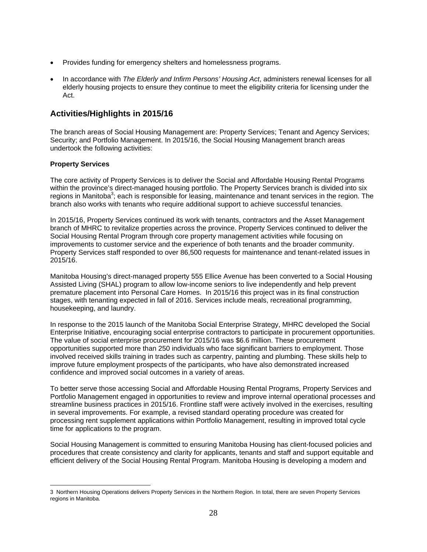- Provides funding for emergency shelters and homelessness programs.
- In accordance with *The Elderly and Infirm Persons' Housing Act*, administers renewal licenses for all elderly housing projects to ensure they continue to meet the eligibility criteria for licensing under the Act.

### **Activities/Highlights in 2015/16**

The branch areas of Social Housing Management are: Property Services; Tenant and Agency Services; Security; and Portfolio Management. In 2015/16, the Social Housing Management branch areas undertook the following activities:

#### **Property Services**

The core activity of Property Services is to deliver the Social and Affordable Housing Rental Programs within the province's direct-managed housing portfolio. The Property Services branch is divided into six regions in Manitoba<sup>3</sup>; each is responsible for leasing, maintenance and tenant services in the region. The branch also works with tenants who require additional support to achieve successful tenancies.

In 2015/16, Property Services continued its work with tenants, contractors and the Asset Management branch of MHRC to revitalize properties across the province. Property Services continued to deliver the Social Housing Rental Program through core property management activities while focusing on improvements to customer service and the experience of both tenants and the broader community. Property Services staff responded to over 86,500 requests for maintenance and tenant-related issues in 2015/16.

Manitoba Housing's direct-managed property 555 Ellice Avenue has been converted to a Social Housing Assisted Living (SHAL) program to allow low-income seniors to live independently and help prevent premature placement into Personal Care Homes. In 2015/16 this project was in its final construction stages, with tenanting expected in fall of 2016. Services include meals, recreational programming, housekeeping, and laundry.

In response to the 2015 launch of the Manitoba Social Enterprise Strategy, MHRC developed the Social Enterprise Initiative, encouraging social enterprise contractors to participate in procurement opportunities. The value of social enterprise procurement for 2015/16 was \$6.6 million. These procurement opportunities supported more than 250 individuals who face significant barriers to employment. Those involved received skills training in trades such as carpentry, painting and plumbing. These skills help to improve future employment prospects of the participants, who have also demonstrated increased confidence and improved social outcomes in a variety of areas.

To better serve those accessing Social and Affordable Housing Rental Programs, Property Services and Portfolio Management engaged in opportunities to review and improve internal operational processes and streamline business practices in 2015/16. Frontline staff were actively involved in the exercises, resulting in several improvements. For example, a revised standard operating procedure was created for processing rent supplement applications within Portfolio Management, resulting in improved total cycle time for applications to the program.

Social Housing Management is committed to ensuring Manitoba Housing has client-focused policies and procedures that create consistency and clarity for applicants, tenants and staff and support equitable and efficient delivery of the Social Housing Rental Program. Manitoba Housing is developing a modern and

 $\overline{a}$ 3 Northern Housing Operations delivers Property Services in the Northern Region. In total, there are seven Property Services regions in Manitoba.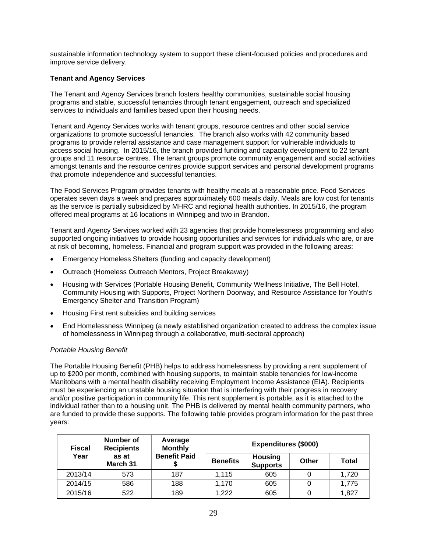sustainable information technology system to support these client-focused policies and procedures and improve service delivery.

#### **Tenant and Agency Services**

The Tenant and Agency Services branch fosters healthy communities, sustainable social housing programs and stable, successful tenancies through tenant engagement, outreach and specialized services to individuals and families based upon their housing needs.

Tenant and Agency Services works with tenant groups, resource centres and other social service organizations to promote successful tenancies. The branch also works with 42 community based programs to provide referral assistance and case management support for vulnerable individuals to access social housing. In 2015/16, the branch provided funding and capacity development to 22 tenant groups and 11 resource centres. The tenant groups promote community engagement and social activities amongst tenants and the resource centres provide support services and personal development programs that promote independence and successful tenancies.

The Food Services Program provides tenants with healthy meals at a reasonable price. Food Services operates seven days a week and prepares approximately 600 meals daily. Meals are low cost for tenants as the service is partially subsidized by MHRC and regional health authorities. In 2015/16, the program offered meal programs at 16 locations in Winnipeg and two in Brandon.

Tenant and Agency Services worked with 23 agencies that provide homelessness programming and also supported ongoing initiatives to provide housing opportunities and services for individuals who are, or are at risk of becoming, homeless. Financial and program support was provided in the following areas:

- Emergency Homeless Shelters (funding and capacity development)
- Outreach (Homeless Outreach Mentors, Project Breakaway)
- Housing with Services (Portable Housing Benefit, Community Wellness Initiative, The Bell Hotel, Community Housing with Supports, Project Northern Doorway, and Resource Assistance for Youth's Emergency Shelter and Transition Program)
- Housing First rent subsidies and building services
- End Homelessness Winnipeg (a newly established organization created to address the complex issue of homelessness in Winnipeg through a collaborative, multi-sectoral approach)

#### *Portable Housing Benefit*

The Portable Housing Benefit (PHB) helps to address homelessness by providing a rent supplement of up to \$200 per month, combined with housing supports, to maintain stable tenancies for low-income Manitobans with a mental health disability receiving Employment Income Assistance (EIA). Recipients must be experiencing an unstable housing situation that is interfering with their progress in recovery and/or positive participation in community life. This rent supplement is portable, as it is attached to the individual rather than to a housing unit. The PHB is delivered by mental health community partners, who are funded to provide these supports. The following table provides program information for the past three years:

| <b>Fiscal</b> | Number of<br><b>Recipients</b> | Average<br><b>Monthly</b> | <b>Expenditures (\$000)</b> |                            |       |              |
|---------------|--------------------------------|---------------------------|-----------------------------|----------------------------|-------|--------------|
| Year          | as at<br>March 31              | <b>Benefit Paid</b>       | <b>Benefits</b>             | Housing<br><b>Supports</b> | Other | <b>Total</b> |
| 2013/14       | 573                            | 187                       | 1,115                       | 605                        |       | 1,720        |
| 2014/15       | 586                            | 188                       | 1.170                       | 605                        | 0     | 1,775        |
| 2015/16       | 522                            | 189                       | 1,222                       | 605                        | 0     | 1,827        |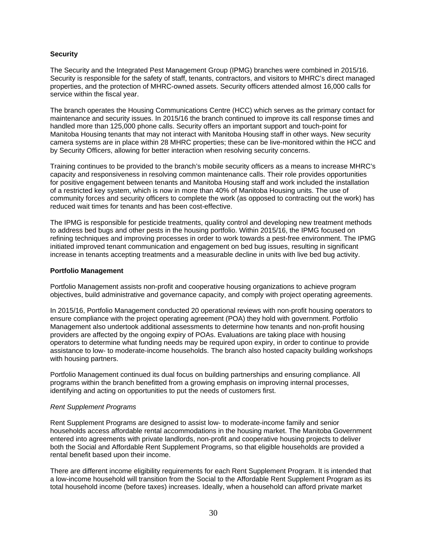#### **Security**

The Security and the Integrated Pest Management Group (IPMG) branches were combined in 2015/16. Security is responsible for the safety of staff, tenants, contractors, and visitors to MHRC's direct managed properties, and the protection of MHRC-owned assets. Security officers attended almost 16,000 calls for service within the fiscal year.

The branch operates the Housing Communications Centre (HCC) which serves as the primary contact for maintenance and security issues. In 2015/16 the branch continued to improve its call response times and handled more than 125,000 phone calls. Security offers an important support and touch-point for Manitoba Housing tenants that may not interact with Manitoba Housing staff in other ways. New security camera systems are in place within 28 MHRC properties; these can be live-monitored within the HCC and by Security Officers, allowing for better interaction when resolving security concerns.

Training continues to be provided to the branch's mobile security officers as a means to increase MHRC's capacity and responsiveness in resolving common maintenance calls. Their role provides opportunities for positive engagement between tenants and Manitoba Housing staff and work included the installation of a restricted key system, which is now in more than 40% of Manitoba Housing units. The use of community forces and security officers to complete the work (as opposed to contracting out the work) has reduced wait times for tenants and has been cost-effective.

The IPMG is responsible for pesticide treatments, quality control and developing new treatment methods to address bed bugs and other pests in the housing portfolio. Within 2015/16, the IPMG focused on refining techniques and improving processes in order to work towards a pest-free environment. The IPMG initiated improved tenant communication and engagement on bed bug issues, resulting in significant increase in tenants accepting treatments and a measurable decline in units with live bed bug activity.

#### **Portfolio Management**

Portfolio Management assists non-profit and cooperative housing organizations to achieve program objectives, build administrative and governance capacity, and comply with project operating agreements.

In 2015/16, Portfolio Management conducted 20 operational reviews with non-profit housing operators to ensure compliance with the project operating agreement (POA) they hold with government. Portfolio Management also undertook additional assessments to determine how tenants and non-profit housing providers are affected by the ongoing expiry of POAs. Evaluations are taking place with housing operators to determine what funding needs may be required upon expiry, in order to continue to provide assistance to low- to moderate-income households. The branch also hosted capacity building workshops with housing partners.

Portfolio Management continued its dual focus on building partnerships and ensuring compliance. All programs within the branch benefitted from a growing emphasis on improving internal processes, identifying and acting on opportunities to put the needs of customers first.

#### *Rent Supplement Programs*

Rent Supplement Programs are designed to assist low- to moderate-income family and senior households access affordable rental accommodations in the housing market. The Manitoba Government entered into agreements with private landlords, non-profit and cooperative housing projects to deliver both the Social and Affordable Rent Supplement Programs, so that eligible households are provided a rental benefit based upon their income.

There are different income eligibility requirements for each Rent Supplement Program. It is intended that a low-income household will transition from the Social to the Affordable Rent Supplement Program as its total household income (before taxes) increases. Ideally, when a household can afford private market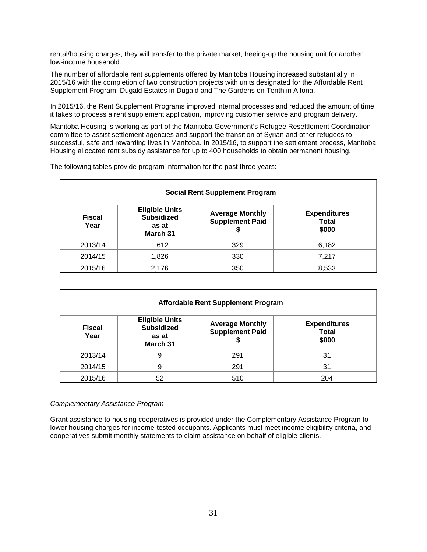rental/housing charges, they will transfer to the private market, freeing-up the housing unit for another low-income household.

The number of affordable rent supplements offered by Manitoba Housing increased substantially in 2015/16 with the completion of two construction projects with units designated for the Affordable Rent Supplement Program: Dugald Estates in Dugald and The Gardens on Tenth in Altona.

In 2015/16, the Rent Supplement Programs improved internal processes and reduced the amount of time it takes to process a rent supplement application, improving customer service and program delivery.

Manitoba Housing is working as part of the Manitoba Government's Refugee Resettlement Coordination committee to assist settlement agencies and support the transition of Syrian and other refugees to successful, safe and rewarding lives in Manitoba. In 2015/16, to support the settlement process, Manitoba Housing allocated rent subsidy assistance for up to 400 households to obtain permanent housing.

The following tables provide program information for the past three years:

|                       | <b>Social Rent Supplement Program</b>                           |                                                  |                                              |  |  |  |  |
|-----------------------|-----------------------------------------------------------------|--------------------------------------------------|----------------------------------------------|--|--|--|--|
| <b>Fiscal</b><br>Year | <b>Eligible Units</b><br><b>Subsidized</b><br>as at<br>March 31 | <b>Average Monthly</b><br><b>Supplement Paid</b> | <b>Expenditures</b><br><b>Total</b><br>\$000 |  |  |  |  |
| 2013/14               | 1,612                                                           | 329                                              | 6,182                                        |  |  |  |  |
| 2014/15               | 1,826                                                           | 330                                              | 7,217                                        |  |  |  |  |
| 2015/16               | 2,176                                                           | 350                                              | 8,533                                        |  |  |  |  |

| <b>Affordable Rent Supplement Program</b> |                                                                 |                                                  |                                              |  |  |  |
|-------------------------------------------|-----------------------------------------------------------------|--------------------------------------------------|----------------------------------------------|--|--|--|
| <b>Fiscal</b><br>Year                     | <b>Eligible Units</b><br><b>Subsidized</b><br>as at<br>March 31 | <b>Average Monthly</b><br><b>Supplement Paid</b> | <b>Expenditures</b><br><b>Total</b><br>\$000 |  |  |  |
| 2013/14                                   | 9                                                               | 291                                              | 31                                           |  |  |  |
| 2014/15                                   |                                                                 | 291                                              | 31                                           |  |  |  |
| 2015/16                                   | 52                                                              | 510                                              | 204                                          |  |  |  |

#### *Complementary Assistance Program*

Grant assistance to housing cooperatives is provided under the Complementary Assistance Program to lower housing charges for income-tested occupants. Applicants must meet income eligibility criteria, and cooperatives submit monthly statements to claim assistance on behalf of eligible clients.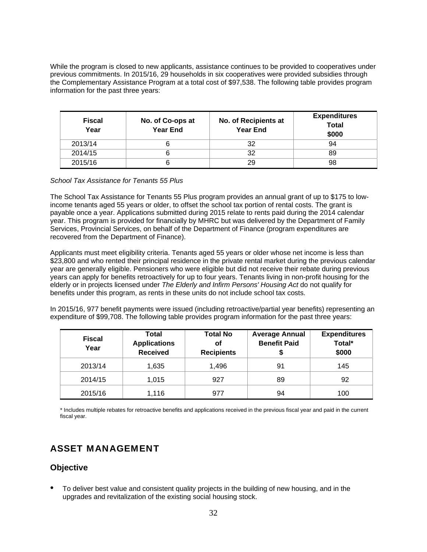While the program is closed to new applicants, assistance continues to be provided to cooperatives under previous commitments. In 2015/16, 29 households in six cooperatives were provided subsidies through the Complementary Assistance Program at a total cost of \$97,538. The following table provides program information for the past three years:

| <b>Fiscal</b><br>Year | No. of Co-ops at<br><b>Year End</b> | No. of Recipients at<br><b>Year End</b> | <b>Expenditures</b><br><b>Total</b><br>\$000 |
|-----------------------|-------------------------------------|-----------------------------------------|----------------------------------------------|
| 2013/14               |                                     | 32                                      | 94                                           |
| 2014/15               |                                     | 32                                      | 89                                           |
| 2015/16               |                                     | 29                                      | 98                                           |

*School Tax Assistance for Tenants 55 Plus* 

The School Tax Assistance for Tenants 55 Plus program provides an annual grant of up to \$175 to lowincome tenants aged 55 years or older, to offset the school tax portion of rental costs. The grant is payable once a year. Applications submitted during 2015 relate to rents paid during the 2014 calendar year. This program is provided for financially by MHRC but was delivered by the Department of Family Services, Provincial Services, on behalf of the Department of Finance (program expenditures are recovered from the Department of Finance).

Applicants must meet eligibility criteria. Tenants aged 55 years or older whose net income is less than \$23,800 and who rented their principal residence in the private rental market during the previous calendar year are generally eligible. Pensioners who were eligible but did not receive their rebate during previous years can apply for benefits retroactively for up to four years. Tenants living in non-profit housing for the elderly or in projects licensed under *The Elderly and Infirm Persons' Housing Act* do not qualify for benefits under this program, as rents in these units do not include school tax costs.

In 2015/16, 977 benefit payments were issued (including retroactive/partial year benefits) representing an expenditure of \$99,708. The following table provides program information for the past three years:

| <b>Fiscal</b><br>Year | Total<br><b>Applications</b><br><b>Received</b> | <b>Total No</b><br>οf<br><b>Recipients</b> | <b>Average Annual</b><br><b>Benefit Paid</b> | <b>Expenditures</b><br>Total*<br>\$000 |
|-----------------------|-------------------------------------------------|--------------------------------------------|----------------------------------------------|----------------------------------------|
| 2013/14               | 1,635                                           | 1,496                                      | 91                                           | 145                                    |
| 2014/15               | 1.015                                           | 927                                        | 89                                           | 92                                     |
| 2015/16               | 1.116                                           | 977                                        | 94                                           | 100                                    |

\* Includes multiple rebates for retroactive benefits and applications received in the previous fiscal year and paid in the current fiscal year.

# ASSET MANAGEMENT

### **Objective**

• To deliver best value and consistent quality projects in the building of new housing, and in the upgrades and revitalization of the existing social housing stock.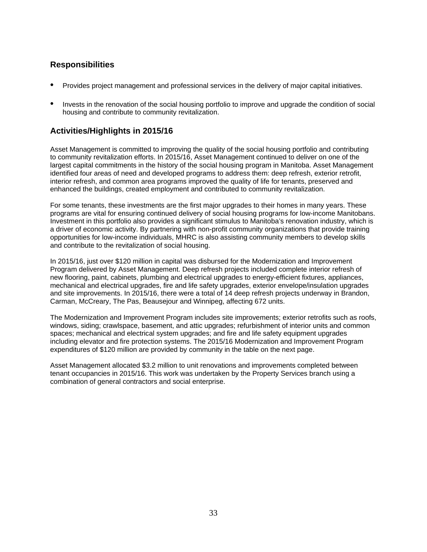## **Responsibilities**

- Provides project management and professional services in the delivery of major capital initiatives.
- Invests in the renovation of the social housing portfolio to improve and upgrade the condition of social housing and contribute to community revitalization.

## **Activities/Highlights in 2015/16**

Asset Management is committed to improving the quality of the social housing portfolio and contributing to community revitalization efforts. In 2015/16, Asset Management continued to deliver on one of the largest capital commitments in the history of the social housing program in Manitoba. Asset Management identified four areas of need and developed programs to address them: deep refresh, exterior retrofit, interior refresh, and common area programs improved the quality of life for tenants, preserved and enhanced the buildings, created employment and contributed to community revitalization.

For some tenants, these investments are the first major upgrades to their homes in many years. These programs are vital for ensuring continued delivery of social housing programs for low-income Manitobans. Investment in this portfolio also provides a significant stimulus to Manitoba's renovation industry, which is a driver of economic activity. By partnering with non-profit community organizations that provide training opportunities for low-income individuals, MHRC is also assisting community members to develop skills and contribute to the revitalization of social housing.

In 2015/16, just over \$120 million in capital was disbursed for the Modernization and Improvement Program delivered by Asset Management. Deep refresh projects included complete interior refresh of new flooring, paint, cabinets, plumbing and electrical upgrades to energy-efficient fixtures, appliances, mechanical and electrical upgrades, fire and life safety upgrades, exterior envelope/insulation upgrades and site improvements. In 2015/16, there were a total of 14 deep refresh projects underway in Brandon, Carman, McCreary, The Pas, Beausejour and Winnipeg, affecting 672 units.

The Modernization and Improvement Program includes site improvements; exterior retrofits such as roofs, windows, siding; crawlspace, basement, and attic upgrades; refurbishment of interior units and common spaces; mechanical and electrical system upgrades; and fire and life safety equipment upgrades including elevator and fire protection systems. The 2015/16 Modernization and Improvement Program expenditures of \$120 million are provided by community in the table on the next page.

Asset Management allocated \$3.2 million to unit renovations and improvements completed between tenant occupancies in 2015/16. This work was undertaken by the Property Services branch using a combination of general contractors and social enterprise.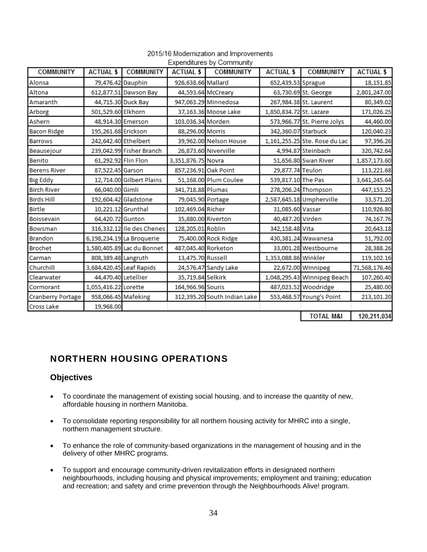| <b>COMMUNITY</b>    | <b>ACTUAL \$</b>     | <b>COMMUNITY</b>           | <b>ACTUAL \$</b>    | <b>COMMUNITY</b>             | <b>ACTUAL \$</b>        | <b>COMMUNITY</b>              | <b>ACTUAL \$</b> |
|---------------------|----------------------|----------------------------|---------------------|------------------------------|-------------------------|-------------------------------|------------------|
| Alonsa              | 79,476.42 Dauphin    |                            | 926,638.66 Mallard  |                              | 652,439.53 Sprague      |                               | 18,151.85        |
| Altona              |                      | 612,877.51 Dawson Bay      |                     | 44,593.64 McCreary           |                         | 63,730.69 St. George          | 2,801,247.00     |
| Amaranth            |                      | 44,715.30 Duck Bay         |                     | 947,063.29 Minnedosa         |                         | 267,984.38 St. Laurent        | 80,349.02        |
| Arborg              | 501,529.60 Elkhorn   |                            |                     | 37,163.36 Moose Lake         | 1,850,834.72 St. Lazare |                               | 171,026.25       |
| Ashern              |                      | 48,914.30 Emerson          | 103,036.34 Morden   |                              |                         | 573,966.77 St. Pierre Jolys   | 44,460.00        |
| <b>Bacon Ridge</b>  | 195,261.68 Erickson  |                            | 88,296.00 Morris    |                              | 342,360.07 Starbuck     |                               | 120,040.23       |
| <b>Barrows</b>      | 242,642.40 Ethelbert |                            |                     | 39,962.00 Nelson House       |                         | 1,161,255.25 Ste. Rose du Lac | 97,396.26        |
| Beausejour          |                      | 239,042.99 Fisher Branch   |                     | 26,873.60 Niverville         |                         | 4,994.87 Steinbach            | 320,742.64       |
| Benito              | 61,292.92 Flin Flon  |                            | 3,351,876.75 Novra  |                              |                         | 51,656.80 Swan River          | 1,857,173.60     |
| <b>Berens River</b> | 87,522.45 Garson     |                            |                     | 857,236.91 Oak Point         | 29,877.74 Teulon        |                               | 113,221.68       |
| <b>Big Eddy</b>     |                      | 12,714.00 Gilbert Plains   |                     | 51,168.00 Plum Coulee        | 539,817.10 The Pas      |                               | 3,641,245.64     |
| <b>Birch River</b>  | 66,040.00 Gimli      |                            | 341,718.88 Plumas   |                              |                         | 278,206.24 Thompson           | 447,153.25       |
| <b>Birds Hill</b>   |                      | 192,604.42 Gladstone       | 79,045.90 Portage   |                              |                         | 2,587,645.18 Umpherville      | 33,571.20        |
| <b>Birtle</b>       |                      | 10,221.12 Grunthal         | 102,469.04 Richer   |                              | 31,085.60 Vassar        |                               | 110,926.80       |
| <b>Boissevain</b>   | 64,420.72 Gunton     |                            | 35,880.00 Riverton  |                              | 40,487.20 Virden        |                               | 74,167.76        |
| Bowsman             |                      | 316,332.12 Ile des Chenes  | 128,205.01 Roblin   |                              | 342,158.48 Vita         |                               | 20,643.18        |
| <b>Brandon</b>      |                      | 6,198,234.19 La Broquerie  |                     | 75,400.00 Rock Ridge         |                         | 430,381.24 Wawanesa           | 51,792.00        |
| <b>Brochet</b>      |                      | 1,580,405.89 Lac du Bonnet | 487,045.40 Rorketon |                              |                         | 33,001.28 Westbourne          | 28,388.26        |
| Carman              | 808,389.48 Langruth  |                            | 13,475.70 Russell   |                              | 1,353,088.86 Winkler    |                               | 119,102.16       |
| Churchill           |                      | 3,684,420.45 Leaf Rapids   |                     | 24,576.47 Sandy Lake         |                         | 22,672.00 Winnipeg            | 71,568,176.46    |
| Clearwater          | 44,470.40 Letellier  |                            | 35,719.84 Selkirk   |                              |                         | 1,048,295.43 Winnipeg Beach   | 107,260.40       |
| Cormorant           | 1,055,416.22 Lorette |                            | 164,966.96 Souris   |                              |                         | 487,023.52 Woodridge          | 25,480.00        |
| Cranberry Portage   | 958,066.45 Mafeking  |                            |                     | 312,395.20 South Indian Lake |                         | 553,468.57 Young's Point      | 213,101.20       |
| <b>Cross Lake</b>   | 19,968.00            |                            |                     |                              |                         |                               |                  |
|                     |                      |                            |                     |                              |                         | <b>TOTAL M&amp;I</b>          | 120,211,034      |

#### 2015/16 Modernization and Improvements Expenditures by Community

# NORTHERN HOUSING OPERATIONS

### **Objectives**

- To coordinate the management of existing social housing, and to increase the quantity of new, affordable housing in northern Manitoba.
- To consolidate reporting responsibility for all northern housing activity for MHRC into a single, northern management structure.
- To enhance the role of community-based organizations in the management of housing and in the delivery of other MHRC programs.
- To support and encourage community-driven revitalization efforts in designated northern neighbourhoods, including housing and physical improvements; employment and training; education and recreation; and safety and crime prevention through the Neighbourhoods Alive! program.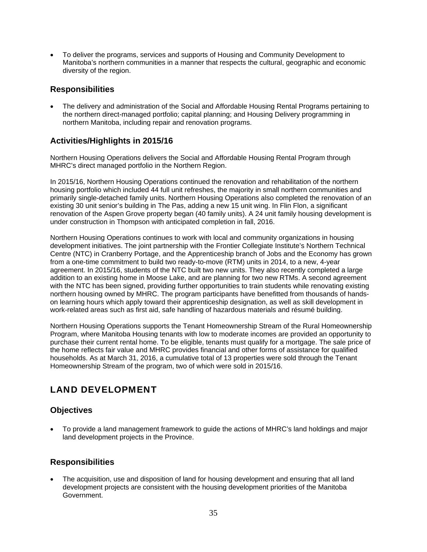To deliver the programs, services and supports of Housing and Community Development to Manitoba's northern communities in a manner that respects the cultural, geographic and economic diversity of the region.

# **Responsibilities**

 The delivery and administration of the Social and Affordable Housing Rental Programs pertaining to the northern direct-managed portfolio; capital planning; and Housing Delivery programming in northern Manitoba, including repair and renovation programs.

# **Activities/Highlights in 2015/16**

Northern Housing Operations delivers the Social and Affordable Housing Rental Program through MHRC's direct managed portfolio in the Northern Region.

In 2015/16, Northern Housing Operations continued the renovation and rehabilitation of the northern housing portfolio which included 44 full unit refreshes, the majority in small northern communities and primarily single-detached family units. Northern Housing Operations also completed the renovation of an existing 30 unit senior's building in The Pas, adding a new 15 unit wing. In Flin Flon, a significant renovation of the Aspen Grove property began (40 family units). A 24 unit family housing development is under construction in Thompson with anticipated completion in fall, 2016.

Northern Housing Operations continues to work with local and community organizations in housing development initiatives. The joint partnership with the Frontier Collegiate Institute's Northern Technical Centre (NTC) in Cranberry Portage, and the Apprenticeship branch of Jobs and the Economy has grown from a one-time commitment to build two ready-to-move (RTM) units in 2014, to a new, 4-year agreement. In 2015/16, students of the NTC built two new units. They also recently completed a large addition to an existing home in Moose Lake, and are planning for two new RTMs. A second agreement with the NTC has been signed, providing further opportunities to train students while renovating existing northern housing owned by MHRC. The program participants have benefitted from thousands of handson learning hours which apply toward their apprenticeship designation, as well as skill development in work-related areas such as first aid, safe handling of hazardous materials and résumé building.

Northern Housing Operations supports the Tenant Homeownership Stream of the Rural Homeownership Program, where Manitoba Housing tenants with low to moderate incomes are provided an opportunity to purchase their current rental home. To be eligible, tenants must qualify for a mortgage. The sale price of the home reflects fair value and MHRC provides financial and other forms of assistance for qualified households. As at March 31, 2016, a cumulative total of 13 properties were sold through the Tenant Homeownership Stream of the program, two of which were sold in 2015/16.

# LAND DEVELOPMENT

# **Objectives**

 To provide a land management framework to guide the actions of MHRC's land holdings and major land development projects in the Province.

# **Responsibilities**

 The acquisition, use and disposition of land for housing development and ensuring that all land development projects are consistent with the housing development priorities of the Manitoba Government.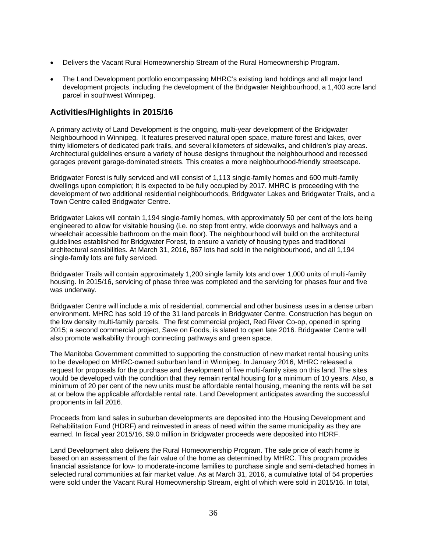- Delivers the Vacant Rural Homeownership Stream of the Rural Homeownership Program.
- The Land Development portfolio encompassing MHRC's existing land holdings and all major land development projects, including the development of the Bridgwater Neighbourhood, a 1,400 acre land parcel in southwest Winnipeg.

# **Activities/Highlights in 2015/16**

A primary activity of Land Development is the ongoing, multi-year development of the Bridgwater Neighbourhood in Winnipeg. It features preserved natural open space, mature forest and lakes, over thirty kilometers of dedicated park trails, and several kilometers of sidewalks, and children's play areas. Architectural guidelines ensure a variety of house designs throughout the neighbourhood and recessed garages prevent garage-dominated streets. This creates a more neighbourhood-friendly streetscape.

Bridgwater Forest is fully serviced and will consist of 1,113 single-family homes and 600 multi-family dwellings upon completion; it is expected to be fully occupied by 2017. MHRC is proceeding with the development of two additional residential neighbourhoods, Bridgwater Lakes and Bridgwater Trails, and a Town Centre called Bridgwater Centre.

Bridgwater Lakes will contain 1,194 single-family homes, with approximately 50 per cent of the lots being engineered to allow for visitable housing (i.e. no step front entry, wide doorways and hallways and a wheelchair accessible bathroom on the main floor). The neighbourhood will build on the architectural guidelines established for Bridgwater Forest, to ensure a variety of housing types and traditional architectural sensibilities. At March 31, 2016, 867 lots had sold in the neighbourhood, and all 1,194 single-family lots are fully serviced.

Bridgwater Trails will contain approximately 1,200 single family lots and over 1,000 units of multi-family housing. In 2015/16, servicing of phase three was completed and the servicing for phases four and five was underway.

Bridgwater Centre will include a mix of residential, commercial and other business uses in a dense urban environment. MHRC has sold 19 of the 31 land parcels in Bridgwater Centre. Construction has begun on the low density multi-family parcels. The first commercial project, Red River Co-op, opened in spring 2015; a second commercial project, Save on Foods, is slated to open late 2016. Bridgwater Centre will also promote walkability through connecting pathways and green space.

The Manitoba Government committed to supporting the construction of new market rental housing units to be developed on MHRC-owned suburban land in Winnipeg. In January 2016, MHRC released a request for proposals for the purchase and development of five multi-family sites on this land. The sites would be developed with the condition that they remain rental housing for a minimum of 10 years. Also, a minimum of 20 per cent of the new units must be affordable rental housing, meaning the rents will be set at or below the applicable affordable rental rate. Land Development anticipates awarding the successful proponents in fall 2016.

Proceeds from land sales in suburban developments are deposited into the Housing Development and Rehabilitation Fund (HDRF) and reinvested in areas of need within the same municipality as they are earned. In fiscal year 2015/16, \$9.0 million in Bridgwater proceeds were deposited into HDRF.

Land Development also delivers the Rural Homeownership Program. The sale price of each home is based on an assessment of the fair value of the home as determined by MHRC. This program provides financial assistance for low- to moderate-income families to purchase single and semi-detached homes in selected rural communities at fair market value. As at March 31, 2016, a cumulative total of 54 properties were sold under the Vacant Rural Homeownership Stream, eight of which were sold in 2015/16. In total,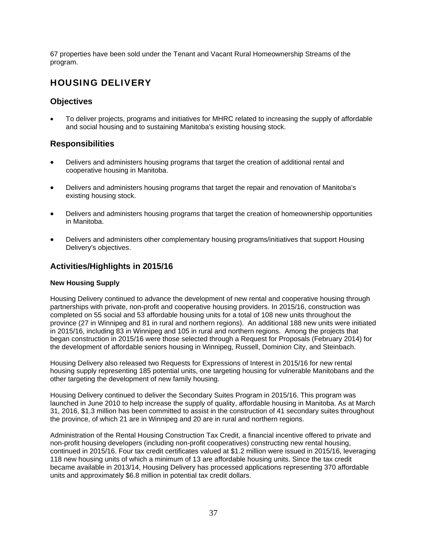67 properties have been sold under the Tenant and Vacant Rural Homeownership Streams of the program.

# HOUSING DELIVERY

### **Objectives**

 To deliver projects, programs and initiatives for MHRC related to increasing the supply of affordable and social housing and to sustaining Manitoba's existing housing stock.

# **Responsibilities**

- Delivers and administers housing programs that target the creation of additional rental and cooperative housing in Manitoba.
- Delivers and administers housing programs that target the repair and renovation of Manitoba's existing housing stock.
- Delivers and administers housing programs that target the creation of homeownership opportunities in Manitoba.
- Delivers and administers other complementary housing programs/initiatives that support Housing Delivery's objectives.

# **Activities/Highlights in 2015/16**

### **New Housing Supply**

Housing Delivery continued to advance the development of new rental and cooperative housing through partnerships with private, non-profit and cooperative housing providers. In 2015/16, construction was completed on 55 social and 53 affordable housing units for a total of 108 new units throughout the province (27 in Winnipeg and 81 in rural and northern regions). An additional 188 new units were initiated in 2015/16, including 83 in Winnipeg and 105 in rural and northern regions. Among the projects that began construction in 2015/16 were those selected through a Request for Proposals (February 2014) for the development of affordable seniors housing in Winnipeg, Russell, Dominion City, and Steinbach.

Housing Delivery also released two Requests for Expressions of Interest in 2015/16 for new rental housing supply representing 185 potential units, one targeting housing for vulnerable Manitobans and the other targeting the development of new family housing.

Housing Delivery continued to deliver the Secondary Suites Program in 2015/16. This program was launched in June 2010 to help increase the supply of quality, affordable housing in Manitoba. As at March 31, 2016, \$1.3 million has been committed to assist in the construction of 41 secondary suites throughout the province, of which 21 are in Winnipeg and 20 are in rural and northern regions.

Administration of the Rental Housing Construction Tax Credit, a financial incentive offered to private and non-profit housing developers (including non-profit cooperatives) constructing new rental housing, continued in 2015/16. Four tax credit certificates valued at \$1.2 million were issued in 2015/16, leveraging 118 new housing units of which a minimum of 13 are affordable housing units. Since the tax credit became available in 2013/14, Housing Delivery has processed applications representing 370 affordable units and approximately \$6.8 million in potential tax credit dollars.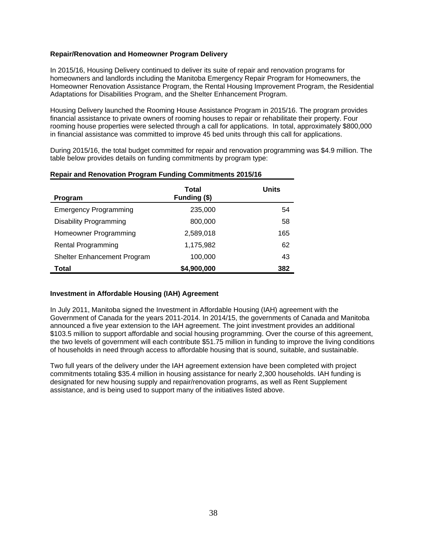### **Repair/Renovation and Homeowner Program Delivery**

In 2015/16, Housing Delivery continued to deliver its suite of repair and renovation programs for homeowners and landlords including the Manitoba Emergency Repair Program for Homeowners, the Homeowner Renovation Assistance Program, the Rental Housing Improvement Program, the Residential Adaptations for Disabilities Program, and the Shelter Enhancement Program.

Housing Delivery launched the Rooming House Assistance Program in 2015/16. The program provides financial assistance to private owners of rooming houses to repair or rehabilitate their property. Four rooming house properties were selected through a call for applications. In total, approximately \$800,000 in financial assistance was committed to improve 45 bed units through this call for applications.

During 2015/16, the total budget committed for repair and renovation programming was \$4.9 million. The table below provides details on funding commitments by program type:

| <b>Program</b>                | <b>Total</b><br>Funding (\$) | <b>Units</b> |
|-------------------------------|------------------------------|--------------|
| <b>Emergency Programming</b>  | 235,000                      | 54           |
| <b>Disability Programming</b> | 800,000                      | 58           |
| Homeowner Programming         | 2,589,018                    | 165          |
| <b>Rental Programming</b>     | 1,175,982                    | 62           |
| Shelter Enhancement Program   | 100,000                      | 43           |
| Total                         | \$4,900,000                  | 382          |

### **Repair and Renovation Program Funding Commitments 2015/16**

### **Investment in Affordable Housing (IAH) Agreement**

In July 2011, Manitoba signed the Investment in Affordable Housing (IAH) agreement with the Government of Canada for the years 2011-2014. In 2014/15, the governments of Canada and Manitoba announced a five year extension to the IAH agreement. The joint investment provides an additional \$103.5 million to support affordable and social housing programming. Over the course of this agreement, the two levels of government will each contribute \$51.75 million in funding to improve the living conditions of households in need through access to affordable housing that is sound, suitable, and sustainable.

Two full years of the delivery under the IAH agreement extension have been completed with project commitments totaling \$35.4 million in housing assistance for nearly 2,300 households. IAH funding is designated for new housing supply and repair/renovation programs, as well as Rent Supplement assistance, and is being used to support many of the initiatives listed above.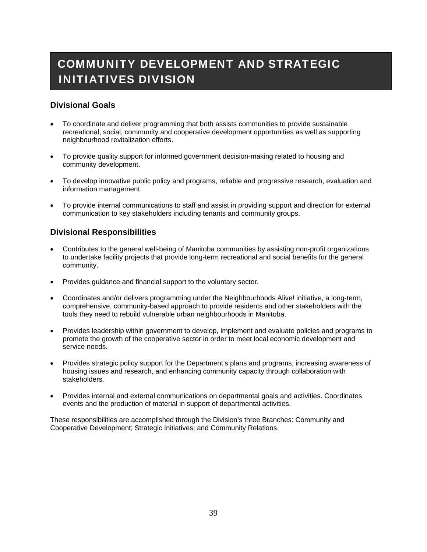# COMMUNITY DEVELOPMENT AND STRATEGIC INITIATIVES DIVISION

# **Divisional Goals**

- To coordinate and deliver programming that both assists communities to provide sustainable recreational, social, community and cooperative development opportunities as well as supporting neighbourhood revitalization efforts.
- To provide quality support for informed government decision-making related to housing and community development.
- To develop innovative public policy and programs, reliable and progressive research, evaluation and information management.
- To provide internal communications to staff and assist in providing support and direction for external communication to key stakeholders including tenants and community groups.

# **Divisional Responsibilities**

- Contributes to the general well-being of Manitoba communities by assisting non-profit organizations to undertake facility projects that provide long-term recreational and social benefits for the general community.
- Provides guidance and financial support to the voluntary sector.
- Coordinates and/or delivers programming under the Neighbourhoods Alive! initiative, a long-term, comprehensive, community-based approach to provide residents and other stakeholders with the tools they need to rebuild vulnerable urban neighbourhoods in Manitoba.
- Provides leadership within government to develop, implement and evaluate policies and programs to promote the growth of the cooperative sector in order to meet local economic development and service needs.
- Provides strategic policy support for the Department's plans and programs, increasing awareness of housing issues and research, and enhancing community capacity through collaboration with stakeholders.
- Provides internal and external communications on departmental goals and activities. Coordinates events and the production of material in support of departmental activities.

These responsibilities are accomplished through the Division's three Branches: Community and Cooperative Development; Strategic Initiatives; and Community Relations.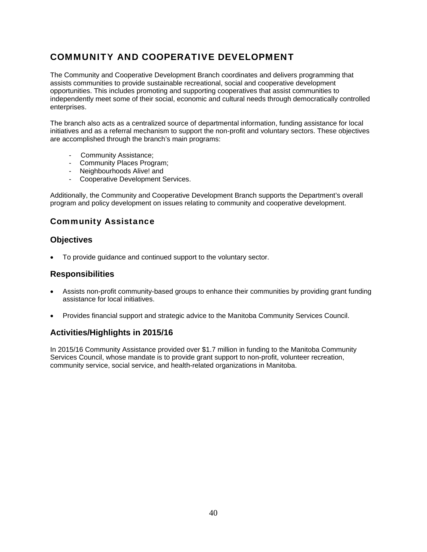# COMMUNITY AND COOPERATIVE DEVELOPMENT

The Community and Cooperative Development Branch coordinates and delivers programming that assists communities to provide sustainable recreational, social and cooperative development opportunities. This includes promoting and supporting cooperatives that assist communities to independently meet some of their social, economic and cultural needs through democratically controlled enterprises.

The branch also acts as a centralized source of departmental information, funding assistance for local initiatives and as a referral mechanism to support the non-profit and voluntary sectors. These objectives are accomplished through the branch's main programs:

- Community Assistance;
- Community Places Program;
- Neighbourhoods Alive! and
- Cooperative Development Services.

Additionally, the Community and Cooperative Development Branch supports the Department's overall program and policy development on issues relating to community and cooperative development.

# Community Assistance

### **Objectives**

To provide guidance and continued support to the voluntary sector.

### **Responsibilities**

- Assists non-profit community-based groups to enhance their communities by providing grant funding assistance for local initiatives.
- Provides financial support and strategic advice to the Manitoba Community Services Council.

### **Activities/Highlights in 2015/16**

In 2015/16 Community Assistance provided over \$1.7 million in funding to the Manitoba Community Services Council, whose mandate is to provide grant support to non-profit, volunteer recreation, community service, social service, and health-related organizations in Manitoba.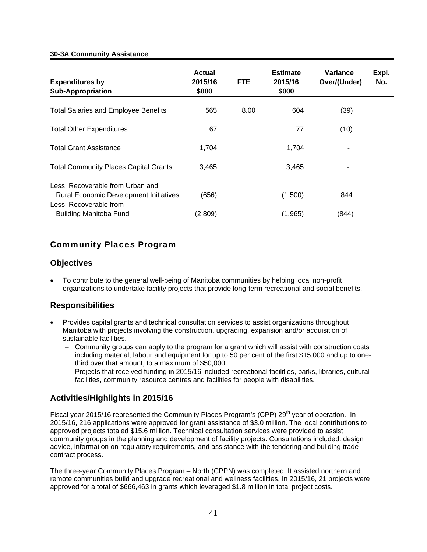### **30-3A Community Assistance**

| <b>Expenditures by</b><br><b>Sub-Appropriation</b>                                                          | <b>Actual</b><br>2015/16<br><b>FTE</b><br>\$000 |      | <b>Estimate</b><br>2015/16<br>\$000 | Variance<br>Over/(Under) | Expl.<br>No. |
|-------------------------------------------------------------------------------------------------------------|-------------------------------------------------|------|-------------------------------------|--------------------------|--------------|
| <b>Total Salaries and Employee Benefits</b>                                                                 | 565                                             | 8.00 | 604                                 | (39)                     |              |
| <b>Total Other Expenditures</b>                                                                             | 67                                              |      | 77                                  | (10)                     |              |
| <b>Total Grant Assistance</b>                                                                               | 1,704                                           |      | 1,704                               |                          |              |
| <b>Total Community Places Capital Grants</b>                                                                | 3,465                                           |      | 3,465                               |                          |              |
| Less: Recoverable from Urban and<br><b>Rural Economic Development Initiatives</b><br>Less: Recoverable from | (656)                                           |      | (1,500)                             | 844                      |              |
| <b>Building Manitoba Fund</b>                                                                               | (2,809)                                         |      | (1,965)                             | (844)                    |              |

# Community Places Program

### **Objectives**

 To contribute to the general well-being of Manitoba communities by helping local non-profit organizations to undertake facility projects that provide long-term recreational and social benefits.

### **Responsibilities**

- Provides capital grants and technical consultation services to assist organizations throughout Manitoba with projects involving the construction, upgrading, expansion and/or acquisition of sustainable facilities.
	- Community groups can apply to the program for a grant which will assist with construction costs including material, labour and equipment for up to 50 per cent of the first \$15,000 and up to onethird over that amount, to a maximum of \$50,000.
	- Projects that received funding in 2015/16 included recreational facilities, parks, libraries, cultural facilities, community resource centres and facilities for people with disabilities.

# **Activities/Highlights in 2015/16**

Fiscal year 2015/16 represented the Community Places Program's (CPP) 29<sup>th</sup> year of operation. In 2015/16, 216 applications were approved for grant assistance of \$3.0 million. The local contributions to approved projects totaled \$15.6 million. Technical consultation services were provided to assist community groups in the planning and development of facility projects. Consultations included: design advice, information on regulatory requirements, and assistance with the tendering and building trade contract process.

The three-year Community Places Program – North (CPPN) was completed. It assisted northern and remote communities build and upgrade recreational and wellness facilities. In 2015/16, 21 projects were approved for a total of \$666,463 in grants which leveraged \$1.8 million in total project costs.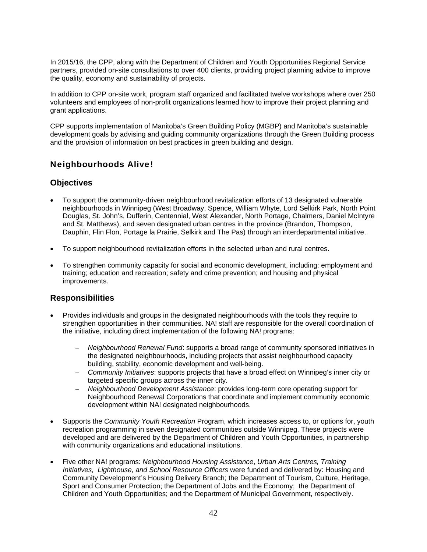In 2015/16, the CPP, along with the Department of Children and Youth Opportunities Regional Service partners, provided on-site consultations to over 400 clients, providing project planning advice to improve the quality, economy and sustainability of projects.

In addition to CPP on-site work, program staff organized and facilitated twelve workshops where over 250 volunteers and employees of non-profit organizations learned how to improve their project planning and grant applications.

CPP supports implementation of Manitoba's Green Building Policy (MGBP) and Manitoba's sustainable development goals by advising and guiding community organizations through the Green Building process and the provision of information on best practices in green building and design.

### Neighbourhoods Alive!

### **Objectives**

- To support the community-driven neighbourhood revitalization efforts of 13 designated vulnerable neighbourhoods in Winnipeg (West Broadway, Spence, William Whyte, Lord Selkirk Park, North Point Douglas, St. John's, Dufferin, Centennial, West Alexander, North Portage, Chalmers, Daniel McIntyre and St. Matthews), and seven designated urban centres in the province (Brandon, Thompson, Dauphin, Flin Flon, Portage la Prairie, Selkirk and The Pas) through an interdepartmental initiative.
- To support neighbourhood revitalization efforts in the selected urban and rural centres.
- To strengthen community capacity for social and economic development, including: employment and training; education and recreation; safety and crime prevention; and housing and physical improvements.

### **Responsibilities**

- Provides individuals and groups in the designated neighbourhoods with the tools they require to strengthen opportunities in their communities. NA! staff are responsible for the overall coordination of the initiative, including direct implementation of the following NA! programs:
	- *Neighbourhood Renewal Fund*: supports a broad range of community sponsored initiatives in the designated neighbourhoods, including projects that assist neighbourhood capacity building, stability, economic development and well-being.
	- *Community Initiatives*: supports projects that have a broad effect on Winnipeg's inner city or targeted specific groups across the inner city.
	- *Neighbourhood Development Assistance*: provides long-term core operating support for Neighbourhood Renewal Corporations that coordinate and implement community economic development within NA! designated neighbourhoods.
- Supports the *Community Youth Recreation* Program, which increases access to, or options for, youth recreation programming in seven designated communities outside Winnipeg. These projects were developed and are delivered by the Department of Children and Youth Opportunities, in partnership with community organizations and educational institutions.
- Five other NA! programs: *Neighbourhood Housing Assistance*, *Urban Arts Centres, Training Initiatives, Lighthouse, and School Resource Officers* were funded and delivered by: Housing and Community Development's Housing Delivery Branch; the Department of Tourism, Culture, Heritage, Sport and Consumer Protection; the Department of Jobs and the Economy; the Department of Children and Youth Opportunities; and the Department of Municipal Government, respectively.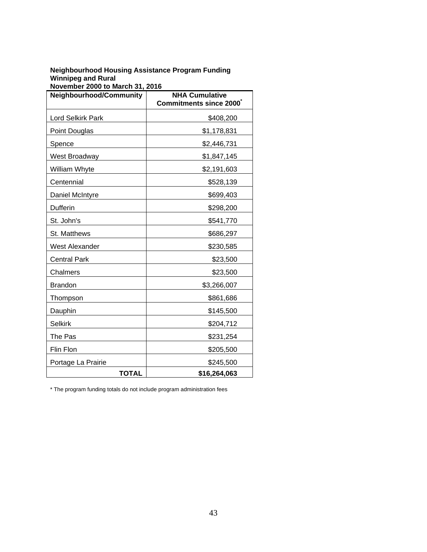### **Neighbourhood Housing Assistance Program Funding Winnipeg and Rural November 2000 to March 31, 2016**

| Neighbourhood/Community | <b>NHA Cumulative</b><br><b>Commitments since 2000</b> |
|-------------------------|--------------------------------------------------------|
| Lord Selkirk Park       | \$408,200                                              |
| Point Douglas           | \$1,178,831                                            |
| Spence                  | \$2,446,731                                            |
| West Broadway           | \$1,847,145                                            |
| William Whyte           | \$2,191,603                                            |
| Centennial              | \$528,139                                              |
| Daniel McIntyre         | \$699,403                                              |
| Dufferin                | \$298,200                                              |
| St. John's              | \$541,770                                              |
| St. Matthews            | \$686,297                                              |
| <b>West Alexander</b>   | \$230,585                                              |
| <b>Central Park</b>     | \$23,500                                               |
| Chalmers                | \$23,500                                               |
| <b>Brandon</b>          | \$3,266,007                                            |
| Thompson                | \$861,686                                              |
| Dauphin                 | \$145,500                                              |
| <b>Selkirk</b>          | \$204,712                                              |
| The Pas                 | \$231,254                                              |
| Flin Flon               | \$205,500                                              |
| Portage La Prairie      | \$245,500                                              |
| TOTAL                   | \$16,264,063                                           |

\* The program funding totals do not include program administration fees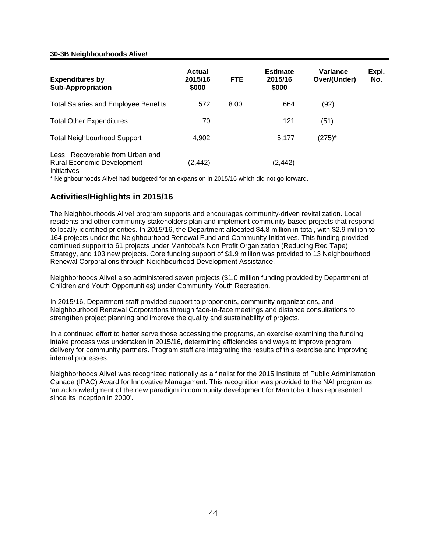### **30-3B Neighbourhoods Alive!**

| <b>Expenditures by</b><br><b>Sub-Appropriation</b>                                   | <b>Actual</b><br>2015/16<br>\$000 | <b>FTE</b> | <b>Estimate</b><br>2015/16<br>\$000 | Variance<br>Over/(Under) | Expl.<br>No. |
|--------------------------------------------------------------------------------------|-----------------------------------|------------|-------------------------------------|--------------------------|--------------|
| <b>Total Salaries and Employee Benefits</b>                                          | 572                               | 8.00       | 664                                 | (92)                     |              |
| <b>Total Other Expenditures</b>                                                      | 70                                |            | 121                                 | (51)                     |              |
| <b>Total Neighbourhood Support</b>                                                   | 4.902                             |            | 5,177                               | $(275)^*$                |              |
| Less: Recoverable from Urban and<br><b>Rural Economic Development</b><br>Initiatives | (2,442)                           |            | (2, 442)                            | ۰                        |              |

\* Neighbourhoods Alive! had budgeted for an expansion in 2015/16 which did not go forward.

# **Activities/Highlights in 2015/16**

The Neighbourhoods Alive! program supports and encourages community-driven revitalization. Local residents and other community stakeholders plan and implement community-based projects that respond to locally identified priorities. In 2015/16, the Department allocated \$4.8 million in total, with \$2.9 million to 164 projects under the Neighbourhood Renewal Fund and Community Initiatives. This funding provided continued support to 61 projects under Manitoba's Non Profit Organization (Reducing Red Tape) Strategy, and 103 new projects. Core funding support of \$1.9 million was provided to 13 Neighbourhood Renewal Corporations through Neighbourhood Development Assistance.

Neighborhoods Alive! also administered seven projects (\$1.0 million funding provided by Department of Children and Youth Opportunities) under Community Youth Recreation.

In 2015/16, Department staff provided support to proponents, community organizations, and Neighbourhood Renewal Corporations through face-to-face meetings and distance consultations to strengthen project planning and improve the quality and sustainability of projects.

In a continued effort to better serve those accessing the programs, an exercise examining the funding intake process was undertaken in 2015/16, determining efficiencies and ways to improve program delivery for community partners. Program staff are integrating the results of this exercise and improving internal processes.

Neighborhoods Alive! was recognized nationally as a finalist for the 2015 Institute of Public Administration Canada (IPAC) Award for Innovative Management. This recognition was provided to the NA! program as 'an acknowledgment of the new paradigm in community development for Manitoba it has represented since its inception in 2000'.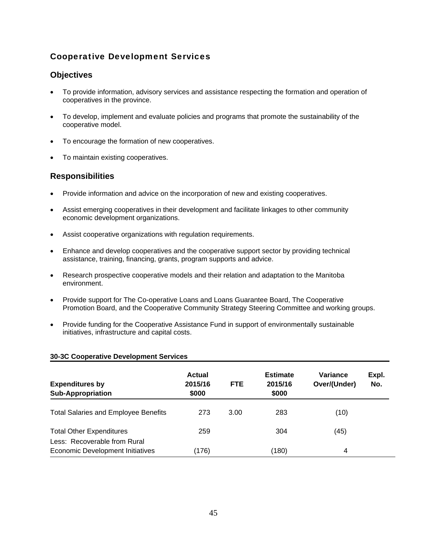# Cooperative Development Services

### **Objectives**

- To provide information, advisory services and assistance respecting the formation and operation of cooperatives in the province.
- To develop, implement and evaluate policies and programs that promote the sustainability of the cooperative model.
- To encourage the formation of new cooperatives.
- To maintain existing cooperatives.

### **Responsibilities**

- Provide information and advice on the incorporation of new and existing cooperatives.
- Assist emerging cooperatives in their development and facilitate linkages to other community economic development organizations.
- Assist cooperative organizations with regulation requirements.
- Enhance and develop cooperatives and the cooperative support sector by providing technical assistance, training, financing, grants, program supports and advice.
- Research prospective cooperative models and their relation and adaptation to the Manitoba environment.
- Provide support for The Co-operative Loans and Loans Guarantee Board, The Cooperative Promotion Board, and the Cooperative Community Strategy Steering Committee and working groups.
- Provide funding for the Cooperative Assistance Fund in support of environmentally sustainable initiatives, infrastructure and capital costs.

### **30-3C Cooperative Development Services**

| <b>Expenditures by</b><br><b>Sub-Appropriation</b>              | <b>Actual</b><br>2015/16<br>\$000 | <b>FTE</b> | <b>Estimate</b><br>2015/16<br>\$000 | Variance<br>Over/(Under) | Expl.<br>No. |
|-----------------------------------------------------------------|-----------------------------------|------------|-------------------------------------|--------------------------|--------------|
| <b>Total Salaries and Employee Benefits</b>                     | 273                               | 3.00       | 283                                 | (10)                     |              |
| <b>Total Other Expenditures</b><br>Less: Recoverable from Rural | 259                               |            | 304                                 | (45)                     |              |
| <b>Economic Development Initiatives</b>                         | (176)                             |            | (180)                               | 4                        |              |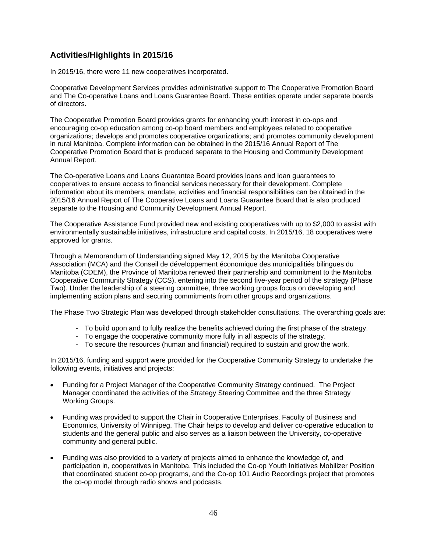# **Activities/Highlights in 2015/16**

In 2015/16, there were 11 new cooperatives incorporated.

Cooperative Development Services provides administrative support to The Cooperative Promotion Board and The Co-operative Loans and Loans Guarantee Board. These entities operate under separate boards of directors.

The Cooperative Promotion Board provides grants for enhancing youth interest in co-ops and encouraging co-op education among co-op board members and employees related to cooperative organizations; develops and promotes cooperative organizations; and promotes community development in rural Manitoba. Complete information can be obtained in the 2015/16 Annual Report of The Cooperative Promotion Board that is produced separate to the Housing and Community Development Annual Report.

The Co-operative Loans and Loans Guarantee Board provides loans and loan guarantees to cooperatives to ensure access to financial services necessary for their development. Complete information about its members, mandate, activities and financial responsibilities can be obtained in the 2015/16 Annual Report of The Cooperative Loans and Loans Guarantee Board that is also produced separate to the Housing and Community Development Annual Report.

The Cooperative Assistance Fund provided new and existing cooperatives with up to \$2,000 to assist with environmentally sustainable initiatives, infrastructure and capital costs. In 2015/16, 18 cooperatives were approved for grants.

Through a Memorandum of Understanding signed May 12, 2015 by the Manitoba Cooperative Association (MCA) and the Conseil de développement économique des municipalitiés bilingues du Manitoba (CDEM), the Province of Manitoba renewed their partnership and commitment to the Manitoba Cooperative Community Strategy (CCS), entering into the second five-year period of the strategy (Phase Two). Under the leadership of a steering committee, three working groups focus on developing and implementing action plans and securing commitments from other groups and organizations.

The Phase Two Strategic Plan was developed through stakeholder consultations. The overarching goals are:

- To build upon and to fully realize the benefits achieved during the first phase of the strategy.
- To engage the cooperative community more fully in all aspects of the strategy.
- To secure the resources (human and financial) required to sustain and grow the work.

In 2015/16, funding and support were provided for the Cooperative Community Strategy to undertake the following events, initiatives and projects:

- Funding for a Project Manager of the Cooperative Community Strategy continued. The Project Manager coordinated the activities of the Strategy Steering Committee and the three Strategy Working Groups.
- Funding was provided to support the Chair in Cooperative Enterprises, Faculty of Business and Economics, University of Winnipeg. The Chair helps to develop and deliver co-operative education to students and the general public and also serves as a liaison between the University, co-operative community and general public.
- Funding was also provided to a variety of projects aimed to enhance the knowledge of, and participation in, cooperatives in Manitoba. This included the Co-op Youth Initiatives Mobilizer Position that coordinated student co-op programs, and the Co-op 101 Audio Recordings project that promotes the co-op model through radio shows and podcasts.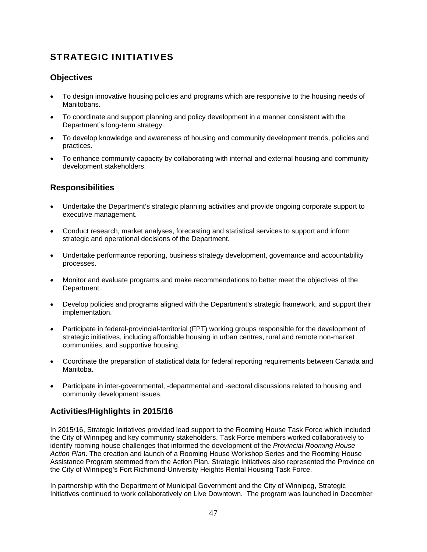# STRATEGIC INITIATIVES

### **Objectives**

- To design innovative housing policies and programs which are responsive to the housing needs of Manitobans.
- To coordinate and support planning and policy development in a manner consistent with the Department's long-term strategy.
- To develop knowledge and awareness of housing and community development trends, policies and practices.
- To enhance community capacity by collaborating with internal and external housing and community development stakeholders.

# **Responsibilities**

- Undertake the Department's strategic planning activities and provide ongoing corporate support to executive management.
- Conduct research, market analyses, forecasting and statistical services to support and inform strategic and operational decisions of the Department.
- Undertake performance reporting, business strategy development, governance and accountability processes.
- Monitor and evaluate programs and make recommendations to better meet the objectives of the Department.
- Develop policies and programs aligned with the Department's strategic framework, and support their implementation.
- Participate in federal-provincial-territorial (FPT) working groups responsible for the development of strategic initiatives, including affordable housing in urban centres, rural and remote non-market communities, and supportive housing.
- Coordinate the preparation of statistical data for federal reporting requirements between Canada and Manitoba.
- Participate in inter-governmental, -departmental and -sectoral discussions related to housing and community development issues.

# **Activities/Highlights in 2015/16**

In 2015/16, Strategic Initiatives provided lead support to the Rooming House Task Force which included the City of Winnipeg and key community stakeholders. Task Force members worked collaboratively to identify rooming house challenges that informed the development of the *Provincial Rooming House Action Plan*. The creation and launch of a Rooming House Workshop Series and the Rooming House Assistance Program stemmed from the Action Plan. Strategic Initiatives also represented the Province on the City of Winnipeg's Fort Richmond-University Heights Rental Housing Task Force.

In partnership with the Department of Municipal Government and the City of Winnipeg, Strategic Initiatives continued to work collaboratively on Live Downtown. The program was launched in December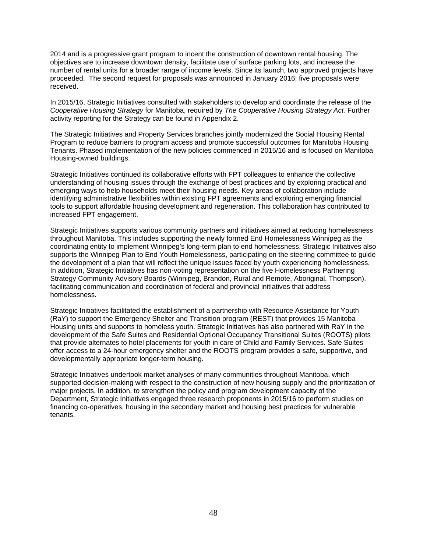2014 and is a progressive grant program to incent the construction of downtown rental housing. The objectives are to increase downtown density, facilitate use of surface parking lots, and increase the number of rental units for a broader range of income levels. Since its launch, two approved projects have proceeded. The second request for proposals was announced in January 2016; five proposals were received.

In 2015/16, Strategic Initiatives consulted with stakeholders to develop and coordinate the release of the *Cooperative Housing Strategy* for Manitoba, required by *The Cooperative Housing Strategy Act.* Further activity reporting for the Strategy can be found in Appendix 2.

The Strategic Initiatives and Property Services branches jointly modernized the Social Housing Rental Program to reduce barriers to program access and promote successful outcomes for Manitoba Housing Tenants. Phased implementation of the new policies commenced in 2015/16 and is focused on Manitoba Housing-owned buildings.

Strategic Initiatives continued its collaborative efforts with FPT colleagues to enhance the collective understanding of housing issues through the exchange of best practices and by exploring practical and emerging ways to help households meet their housing needs. Key areas of collaboration include identifying administrative flexibilities within existing FPT agreements and exploring emerging financial tools to support affordable housing development and regeneration. This collaboration has contributed to increased FPT engagement.

Strategic Initiatives supports various community partners and initiatives aimed at reducing homelessness throughout Manitoba. This includes supporting the newly formed End Homelessness Winnipeg as the coordinating entity to implement Winnipeg's long-term plan to end homelessness. Strategic Initiatives also supports the Winnipeg Plan to End Youth Homelessness, participating on the steering committee to guide the development of a plan that will reflect the unique issues faced by youth experiencing homelessness. In addition, Strategic Initiatives has non-voting representation on the five Homelessness Partnering Strategy Community Advisory Boards (Winnipeg, Brandon, Rural and Remote, Aboriginal, Thompson), facilitating communication and coordination of federal and provincial initiatives that address homelessness.

Strategic Initiatives facilitated the establishment of a partnership with Resource Assistance for Youth (RaY) to support the Emergency Shelter and Transition program (REST) that provides 15 Manitoba Housing units and supports to homeless youth. Strategic Initiatives has also partnered with RaY in the development of the Safe Suites and Residential Optional Occupancy Transitional Suites (ROOTS) pilots that provide alternates to hotel placements for youth in care of Child and Family Services. Safe Suites offer access to a 24-hour emergency shelter and the ROOTS program provides a safe, supportive, and developmentally appropriate longer-term housing.

Strategic Initiatives undertook market analyses of many communities throughout Manitoba, which supported decision-making with respect to the construction of new housing supply and the prioritization of major projects. In addition, to strengthen the policy and program development capacity of the Department, Strategic Initiatives engaged three research proponents in 2015/16 to perform studies on financing co-operatives, housing in the secondary market and housing best practices for vulnerable tenants.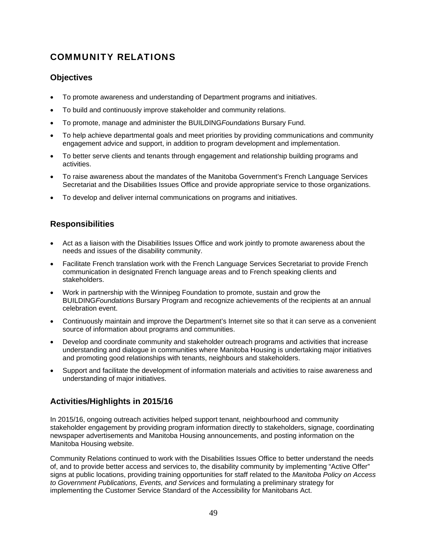# COMMUNITY RELATIONS

### **Objectives**

- To promote awareness and understanding of Department programs and initiatives.
- To build and continuously improve stakeholder and community relations.
- To promote, manage and administer the BUILDING*Foundations* Bursary Fund.
- To help achieve departmental goals and meet priorities by providing communications and community engagement advice and support, in addition to program development and implementation.
- To better serve clients and tenants through engagement and relationship building programs and activities.
- To raise awareness about the mandates of the Manitoba Government's French Language Services Secretariat and the Disabilities Issues Office and provide appropriate service to those organizations.
- To develop and deliver internal communications on programs and initiatives.

# **Responsibilities**

- Act as a liaison with the Disabilities Issues Office and work jointly to promote awareness about the needs and issues of the disability community.
- Facilitate French translation work with the French Language Services Secretariat to provide French communication in designated French language areas and to French speaking clients and stakeholders.
- Work in partnership with the Winnipeg Foundation to promote, sustain and grow the BUILDING*Foundations* Bursary Program and recognize achievements of the recipients at an annual celebration event.
- Continuously maintain and improve the Department's Internet site so that it can serve as a convenient source of information about programs and communities.
- Develop and coordinate community and stakeholder outreach programs and activities that increase understanding and dialogue in communities where Manitoba Housing is undertaking major initiatives and promoting good relationships with tenants, neighbours and stakeholders.
- Support and facilitate the development of information materials and activities to raise awareness and understanding of major initiatives.

# **Activities/Highlights in 2015/16**

In 2015/16, ongoing outreach activities helped support tenant, neighbourhood and community stakeholder engagement by providing program information directly to stakeholders, signage, coordinating newspaper advertisements and Manitoba Housing announcements, and posting information on the Manitoba Housing website.

Community Relations continued to work with the Disabilities Issues Office to better understand the needs of, and to provide better access and services to, the disability community by implementing "Active Offer" signs at public locations, providing training opportunities for staff related to the *Manitoba Policy on Access to Government Publications, Events, and Services* and formulating a preliminary strategy for implementing the Customer Service Standard of the Accessibility for Manitobans Act.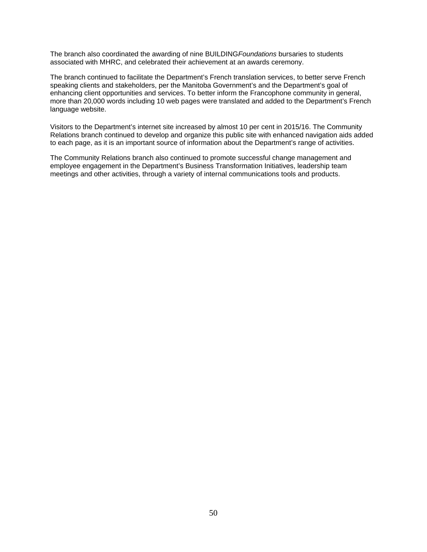The branch also coordinated the awarding of nine BUILDING*Foundations* bursaries to students associated with MHRC, and celebrated their achievement at an awards ceremony.

The branch continued to facilitate the Department's French translation services, to better serve French speaking clients and stakeholders, per the Manitoba Government's and the Department's goal of enhancing client opportunities and services. To better inform the Francophone community in general, more than 20,000 words including 10 web pages were translated and added to the Department's French language website.

Visitors to the Department's internet site increased by almost 10 per cent in 2015/16. The Community Relations branch continued to develop and organize this public site with enhanced navigation aids added to each page, as it is an important source of information about the Department's range of activities.

The Community Relations branch also continued to promote successful change management and employee engagement in the Department's Business Transformation Initiatives, leadership team meetings and other activities, through a variety of internal communications tools and products.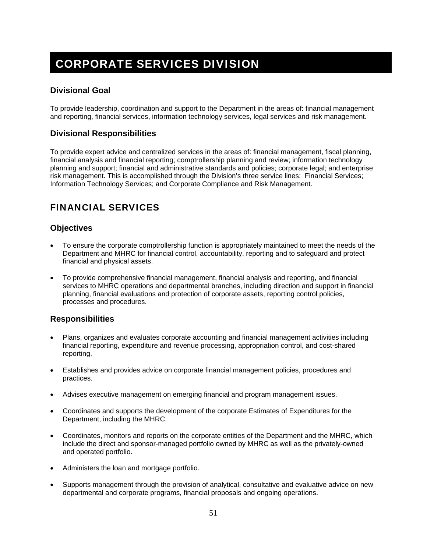# CORPORATE SERVICES DIVISION

# **Divisional Goal**

To provide leadership, coordination and support to the Department in the areas of: financial management and reporting, financial services, information technology services, legal services and risk management.

# **Divisional Responsibilities**

To provide expert advice and centralized services in the areas of: financial management, fiscal planning, financial analysis and financial reporting; comptrollership planning and review; information technology planning and support; financial and administrative standards and policies; corporate legal; and enterprise risk management. This is accomplished through the Division's three service lines: Financial Services; Information Technology Services; and Corporate Compliance and Risk Management.

# FINANCIAL SERVICES

### **Objectives**

- To ensure the corporate comptrollership function is appropriately maintained to meet the needs of the Department and MHRC for financial control, accountability, reporting and to safeguard and protect financial and physical assets.
- To provide comprehensive financial management, financial analysis and reporting, and financial services to MHRC operations and departmental branches, including direction and support in financial planning, financial evaluations and protection of corporate assets, reporting control policies, processes and procedures.

# **Responsibilities**

- Plans, organizes and evaluates corporate accounting and financial management activities including financial reporting, expenditure and revenue processing, appropriation control, and cost-shared reporting.
- Establishes and provides advice on corporate financial management policies, procedures and practices.
- Advises executive management on emerging financial and program management issues.
- Coordinates and supports the development of the corporate Estimates of Expenditures for the Department, including the MHRC.
- Coordinates, monitors and reports on the corporate entities of the Department and the MHRC, which include the direct and sponsor-managed portfolio owned by MHRC as well as the privately-owned and operated portfolio.
- Administers the loan and mortgage portfolio.
- Supports management through the provision of analytical, consultative and evaluative advice on new departmental and corporate programs, financial proposals and ongoing operations.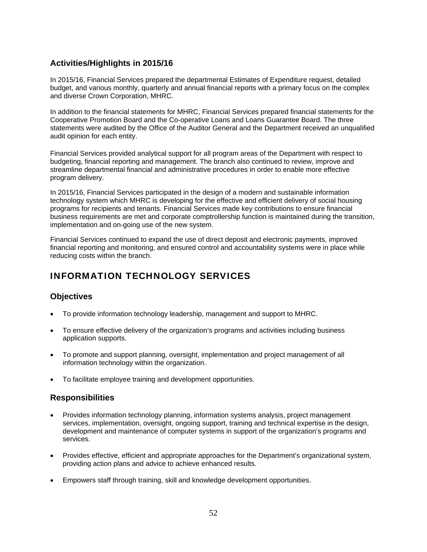# **Activities/Highlights in 2015/16**

In 2015/16, Financial Services prepared the departmental Estimates of Expenditure request, detailed budget, and various monthly, quarterly and annual financial reports with a primary focus on the complex and diverse Crown Corporation, MHRC.

In addition to the financial statements for MHRC, Financial Services prepared financial statements for the Cooperative Promotion Board and the Co-operative Loans and Loans Guarantee Board. The three statements were audited by the Office of the Auditor General and the Department received an unqualified audit opinion for each entity.

Financial Services provided analytical support for all program areas of the Department with respect to budgeting, financial reporting and management. The branch also continued to review, improve and streamline departmental financial and administrative procedures in order to enable more effective program delivery.

In 2015/16, Financial Services participated in the design of a modern and sustainable information technology system which MHRC is developing for the effective and efficient delivery of social housing programs for recipients and tenants. Financial Services made key contributions to ensure financial business requirements are met and corporate comptrollership function is maintained during the transition, implementation and on-going use of the new system.

Financial Services continued to expand the use of direct deposit and electronic payments, improved financial reporting and monitoring, and ensured control and accountability systems were in place while reducing costs within the branch.

# INFORMATION TECHNOLOGY SERVICES

# **Objectives**

- To provide information technology leadership, management and support to MHRC.
- To ensure effective delivery of the organization's programs and activities including business application supports.
- To promote and support planning, oversight, implementation and project management of all information technology within the organization.
- To facilitate employee training and development opportunities.

### **Responsibilities**

- Provides information technology planning, information systems analysis, project management services, implementation, oversight, ongoing support, training and technical expertise in the design, development and maintenance of computer systems in support of the organization's programs and services.
- Provides effective, efficient and appropriate approaches for the Department's organizational system, providing action plans and advice to achieve enhanced results.
- Empowers staff through training, skill and knowledge development opportunities.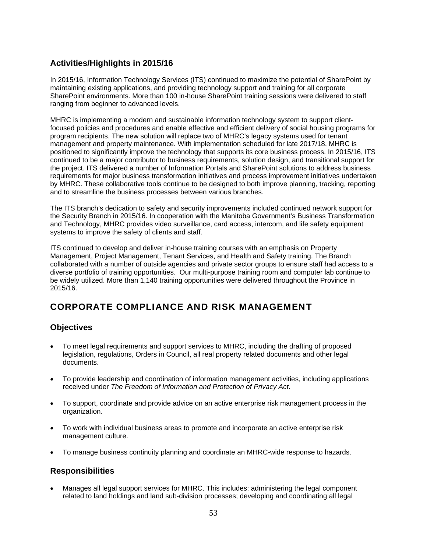# **Activities/Highlights in 2015/16**

In 2015/16, Information Technology Services (ITS) continued to maximize the potential of SharePoint by maintaining existing applications, and providing technology support and training for all corporate SharePoint environments. More than 100 in-house SharePoint training sessions were delivered to staff ranging from beginner to advanced levels.

MHRC is implementing a modern and sustainable information technology system to support clientfocused policies and procedures and enable effective and efficient delivery of social housing programs for program recipients. The new solution will replace two of MHRC's legacy systems used for tenant management and property maintenance. With implementation scheduled for late 2017/18, MHRC is positioned to significantly improve the technology that supports its core business process. In 2015/16, ITS continued to be a major contributor to business requirements, solution design, and transitional support for the project. ITS delivered a number of Information Portals and SharePoint solutions to address business requirements for major business transformation initiatives and process improvement initiatives undertaken by MHRC. These collaborative tools continue to be designed to both improve planning, tracking, reporting and to streamline the business processes between various branches.

The ITS branch's dedication to safety and security improvements included continued network support for the Security Branch in 2015/16. In cooperation with the Manitoba Government's Business Transformation and Technology, MHRC provides video surveillance, card access, intercom, and life safety equipment systems to improve the safety of clients and staff.

ITS continued to develop and deliver in-house training courses with an emphasis on Property Management, Project Management, Tenant Services, and Health and Safety training. The Branch collaborated with a number of outside agencies and private sector groups to ensure staff had access to a diverse portfolio of training opportunities. Our multi-purpose training room and computer lab continue to be widely utilized. More than 1,140 training opportunities were delivered throughout the Province in 2015/16.

# CORPORATE COMPLIANCE AND RISK MANAGEMENT

# **Objectives**

- To meet legal requirements and support services to MHRC, including the drafting of proposed legislation, regulations, Orders in Council, all real property related documents and other legal documents.
- To provide leadership and coordination of information management activities, including applications received under *The Freedom of Information and Protection of Privacy Act*.
- To support, coordinate and provide advice on an active enterprise risk management process in the organization.
- To work with individual business areas to promote and incorporate an active enterprise risk management culture.
- To manage business continuity planning and coordinate an MHRC-wide response to hazards.

### **Responsibilities**

 Manages all legal support services for MHRC. This includes: administering the legal component related to land holdings and land sub-division processes; developing and coordinating all legal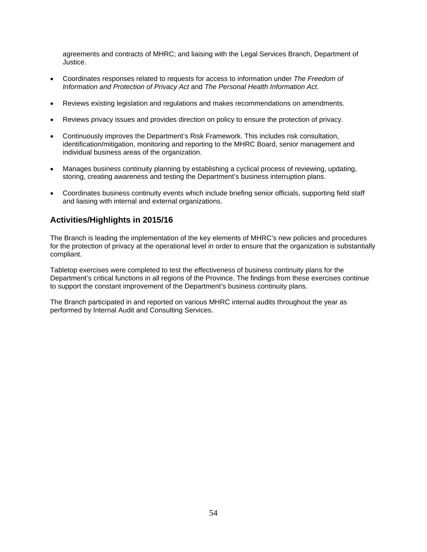agreements and contracts of MHRC; and liaising with the Legal Services Branch, Department of Justice.

- Coordinates responses related to requests for access to information under *The Freedom of Information and Protection of Privacy Act* and *The Personal Health Information Act*.
- Reviews existing legislation and regulations and makes recommendations on amendments.
- Reviews privacy issues and provides direction on policy to ensure the protection of privacy.
- Continuously improves the Department's Risk Framework. This includes risk consultation, identification/mitigation, monitoring and reporting to the MHRC Board, senior management and individual business areas of the organization.
- Manages business continuity planning by establishing a cyclical process of reviewing, updating, storing, creating awareness and testing the Department's business interruption plans.
- Coordinates business continuity events which include briefing senior officials, supporting field staff and liaising with internal and external organizations.

# **Activities/Highlights in 2015/16**

The Branch is leading the implementation of the key elements of MHRC's new policies and procedures for the protection of privacy at the operational level in order to ensure that the organization is substantially compliant.

Tabletop exercises were completed to test the effectiveness of business continuity plans for the Department's critical functions in all regions of the Province. The findings from these exercises continue to support the constant improvement of the Department's business continuity plans.

The Branch participated in and reported on various MHRC internal audits throughout the year as performed by Internal Audit and Consulting Services.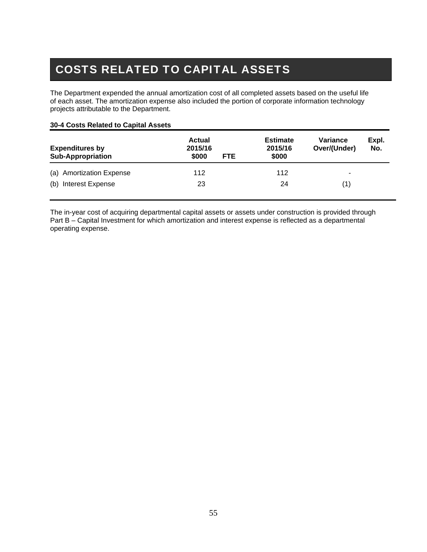# COSTS RELATED TO CAPITAL ASSETS

The Department expended the annual amortization cost of all completed assets based on the useful life of each asset. The amortization expense also included the portion of corporate information technology projects attributable to the Department.

### **30-4 Costs Related to Capital Assets**

| <b>Expenditures by</b><br><b>Sub-Appropriation</b> | <b>Actual</b><br>2015/16<br>\$000<br><b>FTE</b> | <b>Estimate</b><br>2015/16<br>\$000 | Variance<br>Over/(Under) | Expl.<br>No. |
|----------------------------------------------------|-------------------------------------------------|-------------------------------------|--------------------------|--------------|
| (a) Amortization Expense                           | 112                                             | 112                                 | ۰                        |              |
| <b>Interest Expense</b><br>(b)                     | 23                                              | 24                                  | (1)                      |              |

The in-year cost of acquiring departmental capital assets or assets under construction is provided through Part B – Capital Investment for which amortization and interest expense is reflected as a departmental operating expense.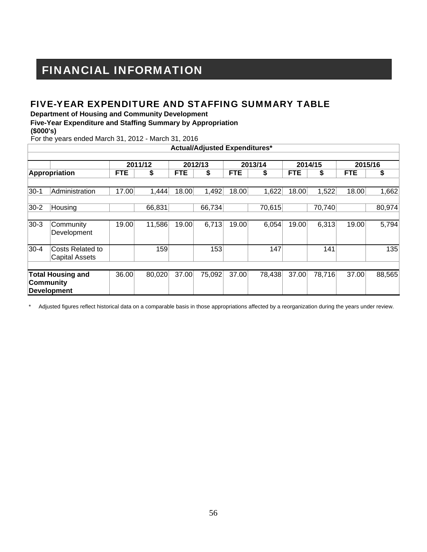# FINANCIAL INFORMATION

# FIVE-YEAR EXPENDITURE AND STAFFING SUMMARY TABLE

**Department of Housing and Community Development**

**Five-Year Expenditure and Staffing Summary by Appropriation** 

 **(\$000's)**

For the years ended March 31, 2012 - March 31, 2016

|          | <b>Actual/Adjusted Expenditures*</b>                               |            |         |            |        |            |        |            |        |            |        |
|----------|--------------------------------------------------------------------|------------|---------|------------|--------|------------|--------|------------|--------|------------|--------|
|          |                                                                    |            | 2011/12 | 2012/13    |        | 2013/14    |        | 2014/15    |        | 2015/16    |        |
|          | Appropriation                                                      | <b>FTE</b> | \$      | <b>FTE</b> | \$     | <b>FTE</b> | \$     | <b>FTE</b> | \$     | <b>FTE</b> | \$     |
| $30-1$   | Administration                                                     | 17.00      | 1,444   | 18.00      | 1,492  | 18.00      | 1,622  | 18.00      | 1,522  | 18.00      | 1,662  |
| $30 - 2$ | Housing                                                            |            | 66,831  |            | 66,734 |            | 70,615 |            | 70,740 |            | 80,974 |
| $30-3$   | Community<br>Development                                           | 19.00      | 11,586  | 19.00      | 6,713  | 19.00      | 6,054  | 19.00      | 6,313  | 19.00      | 5,794  |
| $30 - 4$ | Costs Related to<br><b>Capital Assets</b>                          |            | 159     |            | 153    |            | 147    |            | 141    |            | 135    |
|          | <b>Total Housing and</b><br><b>Community</b><br><b>Development</b> | 36.00      | 80,020  | 37.00      | 75,092 | 37.00      | 78,438 | 37.00      | 78,716 | 37.00      | 88,565 |

\* Adjusted figures reflect historical data on a comparable basis in those appropriations affected by a reorganization during the years under review.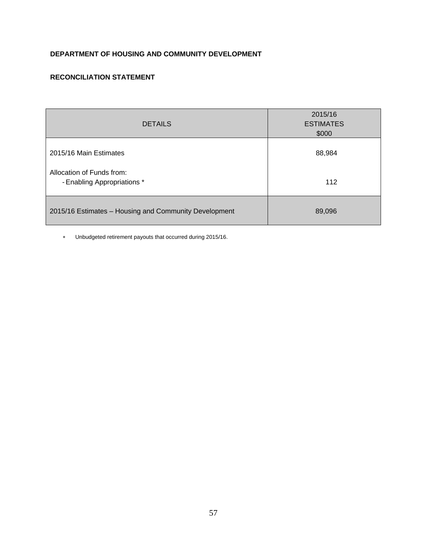### **DEPARTMENT OF HOUSING AND COMMUNITY DEVELOPMENT**

### **RECONCILIATION STATEMENT**

| <b>DETAILS</b>                                           | 2015/16<br><b>ESTIMATES</b><br>\$000 |
|----------------------------------------------------------|--------------------------------------|
| 2015/16 Main Estimates                                   | 88,984                               |
| Allocation of Funds from:<br>- Enabling Appropriations * | 112                                  |
| 2015/16 Estimates - Housing and Community Development    | 89,096                               |

Unbudgeted retirement payouts that occurred during 2015/16.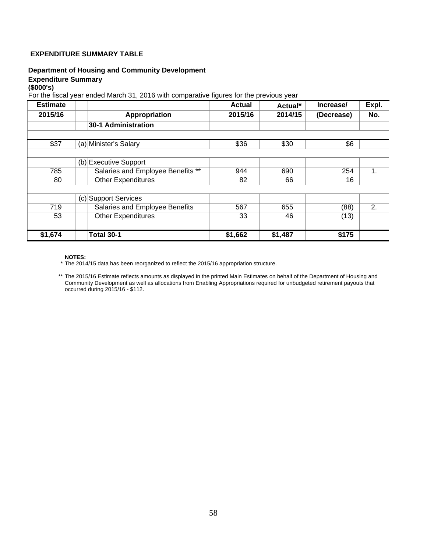### **EXPENDITURE SUMMARY TABLE**

### **Department of Housing and Community Development**

### **Expenditure Summary**

### **(\$000's)**

For the fiscal year ended March 31, 2016 with comparative figures for the previous year

| <b>Estimate</b> |                                   | <b>Actual</b> | Actual* | Increase/  | Expl. |
|-----------------|-----------------------------------|---------------|---------|------------|-------|
| 2015/16         | Appropriation                     | 2015/16       | 2014/15 | (Decrease) | No.   |
|                 | 30-1 Administration               |               |         |            |       |
|                 |                                   |               |         |            |       |
| \$37            | (a) Minister's Salary             | \$36          | \$30    | \$6        |       |
|                 |                                   |               |         |            |       |
|                 | (b) Executive Support             |               |         |            |       |
| 785             | Salaries and Employee Benefits ** | 944           | 690     | 254        | 1.    |
| 80              | <b>Other Expenditures</b>         | 82            | 66      | 16         |       |
|                 |                                   |               |         |            |       |
|                 | (c) Support Services              |               |         |            |       |
| 719             | Salaries and Employee Benefits    | 567           | 655     | (88)       | 2.    |
| 53              | <b>Other Expenditures</b>         | 33            | 46      | (13)       |       |
|                 |                                   |               |         |            |       |
| \$1,674         | Total 30-1                        | \$1,662       | \$1,487 | \$175      |       |

#### **NOTES:**

\* The 2014/15 data has been reorganized to reflect the 2015/16 appropriation structure.

\*\* The 2015/16 Estimate reflects amounts as displayed in the printed Main Estimates on behalf of the Department of Housing and Community Development as well as allocations from Enabling Appropriations required for unbudgeted retirement payouts that occurred during 2015/16 - \$112.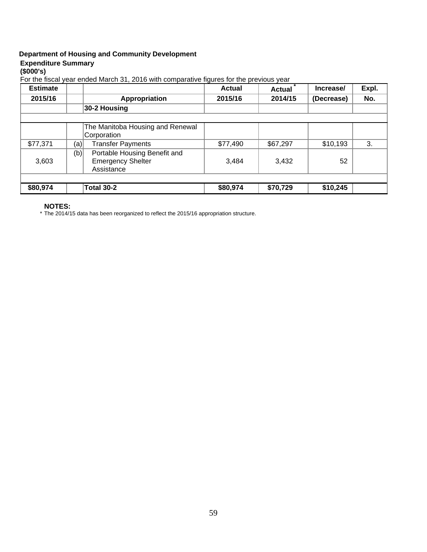# **Department of Housing and Community Development**

# **Expenditure Summary**

# **(\$000's)**

For the fiscal year ended March 31, 2016 with comparative figures for the previous year

| <b>Estimate</b> |     |                                  | <b>Actual</b> | <b>Actual</b> | Increase/  | Expl. |
|-----------------|-----|----------------------------------|---------------|---------------|------------|-------|
| 2015/16         |     | Appropriation                    | 2015/16       | 2014/15       | (Decrease) | No.   |
|                 |     | 30-2 Housing                     |               |               |            |       |
|                 |     |                                  |               |               |            |       |
|                 |     | The Manitoba Housing and Renewal |               |               |            |       |
|                 |     | Corporation                      |               |               |            |       |
| \$77,371        | (a) | <b>Transfer Payments</b>         | \$77,490      | \$67,297      | \$10,193   | 3.    |
|                 | (b) | Portable Housing Benefit and     |               |               |            |       |
| 3,603           |     | <b>Emergency Shelter</b>         | 3,484         | 3,432         | 52         |       |
|                 |     | Assistance                       |               |               |            |       |
|                 |     |                                  |               |               |            |       |
| \$80,974        |     | <b>Total 30-2</b>                | \$80,974      | \$70,729      | \$10,245   |       |

**NOTES:** 

\* The 2014/15 data has been reorganized to reflect the 2015/16 appropriation structure.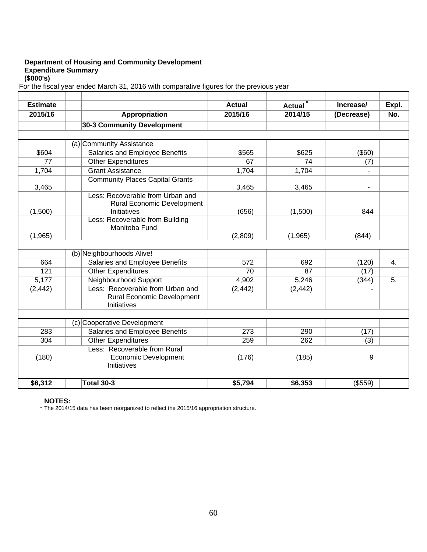### **Department of Housing and Community Development Expenditure Summary (\$000's)**

For the fiscal year ended March 31, 2016 with comparative figures for the previous year

| <b>Estimate</b> |                                                                                      | <b>Actual</b> | <b>Actual</b> | Increase/  | Expl.            |
|-----------------|--------------------------------------------------------------------------------------|---------------|---------------|------------|------------------|
| 2015/16         | Appropriation                                                                        | 2015/16       | 2014/15       | (Decrease) | No.              |
|                 | 30-3 Community Development                                                           |               |               |            |                  |
|                 |                                                                                      |               |               |            |                  |
|                 | (a) Community Assistance                                                             |               |               |            |                  |
| \$604           | Salaries and Employee Benefits                                                       | \$565         | \$625         | (\$60)     |                  |
| 77              | <b>Other Expenditures</b>                                                            | 67            | 74            | (7)        |                  |
| 1,704           | <b>Grant Assistance</b>                                                              | 1,704         | 1,704         |            |                  |
| 3,465           | <b>Community Places Capital Grants</b>                                               | 3,465         | 3,465         |            |                  |
| (1,500)         | Less: Recoverable from Urban and<br><b>Rural Economic Development</b><br>Initiatives | (656)         | (1,500)       | 844        |                  |
| (1,965)         | Less: Recoverable from Building<br>Manitoba Fund                                     | (2,809)       | (1, 965)      | (844)      |                  |
|                 |                                                                                      |               |               |            |                  |
|                 | (b) Neighbourhoods Alive!                                                            |               |               |            |                  |
| 664             | Salaries and Employee Benefits                                                       | 572           | 692           | (120)      | 4.               |
| 121             | <b>Other Expenditures</b>                                                            | 70            | 87            | (17)       |                  |
| 5,177           | Neighbourhood Support                                                                | 4,902         | 5,246         | (344)      | $\overline{5}$ . |
| (2, 442)        | Less: Recoverable from Urban and<br>Rural Economic Development<br>Initiatives        | (2, 442)      | (2, 442)      |            |                  |
|                 |                                                                                      |               |               |            |                  |
|                 | (c) Cooperative Development                                                          |               |               |            |                  |
| 283             | Salaries and Employee Benefits                                                       | 273           | 290           | (17)       |                  |
| 304             | Other Expenditures                                                                   | 259           | 262           | (3)        |                  |
| (180)           | Less: Recoverable from Rural<br>Economic Development<br>Initiatives                  | (176)         | (185)         | 9          |                  |
| \$6,312         | <b>Total 30-3</b>                                                                    | \$5,794       | \$6,353       | (\$559)    |                  |

**NOTES:** 

\* The 2014/15 data has been reorganized to reflect the 2015/16 appropriation structure.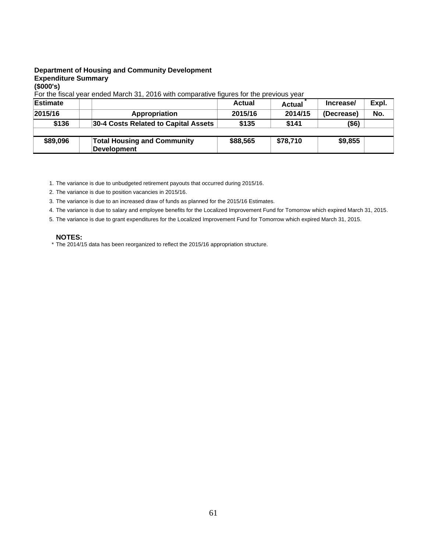### **Department of Housing and Community Development Expenditure Summary (\$000's)**

For the fiscal year ended March 31, 2016 with comparative figures for the previous year

| <b>Estimate</b> |                                                          | Actual   | Actual   | Increase/  | Expl. |
|-----------------|----------------------------------------------------------|----------|----------|------------|-------|
| 2015/16         | Appropriation                                            | 2015/16  | 2014/15  | (Decrease) | No.   |
| \$136           | 30-4 Costs Related to Capital Assets                     | \$135    | \$141    | $($ \$6)   |       |
| \$89,096        | <b>Total Housing and Community</b><br><b>Development</b> | \$88,565 | \$78,710 | \$9,855    |       |

1. The variance is due to unbudgeted retirement payouts that occurred during 2015/16.

2. The variance is due to position vacancies in 2015/16.

3. The variance is due to an increased draw of funds as planned for the 2015/16 Estimates.

4. The variance is due to salary and employee benefits for the Localized Improvement Fund for Tomorrow which expired March 31, 2015.

5. The variance is due to grant expenditures for the Localized Improvement Fund for Tomorrow which expired March 31, 2015.

#### **NOTES:**

\* The 2014/15 data has been reorganized to reflect the 2015/16 appropriation structure.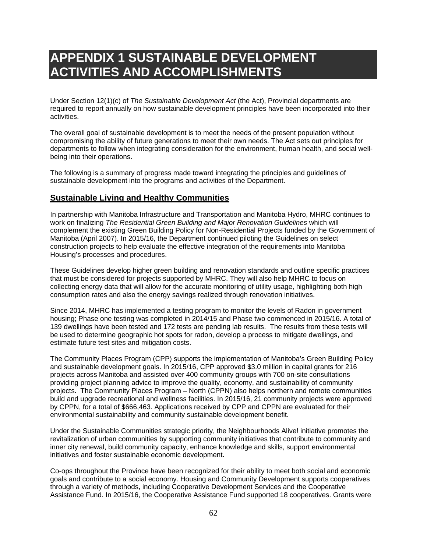# **APPENDIX 1 SUSTAINABLE DEVELOPMENT ACTIVITIES AND ACCOMPLISHMENTS**

Under Section 12(1)(c) of *The Sustainable Development Act* (the Act), Provincial departments are required to report annually on how sustainable development principles have been incorporated into their activities.

The overall goal of sustainable development is to meet the needs of the present population without compromising the ability of future generations to meet their own needs. The Act sets out principles for departments to follow when integrating consideration for the environment, human health, and social wellbeing into their operations.

The following is a summary of progress made toward integrating the principles and guidelines of sustainable development into the programs and activities of the Department.

# **Sustainable Living and Healthy Communities**

In partnership with Manitoba Infrastructure and Transportation and Manitoba Hydro, MHRC continues to work on finalizing *The Residential Green Building and Major Renovation Guidelines* which will complement the existing Green Building Policy for Non-Residential Projects funded by the Government of Manitoba (April 2007). In 2015/16, the Department continued piloting the Guidelines on select construction projects to help evaluate the effective integration of the requirements into Manitoba Housing's processes and procedures.

These Guidelines develop higher green building and renovation standards and outline specific practices that must be considered for projects supported by MHRC. They will also help MHRC to focus on collecting energy data that will allow for the accurate monitoring of utility usage, highlighting both high consumption rates and also the energy savings realized through renovation initiatives.

Since 2014, MHRC has implemented a testing program to monitor the levels of Radon in government housing; Phase one testing was completed in 2014/15 and Phase two commenced in 2015/16. A total of 139 dwellings have been tested and 172 tests are pending lab results. The results from these tests will be used to determine geographic hot spots for radon, develop a process to mitigate dwellings, and estimate future test sites and mitigation costs.

The Community Places Program (CPP) supports the implementation of Manitoba's Green Building Policy and sustainable development goals. In 2015/16, CPP approved \$3.0 million in capital grants for 216 projects across Manitoba and assisted over 400 community groups with 700 on-site consultations providing project planning advice to improve the quality, economy, and sustainability of community projects. The Community Places Program – North (CPPN) also helps northern and remote communities build and upgrade recreational and wellness facilities. In 2015/16, 21 community projects were approved by CPPN, for a total of \$666,463. Applications received by CPP and CPPN are evaluated for their environmental sustainability and community sustainable development benefit.

Under the Sustainable Communities strategic priority, the Neighbourhoods Alive! initiative promotes the revitalization of urban communities by supporting community initiatives that contribute to community and inner city renewal, build community capacity, enhance knowledge and skills, support environmental initiatives and foster sustainable economic development.

Co-ops throughout the Province have been recognized for their ability to meet both social and economic goals and contribute to a social economy. Housing and Community Development supports cooperatives through a variety of methods, including Cooperative Development Services and the Cooperative Assistance Fund. In 2015/16, the Cooperative Assistance Fund supported 18 cooperatives. Grants were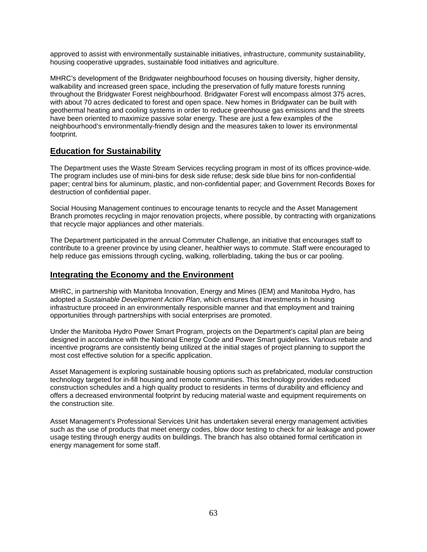approved to assist with environmentally sustainable initiatives, infrastructure, community sustainability, housing cooperative upgrades, sustainable food initiatives and agriculture.

MHRC's development of the Bridgwater neighbourhood focuses on housing diversity, higher density, walkability and increased green space, including the preservation of fully mature forests running throughout the Bridgwater Forest neighbourhood. Bridgwater Forest will encompass almost 375 acres, with about 70 acres dedicated to forest and open space. New homes in Bridgwater can be built with geothermal heating and cooling systems in order to reduce greenhouse gas emissions and the streets have been oriented to maximize passive solar energy. These are just a few examples of the neighbourhood's environmentally-friendly design and the measures taken to lower its environmental footprint.

### **Education for Sustainability**

The Department uses the Waste Stream Services recycling program in most of its offices province-wide. The program includes use of mini-bins for desk side refuse; desk side blue bins for non-confidential paper; central bins for aluminum, plastic, and non-confidential paper; and Government Records Boxes for destruction of confidential paper.

Social Housing Management continues to encourage tenants to recycle and the Asset Management Branch promotes recycling in major renovation projects, where possible, by contracting with organizations that recycle major appliances and other materials.

The Department participated in the annual Commuter Challenge, an initiative that encourages staff to contribute to a greener province by using cleaner, healthier ways to commute. Staff were encouraged to help reduce gas emissions through cycling, walking, rollerblading, taking the bus or car pooling.

### **Integrating the Economy and the Environment**

MHRC, in partnership with Manitoba Innovation, Energy and Mines (IEM) and Manitoba Hydro, has adopted a *Sustainable Development Action Plan*, which ensures that investments in housing infrastructure proceed in an environmentally responsible manner and that employment and training opportunities through partnerships with social enterprises are promoted.

Under the Manitoba Hydro Power Smart Program, projects on the Department's capital plan are being designed in accordance with the National Energy Code and Power Smart guidelines. Various rebate and incentive programs are consistently being utilized at the initial stages of project planning to support the most cost effective solution for a specific application.

Asset Management is exploring sustainable housing options such as prefabricated, modular construction technology targeted for in-fill housing and remote communities. This technology provides reduced construction schedules and a high quality product to residents in terms of durability and efficiency and offers a decreased environmental footprint by reducing material waste and equipment requirements on the construction site.

Asset Management's Professional Services Unit has undertaken several energy management activities such as the use of products that meet energy codes, blow door testing to check for air leakage and power usage testing through energy audits on buildings. The branch has also obtained formal certification in energy management for some staff.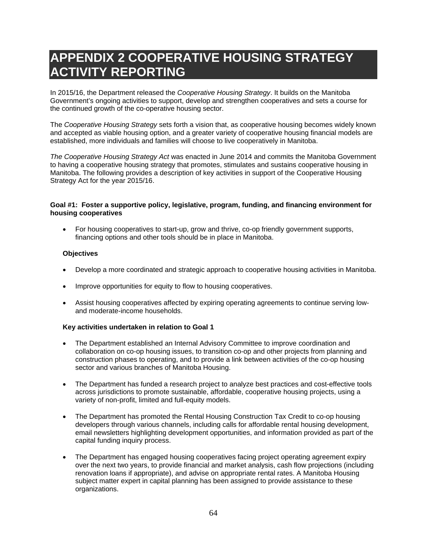# **APPENDIX 2 COOPERATIVE HOUSING STRATEGY ACTIVITY REPORTING**

In 2015/16, the Department released the *Cooperative Housing Strategy*. It builds on the Manitoba Government's ongoing activities to support, develop and strengthen cooperatives and sets a course for the continued growth of the co-operative housing sector.

The *Cooperative Housing Strategy* sets forth a vision that, as cooperative housing becomes widely known and accepted as viable housing option, and a greater variety of cooperative housing financial models are established, more individuals and families will choose to live cooperatively in Manitoba.

*The Cooperative Housing Strategy Act* was enacted in June 2014 and commits the Manitoba Government to having a cooperative housing strategy that promotes, stimulates and sustains cooperative housing in Manitoba. The following provides a description of key activities in support of the Cooperative Housing Strategy Act for the year 2015/16.

### **Goal #1: Foster a supportive policy, legislative, program, funding, and financing environment for housing cooperatives**

• For housing cooperatives to start-up, grow and thrive, co-op friendly government supports, financing options and other tools should be in place in Manitoba.

### **Objectives**

- Develop a more coordinated and strategic approach to cooperative housing activities in Manitoba.
- Improve opportunities for equity to flow to housing cooperatives.
- Assist housing cooperatives affected by expiring operating agreements to continue serving lowand moderate-income households.

### **Key activities undertaken in relation to Goal 1**

- The Department established an Internal Advisory Committee to improve coordination and collaboration on co-op housing issues, to transition co-op and other projects from planning and construction phases to operating, and to provide a link between activities of the co-op housing sector and various branches of Manitoba Housing.
- The Department has funded a research project to analyze best practices and cost-effective tools across jurisdictions to promote sustainable, affordable, cooperative housing projects, using a variety of non-profit, limited and full-equity models.
- The Department has promoted the Rental Housing Construction Tax Credit to co-op housing developers through various channels, including calls for affordable rental housing development, email newsletters highlighting development opportunities, and information provided as part of the capital funding inquiry process.
- The Department has engaged housing cooperatives facing project operating agreement expiry over the next two years, to provide financial and market analysis, cash flow projections (including renovation loans if appropriate), and advise on appropriate rental rates. A Manitoba Housing subject matter expert in capital planning has been assigned to provide assistance to these organizations.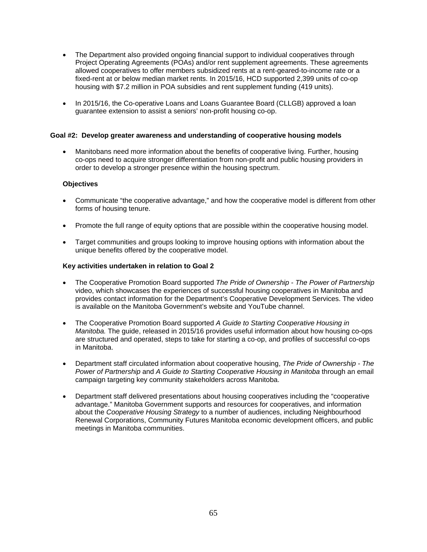- The Department also provided ongoing financial support to individual cooperatives through Project Operating Agreements (POAs) and/or rent supplement agreements. These agreements allowed cooperatives to offer members subsidized rents at a rent-geared-to-income rate or a fixed-rent at or below median market rents. In 2015/16, HCD supported 2,399 units of co-op housing with \$7.2 million in POA subsidies and rent supplement funding (419 units).
- In 2015/16, the Co-operative Loans and Loans Guarantee Board (CLLGB) approved a loan guarantee extension to assist a seniors' non-profit housing co-op.

### **Goal #2: Develop greater awareness and understanding of cooperative housing models**

 Manitobans need more information about the benefits of cooperative living. Further, housing co-ops need to acquire stronger differentiation from non-profit and public housing providers in order to develop a stronger presence within the housing spectrum.

### **Objectives**

- Communicate "the cooperative advantage," and how the cooperative model is different from other forms of housing tenure.
- Promote the full range of equity options that are possible within the cooperative housing model.
- Target communities and groups looking to improve housing options with information about the unique benefits offered by the cooperative model.

### **Key activities undertaken in relation to Goal 2**

- The Cooperative Promotion Board supported *The Pride of Ownership The Power of Partnership* video, which showcases the experiences of successful housing cooperatives in Manitoba and provides contact information for the Department's Cooperative Development Services. The video is available on the Manitoba Government's website and YouTube channel.
- The Cooperative Promotion Board supported *A Guide to Starting Cooperative Housing in Manitoba.* The guide, released in 2015/16 provides useful information about how housing co-ops are structured and operated, steps to take for starting a co-op, and profiles of successful co-ops in Manitoba.
- Department staff circulated information about cooperative housing, *The Pride of Ownership The Power of Partnership* and *A Guide to Starting Cooperative Housing in Manitoba* through an email campaign targeting key community stakeholders across Manitoba.
- Department staff delivered presentations about housing cooperatives including the "cooperative advantage." Manitoba Government supports and resources for cooperatives, and information about the *Cooperative Housing Strategy* to a number of audiences, including Neighbourhood Renewal Corporations, Community Futures Manitoba economic development officers, and public meetings in Manitoba communities.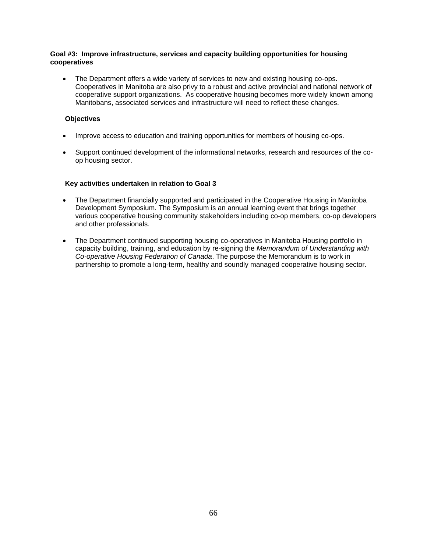### **Goal #3: Improve infrastructure, services and capacity building opportunities for housing cooperatives**

 The Department offers a wide variety of services to new and existing housing co-ops. Cooperatives in Manitoba are also privy to a robust and active provincial and national network of cooperative support organizations. As cooperative housing becomes more widely known among Manitobans, associated services and infrastructure will need to reflect these changes.

### **Objectives**

- Improve access to education and training opportunities for members of housing co-ops.
- Support continued development of the informational networks, research and resources of the coop housing sector.

### **Key activities undertaken in relation to Goal 3**

- The Department financially supported and participated in the Cooperative Housing in Manitoba Development Symposium. The Symposium is an annual learning event that brings together various cooperative housing community stakeholders including co-op members, co-op developers and other professionals.
- The Department continued supporting housing co-operatives in Manitoba Housing portfolio in capacity building, training, and education by re-signing the *Memorandum of Understanding with Co-operative Housing Federation of Canada*. The purpose the Memorandum is to work in partnership to promote a long-term, healthy and soundly managed cooperative housing sector.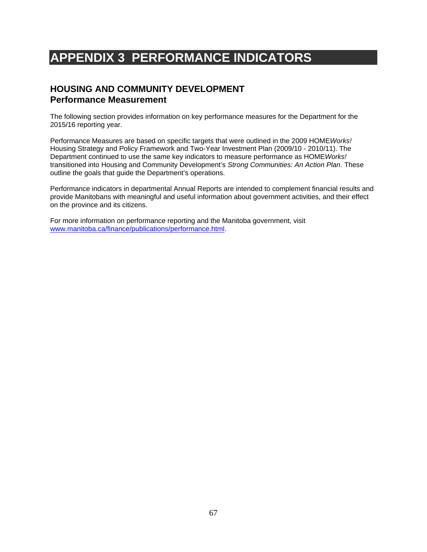# **APPENDIX 3 PERFORMANCE INDICATORS**

# **HOUSING AND COMMUNITY DEVELOPMENT Performance Measurement**

The following section provides information on key performance measures for the Department for the 2015/16 reporting year.

Performance Measures are based on specific targets that were outlined in the 2009 HOME*Works!* Housing Strategy and Policy Framework and Two-Year Investment Plan (2009/10 - 2010/11). The Department continued to use the same key indicators to measure performance as HOME*Works!*  transitioned into Housing and Community Development's *Strong Communities: An Action Plan*. These outline the goals that guide the Department's operations.

Performance indicators in departmental Annual Reports are intended to complement financial results and provide Manitobans with meaningful and useful information about government activities, and their effect on the province and its citizens.

For more information on performance reporting and the Manitoba government, visit www.manitoba.ca/finance/publications/performance.html.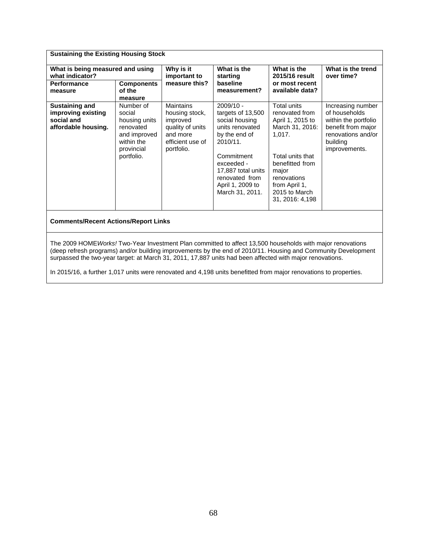| <b>Sustaining the Existing Housing Stock</b>                                     |                                                                                                             |                                                                                                                  |                                                                                                                                                                                                               |                                                                                                                                                                                                    |                                                                                                                                     |  |  |
|----------------------------------------------------------------------------------|-------------------------------------------------------------------------------------------------------------|------------------------------------------------------------------------------------------------------------------|---------------------------------------------------------------------------------------------------------------------------------------------------------------------------------------------------------------|----------------------------------------------------------------------------------------------------------------------------------------------------------------------------------------------------|-------------------------------------------------------------------------------------------------------------------------------------|--|--|
| What is being measured and using<br>what indicator?                              |                                                                                                             | Why is it<br>important to                                                                                        | What is the<br>starting                                                                                                                                                                                       | What is the<br>2015/16 result                                                                                                                                                                      | What is the trend<br>over time?                                                                                                     |  |  |
| <b>Performance</b><br>measure                                                    | <b>Components</b><br>of the<br>measure                                                                      | measure this?                                                                                                    | baseline<br>measurement?                                                                                                                                                                                      | or most recent<br>available data?                                                                                                                                                                  |                                                                                                                                     |  |  |
| <b>Sustaining and</b><br>improving existing<br>social and<br>affordable housing. | Number of<br>social<br>housing units<br>renovated<br>and improved<br>within the<br>provincial<br>portfolio. | <b>Maintains</b><br>housing stock,<br>improved<br>quality of units<br>and more<br>efficient use of<br>portfolio. | $2009/10 -$<br>targets of 13,500<br>social housing<br>units renovated<br>by the end of<br>2010/11.<br>Commitment<br>exceeded -<br>17,887 total units<br>renovated from<br>April 1, 2009 to<br>March 31, 2011. | Total units<br>renovated from<br>April 1, 2015 to<br>March 31, 2016:<br>1,017.<br>Total units that<br>benefitted from<br>major<br>renovations<br>from April 1,<br>2015 to March<br>31, 2016: 4,198 | Increasing number<br>of households<br>within the portfolio<br>benefit from major<br>renovations and/or<br>building<br>improvements. |  |  |
|                                                                                  |                                                                                                             |                                                                                                                  |                                                                                                                                                                                                               |                                                                                                                                                                                                    |                                                                                                                                     |  |  |

### **Comments/Recent Actions/Report Links**

The 2009 HOME*Works!* Two-Year Investment Plan committed to affect 13,500 households with major renovations (deep refresh programs) and/or building improvements by the end of 2010/11. Housing and Community Development surpassed the two-year target: at March 31, 2011, 17,887 units had been affected with major renovations.

In 2015/16, a further 1,017 units were renovated and 4,198 units benefitted from major renovations to properties.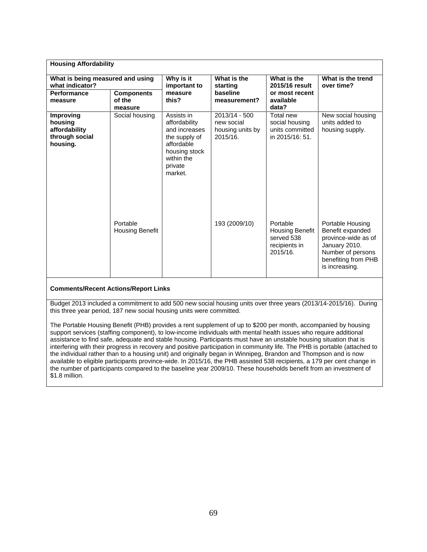| <b>Housing Affordability</b>                                        |                                        |                                                                                                                                  |                                                               |                                                                               |                                                                                                                                            |  |  |
|---------------------------------------------------------------------|----------------------------------------|----------------------------------------------------------------------------------------------------------------------------------|---------------------------------------------------------------|-------------------------------------------------------------------------------|--------------------------------------------------------------------------------------------------------------------------------------------|--|--|
| What is being measured and using<br>what indicator?                 |                                        | Why is it<br>important to                                                                                                        | What is the<br>starting                                       | What is the<br>2015/16 result                                                 | What is the trend<br>over time?                                                                                                            |  |  |
| Performance<br>measure                                              | <b>Components</b><br>of the<br>measure | measure<br>this?                                                                                                                 | baseline<br>measurement?                                      | or most recent<br>available<br>data?                                          |                                                                                                                                            |  |  |
| Improving<br>housing<br>affordability<br>through social<br>housing. | Social housing                         | Assists in<br>affordability<br>and increases<br>the supply of<br>affordable<br>housing stock<br>within the<br>private<br>market. | $2013/14 - 500$<br>new social<br>housing units by<br>2015/16. | Total new<br>social housing<br>units committed<br>in 2015/16: 51.             | New social housing<br>units added to<br>housing supply.                                                                                    |  |  |
|                                                                     | Portable<br><b>Housing Benefit</b>     |                                                                                                                                  | 193 (2009/10)                                                 | Portable<br><b>Housing Benefit</b><br>served 538<br>recipients in<br>2015/16. | Portable Housing<br>Benefit expanded<br>province-wide as of<br>January 2010.<br>Number of persons<br>benefiting from PHB<br>is increasing. |  |  |

#### **Comments/Recent Actions/Report Links**

Budget 2013 included a commitment to add 500 new social housing units over three years (2013/14-2015/16). During this three year period, 187 new social housing units were committed.

The Portable Housing Benefit (PHB) provides a rent supplement of up to \$200 per month, accompanied by housing support services (staffing component), to low-income individuals with mental health issues who require additional assistance to find safe, adequate and stable housing. Participants must have an unstable housing situation that is interfering with their progress in recovery and positive participation in community life. The PHB is portable (attached to the individual rather than to a housing unit) and originally began in Winnipeg, Brandon and Thompson and is now available to eligible participants province-wide. In 2015/16, the PHB assisted 538 recipients, a 179 per cent change in the number of participants compared to the baseline year 2009/10. These households benefit from an investment of \$1.8 million.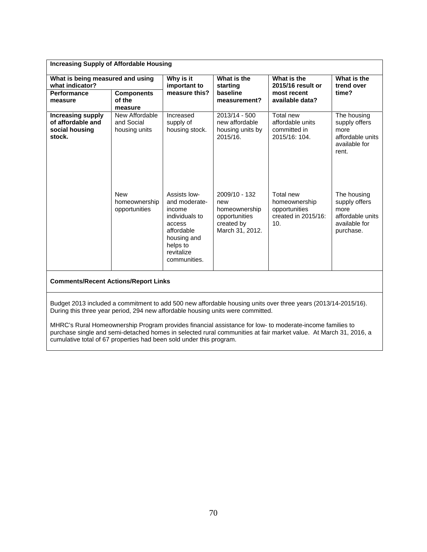| <b>Increasing Supply of Affordable Housing</b>                            |                                               |                                                                                                                                            |                                                                                         |                                                                           |                                                                                        |  |  |
|---------------------------------------------------------------------------|-----------------------------------------------|--------------------------------------------------------------------------------------------------------------------------------------------|-----------------------------------------------------------------------------------------|---------------------------------------------------------------------------|----------------------------------------------------------------------------------------|--|--|
| What is being measured and using<br>what indicator?                       |                                               | Why is it<br>important to                                                                                                                  | What is the<br>starting                                                                 | What is the<br>2015/16 result or                                          | What is the<br>trend over                                                              |  |  |
| Performance<br>measure                                                    | <b>Components</b><br>of the<br>measure        | measure this?                                                                                                                              | baseline<br>measurement?                                                                | most recent<br>available data?                                            | time?                                                                                  |  |  |
| <b>Increasing supply</b><br>of affordable and<br>social housing<br>stock. | New Affordable<br>and Social<br>housing units | Increased<br>supply of<br>housing stock.                                                                                                   | 2013/14 - 500<br>new affordable<br>housing units by<br>2015/16.                         | Total new<br>affordable units<br>committed in<br>2015/16: 104.            | The housing<br>supply offers<br>more<br>affordable units<br>available for<br>rent.     |  |  |
|                                                                           | <b>New</b><br>homeownership<br>opportunities  | Assists low-<br>and moderate-<br>income<br>individuals to<br>access<br>affordable<br>housing and<br>helps to<br>revitalize<br>communities. | 2009/10 - 132<br>new<br>homeownership<br>opportunities<br>created by<br>March 31, 2012. | Total new<br>homeownership<br>opportunities<br>created in 2015/16:<br>10. | The housing<br>supply offers<br>more<br>affordable units<br>available for<br>purchase. |  |  |

### **Comments/Recent Actions/Report Links**

Budget 2013 included a commitment to add 500 new affordable housing units over three years (2013/14-2015/16). During this three year period, 294 new affordable housing units were committed.

MHRC's Rural Homeownership Program provides financial assistance for low- to moderate-income families to purchase single and semi-detached homes in selected rural communities at fair market value. At March 31, 2016, a cumulative total of 67 properties had been sold under this program.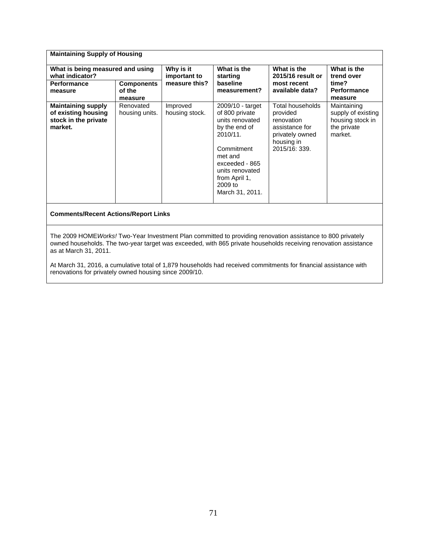| <b>Maintaining Supply of Housing</b>                                                |                                        |                            |                                                                                                                                                                                                   |                                                                                                                |                                                                                 |  |
|-------------------------------------------------------------------------------------|----------------------------------------|----------------------------|---------------------------------------------------------------------------------------------------------------------------------------------------------------------------------------------------|----------------------------------------------------------------------------------------------------------------|---------------------------------------------------------------------------------|--|
| What is being measured and using<br>what indicator?                                 |                                        | Why is it<br>important to  | What is the<br>starting                                                                                                                                                                           | What is the<br>2015/16 result or                                                                               | What is the<br>trend over                                                       |  |
| <b>Performance</b><br>measure                                                       | <b>Components</b><br>of the<br>measure | measure this?              | baseline<br>measurement?                                                                                                                                                                          | most recent<br>available data?                                                                                 | time?<br><b>Performance</b><br>measure                                          |  |
| <b>Maintaining supply</b><br>of existing housing<br>stock in the private<br>market. | Renovated<br>housing units.            | Improved<br>housing stock. | 2009/10 - target<br>of 800 private<br>units renovated<br>by the end of<br>2010/11.<br>Commitment<br>met and<br>exceeded - 865<br>units renovated<br>from April 1,<br>$2009$ to<br>March 31, 2011. | Total households<br>provided<br>renovation<br>assistance for<br>privately owned<br>housing in<br>2015/16: 339. | Maintaining<br>supply of existing<br>housing stock in<br>the private<br>market. |  |

# **Comments/Recent Actions/Report Links**

The 2009 HOME*Works!* Two-Year Investment Plan committed to providing renovation assistance to 800 privately owned households. The two-year target was exceeded, with 865 private households receiving renovation assistance as at March 31, 2011.

At March 31, 2016, a cumulative total of 1,879 households had received commitments for financial assistance with renovations for privately owned housing since 2009/10.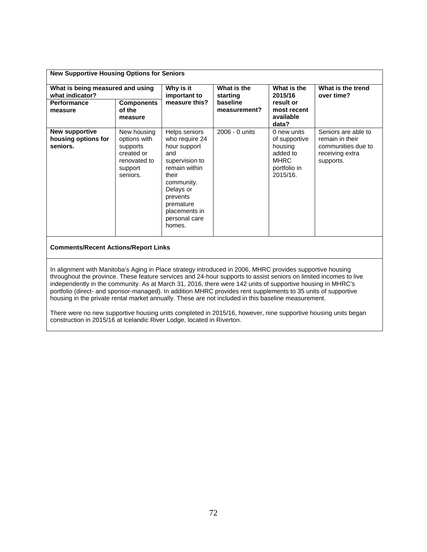| <b>New Supportive Housing Options for Seniors</b>   |                                                                                              |                                                                                                                                                                                                    |                          |                                                                                                |                                                                                              |
|-----------------------------------------------------|----------------------------------------------------------------------------------------------|----------------------------------------------------------------------------------------------------------------------------------------------------------------------------------------------------|--------------------------|------------------------------------------------------------------------------------------------|----------------------------------------------------------------------------------------------|
| What is being measured and using<br>what indicator? |                                                                                              | Why is it<br>important to                                                                                                                                                                          | What is the<br>starting  | What is the<br>2015/16                                                                         | What is the trend<br>over time?                                                              |
| <b>Performance</b><br>measure                       | <b>Components</b><br>of the<br>measure                                                       | measure this?                                                                                                                                                                                      | baseline<br>measurement? | result or<br>most recent<br>available<br>data?                                                 |                                                                                              |
| New supportive<br>housing options for<br>seniors.   | New housing<br>options with<br>supports<br>created or<br>renovated to<br>support<br>seniors. | Helps seniors<br>who require 24<br>hour support<br>and<br>supervision to<br>remain within<br>their<br>community.<br>Delays or<br>prevents<br>premature<br>placements in<br>personal care<br>homes. | 2006 - 0 units           | 0 new units<br>of supportive<br>housing<br>added to<br><b>MHRC</b><br>portfolio in<br>2015/16. | Seniors are able to<br>remain in their<br>communities due to<br>receiving extra<br>supports. |

# **Comments/Recent Actions/Report Links**

In alignment with Manitoba's Aging in Place strategy introduced in 2006, MHRC provides supportive housing throughout the province. These feature services and 24-hour supports to assist seniors on limited incomes to live independently in the community. As at March 31, 2016, there were 142 units of supportive housing in MHRC's portfolio (direct- and sponsor-managed). In addition MHRC provides rent supplements to 35 units of supportive housing in the private rental market annually. These are not included in this baseline measurement.

There were no new supportive housing units completed in 2015/16, however, nine supportive housing units began construction in 2015/16 at Icelandic River Lodge, located in Riverton.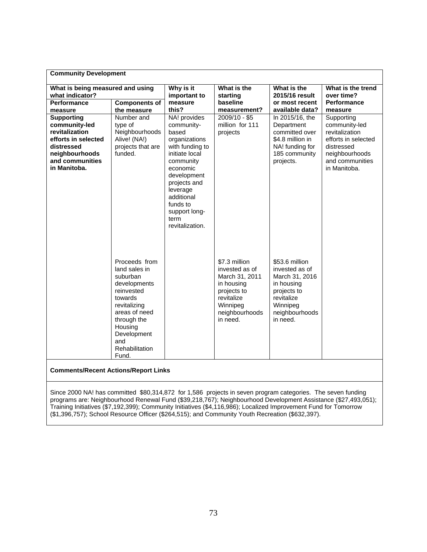| <b>Community Development</b>                                                                                                                   |                                                                                                                                                                                                 |                                                                                                                                                                                                                                     |                                                                                                                                        |                                                                                                                                         |                                                                                                                                         |
|------------------------------------------------------------------------------------------------------------------------------------------------|-------------------------------------------------------------------------------------------------------------------------------------------------------------------------------------------------|-------------------------------------------------------------------------------------------------------------------------------------------------------------------------------------------------------------------------------------|----------------------------------------------------------------------------------------------------------------------------------------|-----------------------------------------------------------------------------------------------------------------------------------------|-----------------------------------------------------------------------------------------------------------------------------------------|
| What is being measured and using<br>what indicator?                                                                                            |                                                                                                                                                                                                 | Why is it<br>important to                                                                                                                                                                                                           | What is the<br>starting                                                                                                                | What is the<br>2015/16 result                                                                                                           | What is the trend<br>over time?                                                                                                         |
| <b>Performance</b>                                                                                                                             | <b>Components of</b>                                                                                                                                                                            | measure                                                                                                                                                                                                                             | baseline                                                                                                                               | or most recent                                                                                                                          | <b>Performance</b>                                                                                                                      |
| measure                                                                                                                                        | the measure                                                                                                                                                                                     | this?                                                                                                                                                                                                                               | measurement?                                                                                                                           | available data?                                                                                                                         | measure                                                                                                                                 |
| <b>Supporting</b><br>community-led<br>revitalization<br>efforts in selected<br>distressed<br>neighbourhoods<br>and communities<br>in Manitoba. | Number and<br>type of<br>Neighbourhoods<br>Alive! (NA!)<br>projects that are<br>funded.                                                                                                         | NA! provides<br>community-<br>based<br>organizations<br>with funding to<br>initiate local<br>community<br>economic<br>development<br>projects and<br>leverage<br>additional<br>funds to<br>support long-<br>term<br>revitalization. | $2009/10 - $5$<br>million for 111<br>projects                                                                                          | In 2015/16, the<br>Department<br>committed over<br>\$4.8 million in<br>NA! funding for<br>185 community<br>projects.                    | Supporting<br>community-led<br>revitalization<br>efforts in selected<br>distressed<br>neighbourhoods<br>and communities<br>in Manitoba. |
|                                                                                                                                                | Proceeds from<br>land sales in<br>suburban<br>developments<br>reinvested<br>towards<br>revitalizing<br>areas of need<br>through the<br>Housing<br>Development<br>and<br>Rehabilitation<br>Fund. |                                                                                                                                                                                                                                     | \$7.3 million<br>invested as of<br>March 31, 2011<br>in housing<br>projects to<br>revitalize<br>Winnipeg<br>neighbourhoods<br>in need. | \$53.6 million<br>invested as of<br>March 31, 2016<br>in housing<br>projects to<br>revitalize<br>Winnipeg<br>neighbourhoods<br>in need. |                                                                                                                                         |
| <b>Comments/Recent Actions/Report Links</b>                                                                                                    |                                                                                                                                                                                                 |                                                                                                                                                                                                                                     |                                                                                                                                        |                                                                                                                                         |                                                                                                                                         |

Since 2000 NA! has committed \$80,314,872 for 1,586 projects in seven program categories. The seven funding programs are: Neighbourhood Renewal Fund (\$39,218,767); Neighbourhood Development Assistance (\$27,493,051); Training Initiatives (\$7,192,399); Community Initiatives (\$4,116,986); Localized Improvement Fund for Tomorrow (\$1,396,757); School Resource Officer (\$264,515); and Community Youth Recreation (\$632,397).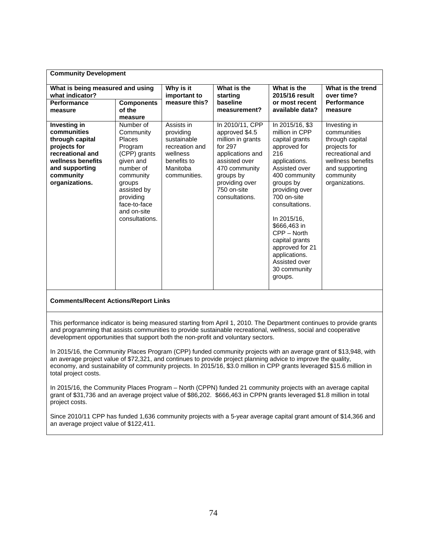| <b>Community Development</b>                                                                                                                             |                                                                                                                                                                                           |                                                                                                                 |                                                                                                                                                                                         |                                                                                                                                                                                                                                                                                                                                                 |                                                                                                                                                          |  |
|----------------------------------------------------------------------------------------------------------------------------------------------------------|-------------------------------------------------------------------------------------------------------------------------------------------------------------------------------------------|-----------------------------------------------------------------------------------------------------------------|-----------------------------------------------------------------------------------------------------------------------------------------------------------------------------------------|-------------------------------------------------------------------------------------------------------------------------------------------------------------------------------------------------------------------------------------------------------------------------------------------------------------------------------------------------|----------------------------------------------------------------------------------------------------------------------------------------------------------|--|
| What is being measured and using<br>what indicator?                                                                                                      |                                                                                                                                                                                           | Why is it<br>important to                                                                                       | What is the<br>starting                                                                                                                                                                 | What is the<br>2015/16 result                                                                                                                                                                                                                                                                                                                   | What is the trend<br>over time?                                                                                                                          |  |
| Performance<br>measure                                                                                                                                   | <b>Components</b><br>of the<br>measure                                                                                                                                                    | measure this?                                                                                                   | baseline<br>measurement?                                                                                                                                                                | or most recent<br>available data?                                                                                                                                                                                                                                                                                                               | Performance<br>measure                                                                                                                                   |  |
| Investing in<br>communities<br>through capital<br>projects for<br>recreational and<br>wellness benefits<br>and supporting<br>community<br>organizations. | Number of<br>Community<br>Places<br>Program<br>(CPP) grants<br>given and<br>number of<br>community<br>groups<br>assisted by<br>providing<br>face-to-face<br>and on-site<br>consultations. | Assists in<br>providing<br>sustainable<br>recreation and<br>wellness<br>benefits to<br>Manitoba<br>communities. | In 2010/11, CPP<br>approved \$4.5<br>million in grants<br>for 297<br>applications and<br>assisted over<br>470 community<br>groups by<br>providing over<br>750 on-site<br>consultations. | In 2015/16, \$3<br>million in CPP<br>capital grants<br>approved for<br>216<br>applications.<br>Assisted over<br>400 community<br>groups by<br>providing over<br>700 on-site<br>consultations.<br>In 2015/16.<br>\$666,463 in<br>$CPP - North$<br>capital grants<br>approved for 21<br>applications.<br>Assisted over<br>30 community<br>groups. | Investing in<br>communities<br>through capital<br>projects for<br>recreational and<br>wellness benefits<br>and supporting<br>community<br>organizations. |  |

# **Comments/Recent Actions/Report Links**

This performance indicator is being measured starting from April 1, 2010. The Department continues to provide grants and programming that assists communities to provide sustainable recreational, wellness, social and cooperative development opportunities that support both the non-profit and voluntary sectors.

In 2015/16, the Community Places Program (CPP) funded community projects with an average grant of \$13,948, with an average project value of \$72,321, and continues to provide project planning advice to improve the quality, economy, and sustainability of community projects. In 2015/16, \$3.0 million in CPP grants leveraged \$15.6 million in total project costs.

In 2015/16, the Community Places Program – North (CPPN) funded 21 community projects with an average capital grant of \$31,736 and an average project value of \$86,202. \$666,463 in CPPN grants leveraged \$1.8 million in total project costs.

Since 2010/11 CPP has funded 1,636 community projects with a 5-year average capital grant amount of \$14,366 and an average project value of \$122,411.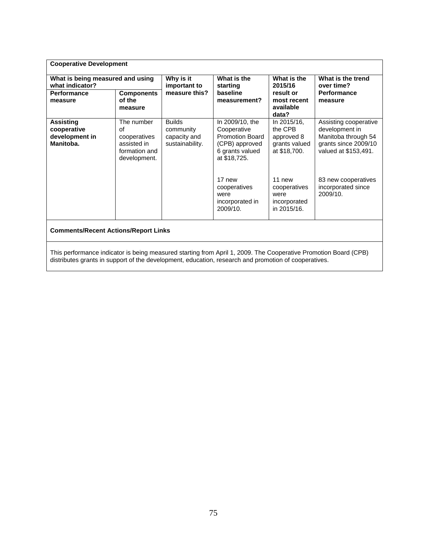| <b>Cooperative Development</b>                                 |                                                                                  |                                                               |                                                                                                               |                                                                       |                                                                                                                |
|----------------------------------------------------------------|----------------------------------------------------------------------------------|---------------------------------------------------------------|---------------------------------------------------------------------------------------------------------------|-----------------------------------------------------------------------|----------------------------------------------------------------------------------------------------------------|
| What is being measured and using<br>what indicator?            |                                                                                  | Why is it<br>important to                                     | What is the<br>starting                                                                                       | What is the<br>2015/16                                                | What is the trend<br>over time?                                                                                |
| Performance<br>measure                                         | <b>Components</b><br>of the<br>measure                                           | measure this?                                                 | baseline<br>measurement?                                                                                      | result or<br>most recent<br>available<br>data?                        | <b>Performance</b><br>measure                                                                                  |
| <b>Assisting</b><br>cooperative<br>development in<br>Manitoba. | The number<br>Ωf<br>cooperatives<br>assisted in<br>formation and<br>development. | <b>Builds</b><br>community<br>capacity and<br>sustainability. | In 2009/10, the<br>Cooperative<br><b>Promotion Board</b><br>(CPB) approved<br>6 grants valued<br>at \$18,725. | In 2015/16,<br>the CPB<br>approved 8<br>grants valued<br>at \$18,700. | Assisting cooperative<br>development in<br>Manitoba through 54<br>grants since 2009/10<br>valued at \$153,491. |
|                                                                |                                                                                  |                                                               | 17 new<br>cooperatives<br>were<br>incorporated in<br>2009/10.                                                 | 11 new<br>cooperatives<br>were<br>incorporated<br>in 2015/16.         | 83 new cooperatives<br>incorporated since<br>2009/10.                                                          |
| <b>Comments/Recent Actions/Report Links</b>                    |                                                                                  |                                                               |                                                                                                               |                                                                       |                                                                                                                |

This performance indicator is being measured starting from April 1, 2009. The Cooperative Promotion Board (CPB) distributes grants in support of the development, education, research and promotion of cooperatives.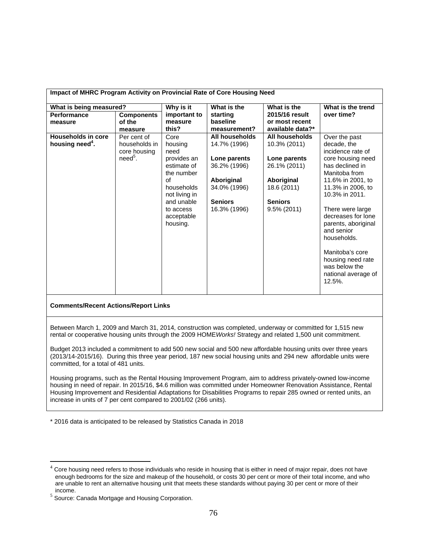| Impact of MHRC Program Activity on Provincial Rate of Core Housing Need |                     |               |                |                  |                     |
|-------------------------------------------------------------------------|---------------------|---------------|----------------|------------------|---------------------|
| What is being measured?                                                 |                     | Why is it     | What is the    | What is the      | What is the trend   |
| <b>Performance</b>                                                      | <b>Components</b>   | important to  | starting       | 2015/16 result   | over time?          |
| measure                                                                 | of the              | measure       | baseline       | or most recent   |                     |
|                                                                         | measure             | this?         | measurement?   | available data?* |                     |
| <b>Households in core</b>                                               | Per cent of         | Core          | All households | All households   | Over the past       |
| housing need <sup>4</sup> .                                             | households in       | housing       | 14.7% (1996)   | 10.3% (2011)     | decade, the         |
|                                                                         | core housing        | need          |                |                  | incidence rate of   |
|                                                                         | need <sup>5</sup> . | provides an   | Lone parents   | Lone parents     | core housing need   |
|                                                                         |                     | estimate of   | 36.2% (1996)   | 26.1% (2011)     | has declined in     |
|                                                                         |                     | the number    |                |                  | Manitoba from       |
|                                                                         |                     | Ωf            | Aboriginal     | Aboriginal       | 11.6% in 2001, to   |
|                                                                         |                     | households    | 34.0% (1996)   | 18.6 (2011)      | 11.3% in 2006, to   |
|                                                                         |                     | not living in |                |                  | 10.3% in 2011.      |
|                                                                         |                     | and unable    | <b>Seniors</b> | <b>Seniors</b>   |                     |
|                                                                         |                     | to access     | 16.3% (1996)   | 9.5% (2011)      | There were large    |
|                                                                         |                     | acceptable    |                |                  | decreases for lone  |
|                                                                         |                     | housing.      |                |                  | parents, aboriginal |
|                                                                         |                     |               |                |                  | and senior          |
|                                                                         |                     |               |                |                  | households.         |
|                                                                         |                     |               |                |                  | Manitoba's core     |
|                                                                         |                     |               |                |                  | housing need rate   |
|                                                                         |                     |               |                |                  | was below the       |
|                                                                         |                     |               |                |                  | national average of |
|                                                                         |                     |               |                |                  | 12.5%               |
|                                                                         |                     |               |                |                  |                     |
|                                                                         |                     |               |                |                  |                     |

# **Comments/Recent Actions/Report Links**

Between March 1, 2009 and March 31, 2014, construction was completed, underway or committed for 1,515 new rental or cooperative housing units through the 2009 HOME*Works!* Strategy and related 1,500 unit commitment.

Budget 2013 included a commitment to add 500 new social and 500 new affordable housing units over three years (2013/14-2015/16). During this three year period, 187 new social housing units and 294 new affordable units were committed, for a total of 481 units.

Housing programs, such as the Rental Housing Improvement Program, aim to address privately-owned low-income housing in need of repair. In 2015/16, \$4.6 million was committed under Homeowner Renovation Assistance, Rental Housing Improvement and Residential Adaptations for Disabilities Programs to repair 285 owned or rented units, an increase in units of 7 per cent compared to 2001/02 (266 units).

\* 2016 data is anticipated to be released by Statistics Canada in 2018

 $\overline{a}$ 

 $^4$  Core housing need refers to those individuals who reside in housing that is either in need of major repair, does not have enough bedrooms for the size and makeup of the household, or costs 30 per cent or more of their total income, and who are unable to rent an alternative housing unit that meets these standards without paying 30 per cent or more of their

 $5$  Source: Canada Mortgage and Housing Corporation.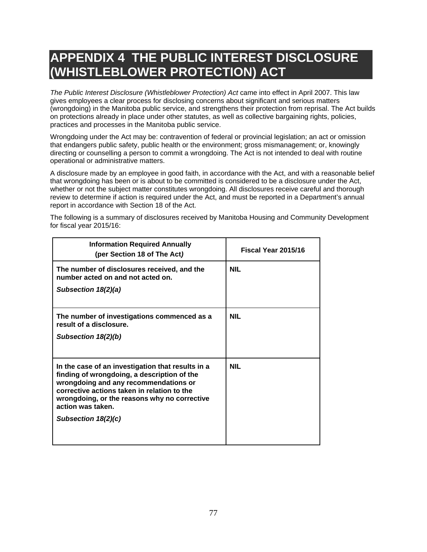# **APPENDIX 4 THE PUBLIC INTEREST DISCLOSURE (WHISTLEBLOWER PROTECTION) ACT**

*The Public Interest Disclosure (Whistleblower Protection) Act* came into effect in April 2007. This law gives employees a clear process for disclosing concerns about significant and serious matters (wrongdoing) in the Manitoba public service, and strengthens their protection from reprisal. The Act builds on protections already in place under other statutes, as well as collective bargaining rights, policies, practices and processes in the Manitoba public service.

Wrongdoing under the Act may be: contravention of federal or provincial legislation; an act or omission that endangers public safety, public health or the environment; gross mismanagement; or, knowingly directing or counselling a person to commit a wrongdoing. The Act is not intended to deal with routine operational or administrative matters.

A disclosure made by an employee in good faith, in accordance with the Act, and with a reasonable belief that wrongdoing has been or is about to be committed is considered to be a disclosure under the Act, whether or not the subject matter constitutes wrongdoing. All disclosures receive careful and thorough review to determine if action is required under the Act, and must be reported in a Department's annual report in accordance with Section 18 of the Act.

The following is a summary of disclosures received by Manitoba Housing and Community Development for fiscal year 2015/16:

| <b>Information Required Annually</b><br>(per Section 18 of The Act)                                                                                                                                                                                           | Fiscal Year 2015/16 |
|---------------------------------------------------------------------------------------------------------------------------------------------------------------------------------------------------------------------------------------------------------------|---------------------|
| The number of disclosures received, and the<br>number acted on and not acted on.                                                                                                                                                                              | <b>NIL</b>          |
| Subsection 18(2)(a)                                                                                                                                                                                                                                           |                     |
| The number of investigations commenced as a<br>result of a disclosure.                                                                                                                                                                                        | <b>NIL</b>          |
| Subsection 18(2)(b)                                                                                                                                                                                                                                           |                     |
| In the case of an investigation that results in a<br>finding of wrongdoing, a description of the<br>wrongdoing and any recommendations or<br>corrective actions taken in relation to the<br>wrongdoing, or the reasons why no corrective<br>action was taken. | <b>NIL</b>          |
| Subsection 18(2)(c)                                                                                                                                                                                                                                           |                     |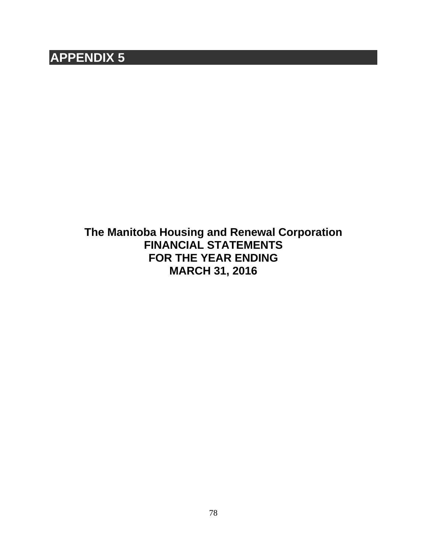# **APPENDIX 5**

**The Manitoba Housing and Renewal Corporation FINANCIAL STATEMENTS FOR THE YEAR ENDING MARCH 31, 2016**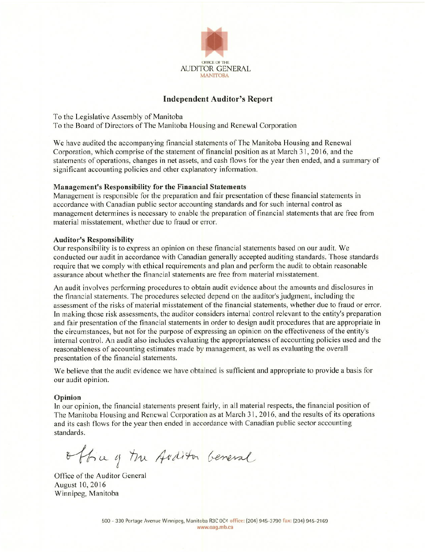

# **Independent Auditor's Report**

To the Legislative Assembly of Manitoba To the Board of Directors of The Manitoba Housing and Renewal Corporation

We have audited the accompanying financial statements of The Manitoba Housing and Renewal Corporation, which comprise of the statement of financial position as at March 31, 2016, and the statements of operations, changes in net assets, and cash flows for the year then ended, and a summary of significant accounting policies and other explanatory information.

# **Management's Responsibility for the Financial Statements**

Management is responsible for the preparation and fair presentation of these financial statements in accordance with Canadian public sector accounting standards and for such internal control as management determines is necessary to enable the preparation of financial statements that are free from material misstatement, whether due to fraud or error.

# **Auditor's Responsibility**

Our responsibility is to express an opinion on these financial statements based on our audit. We conducted our audit in accordance with Canadian generally accepted auditing standards. Those standards require that we comply with ethical requirements and plan and perform the audit to obtain reasonable assurance about whether the financial statements are free from material misstatement.

An audit involves performing procedures to obtain audit evidence about the amounts and disclosures in the financial statements. The procedures selected depend on the auditor's judgment, including the assessment of the risks of material misstatement of the financial statements, whether due to fraud or error. In making those risk assessments, the auditor considers internal control relevant to the entity's preparation and fair presentation of the financial statements in order to design audit procedures that are appropriate in the circumstances, but not for the purpose of expressing an opinion on the effectiveness of the entity's internal control. An audit also includes evaluating the appropriateness of accounting policies used and the reasonableness of accounting estimates made by management, as well as evaluating the overall presentation of the financial statements.

We believe that the audit evidence we have obtained is sufficient and appropriate to provide a basis for our audit opinion.

# Opinion

In our opinion, the financial statements present fairly, in all material respects, the financial position of The Manitoba Housing and Renewal Corporation as at March 31, 2016, and the results of its operations and its cash flows for the year then ended in accordance with Canadian public sector accounting standards.

office of the Anditor General

Office of the Auditor General August 10, 2016 Winnipeg, Manitoba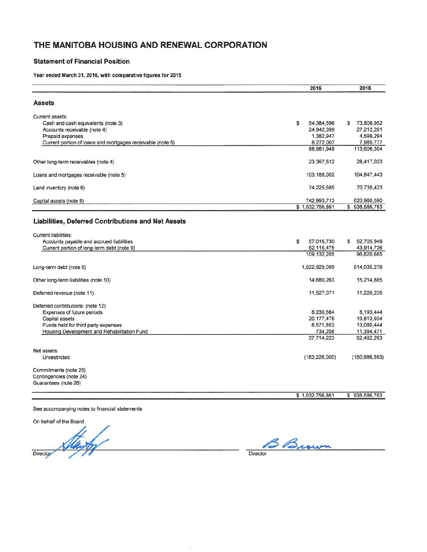# **Statement of Financial Position**

Year ended March 31, 2016, with comparative figures for 2015

|                                                                                                                               | 2016             | 2015                                                                    |
|-------------------------------------------------------------------------------------------------------------------------------|------------------|-------------------------------------------------------------------------|
| <b>Assets</b>                                                                                                                 |                  |                                                                         |
| Current assets:                                                                                                               |                  |                                                                         |
| Cash and cash equivalents (note 3)                                                                                            | \$<br>54,384,596 | \$<br>73,808,952                                                        |
| Accounts receivable (note 4)                                                                                                  | 24,942,399       | 27,212,281                                                              |
| Prepaid expenses                                                                                                              | 1,382,947        | 4,599,294                                                               |
| Current portion of loans and mortgages receivable (note 5)                                                                    | 8,272,007        | 7,985,777                                                               |
|                                                                                                                               | 88,981,949       | 113,606,304                                                             |
| Other long-term receivables (note 4)                                                                                          | 23,367,512       | 28,417,023                                                              |
| Loans and mortgages receivable (note 5)                                                                                       | 103,188,002      | 104,847,443                                                             |
| Land inventory (note 6)                                                                                                       | 74,225,685       | 70,735,423                                                              |
| Capital assets (note 8)                                                                                                       | 742,993,713      | 620,980,590                                                             |
|                                                                                                                               | \$1,032,756,861  | \$938,586,783                                                           |
| Liabilities, Deferred Contributions and Net Assets<br><b>Current liabilities:</b><br>Accounts payable and accrued liabilities | S<br>57,016,730  | \$ 52,705,949                                                           |
| Current portion of long-term debt (note 9)                                                                                    | 52,115,475       | 43,914,736                                                              |
|                                                                                                                               | 109, 132, 205    | 96,620,685                                                              |
| Long-term debt (note 9)                                                                                                       | 1,022,929,099    | 914,035,278                                                             |
| Other long-term liabilities (note 10)                                                                                         | 14,680,263       | 15,214,885                                                              |
| Deferred revenue (note 11)                                                                                                    | 11,527,071       | 11,220,235                                                              |
| Deferred contributions: (note 12)                                                                                             |                  |                                                                         |
|                                                                                                                               |                  | 8,193,444                                                               |
| Expenses of future periods                                                                                                    | 8,230,684        |                                                                         |
| Capital assets                                                                                                                | 20, 177, 478     |                                                                         |
| Funds held for third party expenses                                                                                           | 8,571,853        |                                                                         |
| Housing Development and Rehabilitation Fund                                                                                   | 734,208          |                                                                         |
|                                                                                                                               | 37,714,223       |                                                                         |
| Net assets:                                                                                                                   |                  |                                                                         |
| Unrestricted                                                                                                                  | (163, 226, 000)  |                                                                         |
|                                                                                                                               |                  |                                                                         |
| Commitments (note 25)                                                                                                         |                  |                                                                         |
| Contingencies (note 24)<br>Guarantees (note 26)                                                                               |                  | 19,813,934<br>13,080,444<br>11,394,471<br>52,482,293<br>(150, 986, 593) |

 $\sim$ 

On behalf of the Board:

Director

B Brown Director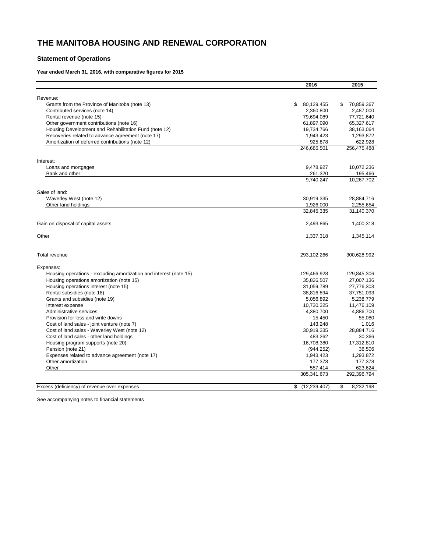# **Statement of Operations**

**Year ended March 31, 2016, with comparative figures for 2015**

|                                                                    | 2016                 | 2015             |
|--------------------------------------------------------------------|----------------------|------------------|
|                                                                    |                      |                  |
| Revenue:                                                           |                      |                  |
| Grants from the Province of Manitoba (note 13)                     | \$<br>80,129,455     | \$<br>70,859,367 |
| Contributed services (note 14)                                     | 2,360,800            | 2,487,000        |
| Rental revenue (note 15)                                           | 79,694,089           | 77,721,640       |
| Other government contributions (note 16)                           | 61,897,090           | 65,327,617       |
| Housing Development and Rehabilitation Fund (note 12)              | 19,734,766           | 38,163,064       |
| Recoveries related to advance agreement (note 17)                  | 1,943,423            | 1,293,872        |
| Amortization of deferred contributions (note 12)                   | 925,878              | 622,928          |
|                                                                    | 246,685,501          | 256,475,488      |
| Interest:                                                          |                      |                  |
| Loans and mortgages                                                | 9,478,927            | 10,072,236       |
| Bank and other                                                     | 261,320              | 195,466          |
|                                                                    | 9.740.247            | 10,267,702       |
|                                                                    |                      |                  |
| Sales of land:                                                     |                      |                  |
| Waverley West (note 12)                                            | 30,919,335           | 28,884,716       |
| Other land holdings                                                | 1,926,000            | 2,255,654        |
|                                                                    | 32,845,335           | 31,140,370       |
| Gain on disposal of capital assets                                 | 2,493,865            | 1,400,318        |
| Other                                                              | 1,337,318            | 1,345,114        |
|                                                                    |                      |                  |
| Total revenue                                                      | 293,102,266          | 300,628,992      |
| Expenses:                                                          |                      |                  |
| Housing operations - excluding amortization and interest (note 15) | 129,466,928          | 129,845,306      |
| Housing operations amortization (note 15)                          | 35,826,507           | 27,007,136       |
| Housing operations interest (note 15)                              | 31,059,789           | 27,776,303       |
| Rental subsidies (note 18)                                         | 38,816,894           | 37,751,093       |
| Grants and subsidies (note 19)                                     | 5,056,892            | 5,238,779        |
|                                                                    | 10,730,325           | 11,476,109       |
| Interest expense<br>Administrative services                        | 4,380,700            | 4,886,700        |
|                                                                    |                      |                  |
| Provision for loss and write downs                                 | 15,450               | 55,080           |
| Cost of land sales - joint venture (note 7)                        | 143,248              | 1,016            |
| Cost of land sales - Waverley West (note 12)                       | 30,919,335           | 28,884,716       |
| Cost of land sales - other land holdings                           | 483,262              | 30,366           |
| Housing program supports (note 20)                                 | 16,708,380           | 17,312,810       |
| Pension (note 21)                                                  | (944, 252)           | 36,506           |
| Expenses related to advance agreement (note 17)                    | 1,943,423            | 1,293,872        |
| Other amortization                                                 | 177,378              | 177,378          |
| Other                                                              | 557,414              | 623,624          |
|                                                                    | 305,341,673          | 292,396,794      |
| Excess (deficiency) of revenue over expenses                       | \$<br>(12, 239, 407) | \$<br>8,232,198  |

See accompanying notes to financial statements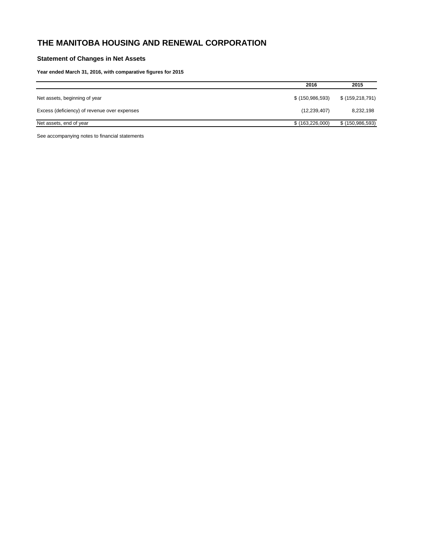# **Statement of Changes in Net Assets**

**Year ended March 31, 2016, with comparative figures for 2015**

|                                              | 2016              | 2015              |
|----------------------------------------------|-------------------|-------------------|
| Net assets, beginning of year                | \$(150, 986, 593) | \$(159, 218, 791) |
| Excess (deficiency) of revenue over expenses | (12, 239, 407)    | 8,232,198         |
| Net assets, end of year                      | $$$ (163,226,000) | \$(150, 986, 593) |

See accompanying notes to financial statements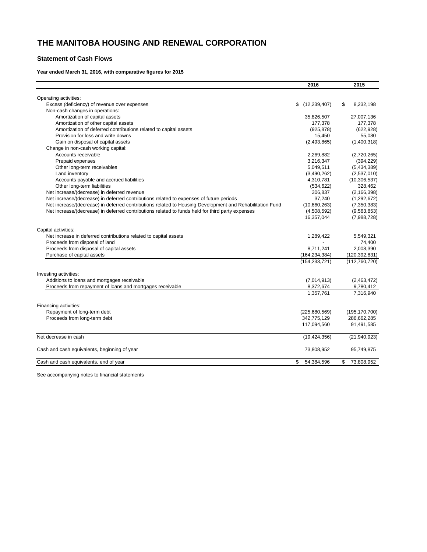# **Statement of Cash Flows**

**Year ended March 31, 2016, with comparative figures for 2015**

|                                                                                                          | 2016                 | 2015             |
|----------------------------------------------------------------------------------------------------------|----------------------|------------------|
|                                                                                                          |                      |                  |
| Operating activities:                                                                                    |                      |                  |
| Excess (deficiency) of revenue over expenses                                                             | (12, 239, 407)<br>\$ | 8,232,198<br>S   |
| Non-cash changes in operations:                                                                          |                      |                  |
| Amortization of capital assets                                                                           | 35,826,507           | 27,007,136       |
| Amortization of other capital assets                                                                     | 177,378              | 177,378          |
| Amortization of deferred contributions related to capital assets                                         | (925, 878)           | (622, 928)       |
| Provision for loss and write downs                                                                       | 15,450               | 55,080           |
| Gain on disposal of capital assets                                                                       | (2,493,865)          | (1,400,318)      |
| Change in non-cash working capital:                                                                      |                      |                  |
| Accounts receivable                                                                                      | 2,269,882            | (2,720,265)      |
| Prepaid expenses                                                                                         | 3,216,347            | (394, 229)       |
| Other long-term receivables                                                                              | 5,049,511            | (5,434,389)      |
| Land inventory                                                                                           | (3,490,262)          | (2,537,010)      |
| Accounts payable and accrued liabilities                                                                 | 4,310,781            | (10, 306, 537)   |
| Other long-term liabilities                                                                              | (534, 622)           | 328,462          |
| Net increase/(decrease) in deferred revenue                                                              | 306,837              | (2, 166, 398)    |
| Net increase/(decrease) in deferred contributions related to expenses of future periods                  | 37,240               | (1, 292, 672)    |
| Net increase/(decrease) in deferred contributions related to Housing Development and Rehabilitation Fund | (10,660,263)         | (7, 350, 383)    |
| Net increase/(decrease) in deferred contributions related to funds held for third party expenses         | (4,508,592)          | (9,563,853)      |
|                                                                                                          | 16,357,044           | (7,988,728)      |
|                                                                                                          |                      |                  |
| Capital activities:                                                                                      |                      |                  |
| Net increase in deferred contributions related to capital assets                                         | 1,289,422            | 5,549,321        |
| Proceeds from disposal of land                                                                           |                      | 74,400           |
| Proceeds from disposal of capital assets                                                                 | 8,711,241            | 2,008,390        |
| Purchase of capital assets                                                                               | (164, 234, 384)      | (120, 392, 831)  |
|                                                                                                          | (154, 233, 721)      | (112,760,720)    |
|                                                                                                          |                      |                  |
| Investing activities:                                                                                    |                      |                  |
| Additions to loans and mortgages receivable                                                              | (7,014,913)          | (2,463,472)      |
| Proceeds from repayment of loans and mortgages receivable                                                | 8,372,674            | 9,780,412        |
|                                                                                                          | 1,357,761            | 7,316,940        |
|                                                                                                          |                      |                  |
| Financing activities:                                                                                    |                      |                  |
| Repayment of long-term debt                                                                              | (225,680,569)        | (195, 170, 700)  |
| Proceeds from long-term debt                                                                             | 342,775,129          | 286,662,285      |
|                                                                                                          | 117,094,560          | 91,491,585       |
| Net decrease in cash                                                                                     | (19, 424, 356)       | (21,940,923)     |
|                                                                                                          |                      |                  |
| Cash and cash equivalents, beginning of year                                                             | 73,808,952           | 95,749,875       |
| Cash and cash equivalents, end of year                                                                   | 54,384,596<br>\$     | \$<br>73,808,952 |
|                                                                                                          |                      |                  |

See accompanying notes to financial statements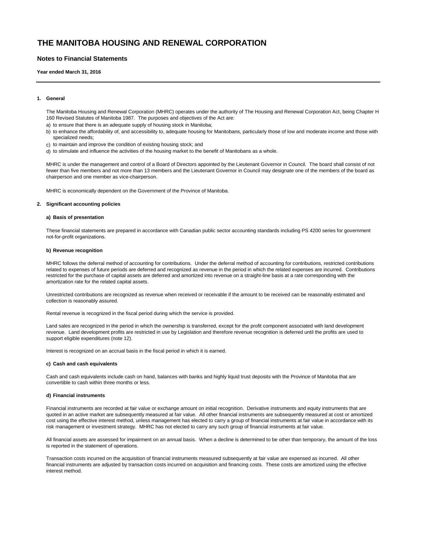# **Notes to Financial Statements**

**Year ended March 31, 2016**

### **1. General**

The Manitoba Housing and Renewal Corporation (MHRC) operates under the authority of The Housing and Renewal Corporation Act, being Chapter H 160 Revised Statutes of Manitoba 1987. The purposes and objectives of the Act are:

- a) to ensure that there is an adequate supply of housing stock in Manitoba;
- b) to enhance the affordability of, and accessibility to, adequate housing for Manitobans, particularly those of low and moderate income and those with specialized needs;
- c) to maintain and improve the condition of existing housing stock; and
- d) to stimulate and influence the activities of the housing market to the benefit of Manitobans as a whole.

MHRC is under the management and control of a Board of Directors appointed by the Lieutenant Governor in Council. The board shall consist of not fewer than five members and not more than 13 members and the Lieutenant Governor in Council may designate one of the members of the board as chairperson and one member as vice-chairperson.

MHRC is economically dependent on the Government of the Province of Manitoba.

#### **2. Significant accounting policies**

#### **a) Basis of presentation**

These financial statements are prepared in accordance with Canadian public sector accounting standards including PS 4200 series for government not-for-profit organizations.

#### **b) Revenue recognition**

MHRC follows the deferral method of accounting for contributions. Under the deferral method of accounting for contributions, restricted contributions related to expenses of future periods are deferred and recognized as revenue in the period in which the related expenses are incurred. Contributions restricted for the purchase of capital assets are deferred and amortized into revenue on a straight-line basis at a rate corresponding with the amortization rate for the related capital assets.

Unrestricted contributions are recognized as revenue when received or receivable if the amount to be received can be reasonably estimated and collection is reasonably assured.

Rental revenue is recognized in the fiscal period during which the service is provided.

Land sales are recognized in the period in which the ownership is transferred, except for the profit component associated with land development revenue. Land development profits are restricted in use by Legislation and therefore revenue recognition is deferred until the profits are used to support eligible expenditures (note 12).

Interest is recognized on an accrual basis in the fiscal period in which it is earned.

#### **c) Cash and cash equivalents**

Cash and cash equivalents include cash on hand, balances with banks and highly liquid trust deposits with the Province of Manitoba that are convertible to cash within three months or less.

#### **d) Financial instruments**

Financial instruments are recorded at fair value or exchange amount on initial recognition. Derivative instruments and equity instruments that are quoted in an active market are subsequently measured at fair value. All other financial instruments are subsequently measured at cost or amortized cost using the effective interest method, unless management has elected to carry a group of financial instruments at fair value in accordance with its risk management or investment strategy. MHRC has not elected to carry any such group of financial instruments at fair value.

All financial assets are assessed for impairment on an annual basis. When a decline is determined to be other than temporary, the amount of the loss is reported in the statement of operations.

Transaction costs incurred on the acquisition of financial instruments measured subsequently at fair value are expensed as incurred. All other financial instruments are adjusted by transaction costs incurred on acquisition and financing costs. These costs are amortized using the effective interest method.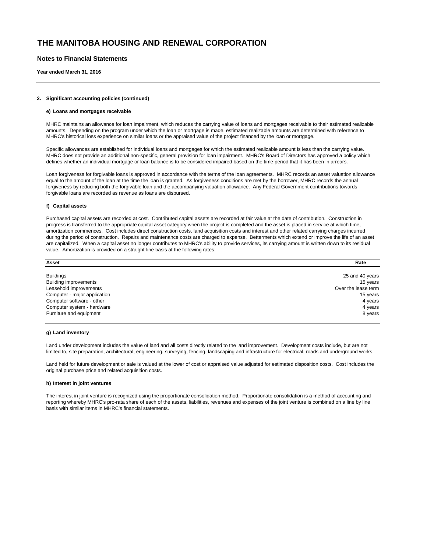# **Notes to Financial Statements**

**Year ended March 31, 2016**

#### **2. Significant accounting policies (continued)**

#### **e) Loans and mortgages receivable**

MHRC maintains an allowance for loan impairment, which reduces the carrying value of loans and mortgages receivable to their estimated realizable amounts. Depending on the program under which the loan or mortgage is made, estimated realizable amounts are determined with reference to MHRC's historical loss experience on similar loans or the appraised value of the project financed by the loan or mortgage.

Specific allowances are established for individual loans and mortgages for which the estimated realizable amount is less than the carrying value. MHRC does not provide an additional non-specific, general provision for loan impairment. MHRC's Board of Directors has approved a policy which defines whether an individual mortgage or loan balance is to be considered impaired based on the time period that it has been in arrears.

Loan forgiveness for forgivable loans is approved in accordance with the terms of the loan agreements. MHRC records an asset valuation allowance equal to the amount of the loan at the time the loan is granted. As forgiveness conditions are met by the borrower, MHRC records the annual forgiveness by reducing both the forgivable loan and the accompanying valuation allowance. Any Federal Government contributions towards forgivable loans are recorded as revenue as loans are disbursed.

#### **f) Capital assets**

Purchased capital assets are recorded at cost. Contributed capital assets are recorded at fair value at the date of contribution. Construction in progress is transferred to the appropriate capital asset category when the project is completed and the asset is placed in service at which time, amortization commences. Cost includes direct construction costs, land acquisition costs and interest and other related carrying charges incurred during the period of construction. Repairs and maintenance costs are charged to expense. Betterments which extend or improve the life of an asset are capitalized. When a capital asset no longer contributes to MHRC's ability to provide services, its carrying amount is written down to its residual value. Amortization is provided on a straight-line basis at the following rates:

| Asset                        | Rate                |
|------------------------------|---------------------|
| <b>Buildings</b>             | 25 and 40 years     |
| <b>Building improvements</b> | 15 years            |
| Leasehold improvements       | Over the lease term |
| Computer - major application | 15 years            |
| Computer software - other    | 4 years             |
| Computer system - hardware   | 4 years             |
| Furniture and equipment      | 8 years             |

#### **g) Land inventory**

Land under development includes the value of land and all costs directly related to the land improvement. Development costs include, but are not limited to, site preparation, architectural, engineering, surveying, fencing, landscaping and infrastructure for electrical, roads and underground works.

Land held for future development or sale is valued at the lower of cost or appraised value adjusted for estimated disposition costs. Cost includes the original purchase price and related acquisition costs.

### **h) Interest in joint ventures**

The interest in joint venture is recognized using the proportionate consolidation method. Proportionate consolidation is a method of accounting and reporting whereby MHRC's pro-rata share of each of the assets, liabilities, revenues and expenses of the joint venture is combined on a line by line basis with similar items in MHRC's financial statements.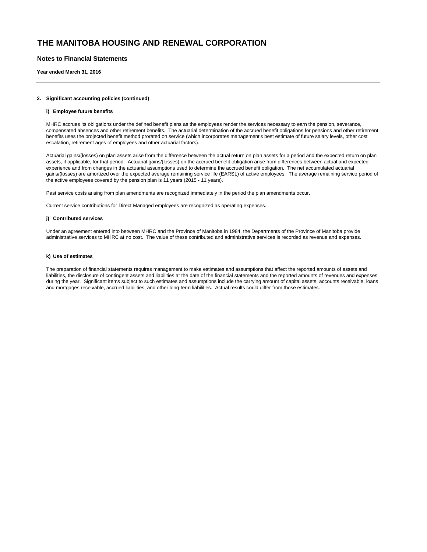# **Notes to Financial Statements**

**Year ended March 31, 2016**

#### **2. Significant accounting policies (continued)**

#### **i) Employee future benefits**

MHRC accrues its obligations under the defined benefit plans as the employees render the services necessary to earn the pension, severance, compensated absences and other retirement benefits. The actuarial determination of the accrued benefit obligations for pensions and other retirement benefits uses the projected benefit method prorated on service (which incorporates management's best estimate of future salary levels, other cost escalation, retirement ages of employees and other actuarial factors).

Actuarial gains/(losses) on plan assets arise from the difference between the actual return on plan assets for a period and the expected return on plan assets, if applicable, for that period. Actuarial gains/(losses) on the accrued benefit obligation arise from differences between actual and expected experience and from changes in the actuarial assumptions used to determine the accrued benefit obligation. The net accumulated actuarial gains/(losses) are amortized over the expected average remaining service life (EARSL) of active employees. The average remaining service period of the active employees covered by the pension plan is 11 years (2015 - 11 years).

Past service costs arising from plan amendments are recognized immediately in the period the plan amendments occur.

Current service contributions for Direct Managed employees are recognized as operating expenses.

#### **j) Contributed services**

Under an agreement entered into between MHRC and the Province of Manitoba in 1984, the Departments of the Province of Manitoba provide administrative services to MHRC at no cost. The value of these contributed and administrative services is recorded as revenue and expenses.

# **k) Use of estimates**

The preparation of financial statements requires management to make estimates and assumptions that affect the reported amounts of assets and liabilities, the disclosure of contingent assets and liabilities at the date of the financial statements and the reported amounts of revenues and expenses during the year. Significant items subject to such estimates and assumptions include the carrying amount of capital assets, accounts receivable, loans and mortgages receivable, accrued liabilities, and other long-term liabilities. Actual results could differ from those estimates.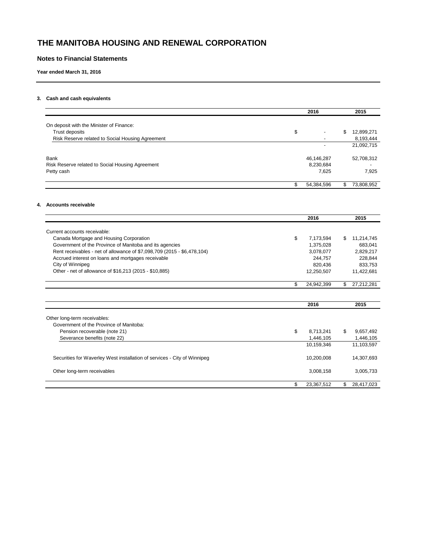# **Notes to Financial Statements**

**Year ended March 31, 2016**

# **3. Cash and cash equivalents**

|                                                  |     | 2016                     |   | 2015       |
|--------------------------------------------------|-----|--------------------------|---|------------|
| On deposit with the Minister of Finance:         |     |                          |   |            |
| Trust deposits                                   | \$  | $\overline{\phantom{a}}$ | S | 12,899,271 |
| Risk Reserve related to Social Housing Agreement |     |                          |   | 8,193,444  |
|                                                  |     |                          |   | 21,092,715 |
| <b>Bank</b>                                      |     | 46,146,287               |   | 52,708,312 |
| Risk Reserve related to Social Housing Agreement |     | 8,230,684                |   |            |
| Petty cash                                       |     | 7,625                    |   | 7,925      |
|                                                  | \$. | 54,384,596               | S | 73,808,952 |
|                                                  |     |                          |   |            |

# **4. Accounts receivable**

|                                                                          | 2016             | 2015             |
|--------------------------------------------------------------------------|------------------|------------------|
| Current accounts receivable:                                             |                  |                  |
| Canada Mortgage and Housing Corporation                                  | \$<br>7,173,594  | \$<br>11,214,745 |
| Government of the Province of Manitoba and its agencies                  | 1,375,028        | 683,041          |
| Rent receivables - net of allowance of \$7,098,709 (2015 - \$6,478,104)  | 3,078,077        | 2,829,217        |
| Accrued interest on loans and mortgages receivable                       | 244.757          | 228,844          |
| City of Winnipeg                                                         | 820,436          | 833.753          |
| Other - net of allowance of \$16,213 (2015 - \$10,885)                   | 12,250,507       | 11,422,681       |
|                                                                          | \$<br>24,942,399 | \$<br>27,212,281 |
|                                                                          |                  |                  |
|                                                                          | 2016             | 2015             |
|                                                                          |                  |                  |
| Other long-term receivables:                                             |                  |                  |
| Government of the Province of Manitoba:                                  |                  |                  |
| Pension recoverable (note 21)                                            | \$<br>8,713,241  | \$<br>9,657,492  |
| Severance benefits (note 22)                                             | 1,446,105        | 1,446,105        |
|                                                                          | 10,159,346       | 11,103,597       |
| Securities for Waverley West installation of services - City of Winnipeg | 10,200,008       | 14,307,693       |
| Other long-term receivables                                              | 3,008,158        | 3,005,733        |
|                                                                          | \$<br>23,367,512 | \$<br>28,417,023 |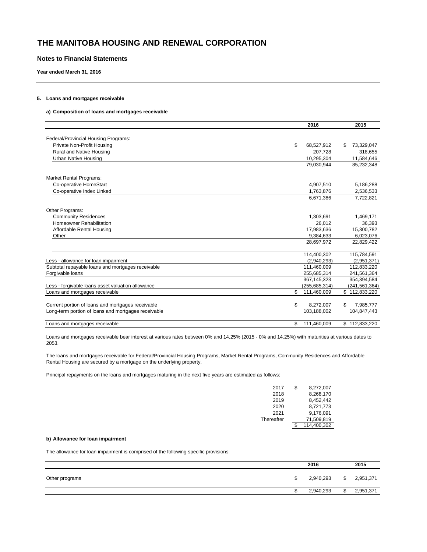# **Notes to Financial Statements**

**Year ended March 31, 2016**

## **5. Loans and mortgages receivable**

## **a) Composition of loans and mortgages receivable**

|                                                     | 2016              | 2015            |
|-----------------------------------------------------|-------------------|-----------------|
|                                                     |                   |                 |
| Federal/Provincial Housing Programs:                |                   |                 |
| Private Non-Profit Housing                          | \$<br>68,527,912  | 73,329,047<br>S |
| Rural and Native Housing                            | 207.728           | 318,655         |
| <b>Urban Native Housing</b>                         | 10.295.304        | 11,584,646      |
|                                                     | 79.030.944        | 85,232,348      |
| <b>Market Rental Programs:</b>                      |                   |                 |
| Co-operative HomeStart                              | 4,907,510         | 5,186,288       |
| Co-operative Index Linked                           | 1,763,876         | 2,536,533       |
|                                                     | 6,671,386         | 7,722,821       |
| Other Programs:                                     |                   |                 |
| <b>Community Residences</b>                         | 1,303,691         | 1,469,171       |
| Homeowner Rehabilitation                            | 26.012            | 36,393          |
| Affordable Rental Housing                           | 17,983,636        | 15,300,782      |
| Other                                               | 9,384,633         | 6,023,076       |
|                                                     | 28,697,972        | 22,829,422      |
|                                                     | 114,400,302       | 115,784,591     |
| Less - allowance for loan impairment                | (2,940,293)       | (2,951,371)     |
| Subtotal repayable loans and mortgages receivable   | 111,460,009       | 112,833,220     |
| Forgivable loans                                    | 255,685,314       | 241,561,364     |
|                                                     | 367, 145, 323     | 354,394,584     |
| Less - forgivable loans asset valuation allowance   | (255, 685, 314)   | (241,561,364)   |
| Loans and mortgages receivable                      | \$<br>111,460,009 | \$112,833,220   |
| Current portion of loans and mortgages receivable   | \$<br>8,272,007   | 7,985,777<br>\$ |
| Long-term portion of loans and mortgages receivable | 103,188,002       | 104,847,443     |
| Loans and mortgages receivable                      | 111.460.009<br>\$ | \$112,833,220   |

Loans and mortgages receivable bear interest at various rates between 0% and 14.25% (2015 - 0% and 14.25%) with maturities at various dates to 2053.

The loans and mortgages receivable for Federal/Provincial Housing Programs, Market Rental Programs, Community Residences and Affordable Rental Housing are secured by a mortgage on the underlying property.

Principal repayments on the loans and mortgages maturing in the next five years are estimated as follows:

| 2017       | \$<br>8.272.007   |
|------------|-------------------|
| 2018       | 8.268.170         |
| 2019       | 8.452.442         |
| 2020       | 8,721,773         |
| 2021       | 9.176.091         |
| Thereafter | 71,509,819        |
|            | \$<br>114,400,302 |

#### **b) Allowance for loan impairment**

The allowance for loan impairment is comprised of the following specific provisions:

|                | 2016      |    | 2015      |
|----------------|-----------|----|-----------|
| Other programs | 2,940,293 | S. | 2,951,371 |
|                | 2,940,293 |    | 2,951,371 |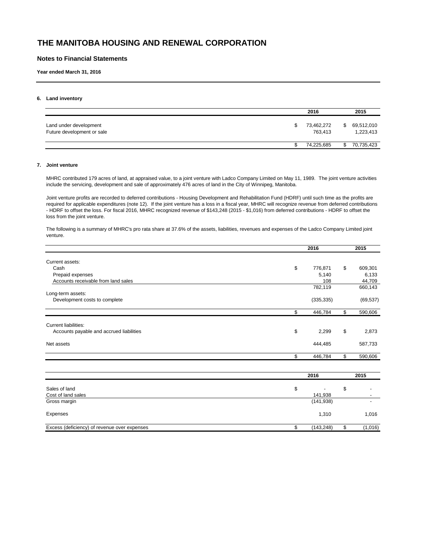# **Notes to Financial Statements**

**Year ended March 31, 2016**

### **6. Land inventory**

|                                                      | 2016                  |   | 2015                    |
|------------------------------------------------------|-----------------------|---|-------------------------|
| Land under development<br>Future development or sale | 73,462,272<br>763.413 |   | 69,512,010<br>1,223,413 |
|                                                      | 74.225.685            | S | 70,735,423              |

### **7. Joint venture**

MHRC contributed 179 acres of land, at appraised value, to a joint venture with Ladco Company Limited on May 11, 1989. The joint venture activities include the servicing, development and sale of approximately 476 acres of land in the City of Winnipeg, Manitoba.

Joint venture profits are recorded to deferred contributions - Housing Development and Rehabilitation Fund (HDRF) until such time as the profits are required for applicable expenditures (note 12). If the joint venture has a loss in a fiscal year, MHRC will recognize revenue from deferred contributions - HDRF to offset the loss. For fiscal 2016, MHRC recognized revenue of \$143,248 (2015 - \$1,016) from deferred contributions - HDRF to offset the loss from the joint venture.

The following is a summary of MHRC's pro rata share at 37.6% of the assets, liabilities, revenues and expenses of the Ladco Company Limited joint venture.

|                                              | 2016             | 2015          |
|----------------------------------------------|------------------|---------------|
| Current assets:                              |                  |               |
| Cash                                         | \$<br>776,871    | \$<br>609,301 |
| Prepaid expenses                             | 5,140            | 6,133         |
| Accounts receivable from land sales          | 108              | 44,709        |
|                                              | 782,119          | 660,143       |
| Long-term assets:                            |                  |               |
| Development costs to complete                | (335, 335)       | (69, 537)     |
|                                              | \$<br>446,784    | \$<br>590,606 |
| <b>Current liabilities:</b>                  |                  |               |
| Accounts payable and accrued liabilities     | \$<br>2,299      | \$<br>2,873   |
| Net assets                                   | 444,485          | 587,733       |
|                                              | \$<br>446,784    | \$<br>590,606 |
|                                              |                  |               |
|                                              | 2016             | 2015          |
| Sales of land                                | \$               | \$            |
| Cost of land sales                           | 141,938          |               |
| Gross margin                                 | (141, 938)       |               |
| Expenses                                     | 1,310            | 1,016         |
| Excess (deficiency) of revenue over expenses | \$<br>(143, 248) | \$<br>(1,016) |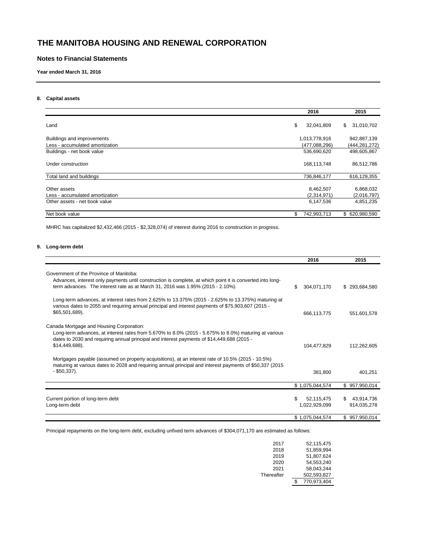# **Notes to Financial Statements**

**Year ended March 31, 2016**

# **8. Capital assets**

|                                 | 2016              | 2015             |
|---------------------------------|-------------------|------------------|
| Land                            | \$<br>32,041,809  | 31,010,702<br>\$ |
| Buildings and improvements      | 1,013,778,916     | 942,887,139      |
| Less - accumulated amortization | (477,088,296)     | (444,281,272)    |
| Buildings - net book value      | 536,690,620       | 498,605,867      |
| Under construction              | 168,113,748       | 86,512,786       |
| Total land and buildings        | 736,846,177       | 616,129,355      |
| Other assets                    | 8,462,507         | 6,868,032        |
| Less - accumulated amortization | (2,314,971)       | (2,016,797)      |
| Other assets - net book value   | 6,147,536         | 4,851,235        |
| Net book value                  | 742,993,713<br>\$ | \$ 620,980,590   |

MHRC has capitalized \$2,432,466 (2015 - \$2,328,074) of interest during 2016 to construction in progress.

# **9. Long-term debt**

|                                                                                                                                                                                                                                                                   | 2016                              | 2015                             |
|-------------------------------------------------------------------------------------------------------------------------------------------------------------------------------------------------------------------------------------------------------------------|-----------------------------------|----------------------------------|
| Government of the Province of Manitoba:<br>Advances, interest only payments until construction is complete, at which point it is converted into long-<br>term advances. The interest rate as at March 31, 2016 was 1.95% (2015 - 2.10%).                          | \$.<br>304,071,170                | \$293,684,580                    |
| Long-term advances, at interest rates from 2.625% to 13.375% (2015 - 2.625% to 13.375%) maturing at<br>various dates to 2055 and requiring annual principal and interest payments of \$75,903,607 (2015 -<br>$$65,501,689$ ).                                     | 666,113,775                       | 551,601,578                      |
| Canada Mortgage and Housing Corporation:<br>Long-term advances, at interest rates from 5.670% to 8.0% (2015 - 5.675% to 8.0%) maturing at various<br>dates to 2030 and requiring annual principal and interest payments of \$14,449,688 (2015 -<br>\$14,449,688). | 104,477,829                       | 112,262,605                      |
| Mortgages payable (assumed on property acquisitions), at an interest rate of 10.5% (2015 - 10.5%)<br>maturing at various dates to 2028 and requiring annual principal and interest payments of \$50,337 (2015)<br>$-$ \$50,337).                                  | 381,800<br>\$1,075,044,574        | 401.251<br>\$957,950,014         |
|                                                                                                                                                                                                                                                                   |                                   |                                  |
| Current portion of long-term debt<br>Long-term debt                                                                                                                                                                                                               | \$<br>52,115,475<br>1,022,929,099 | 43,914,736<br>\$.<br>914,035,278 |
|                                                                                                                                                                                                                                                                   | \$1,075,044,574                   | \$957,950,014                    |

Principal repayments on the long-term debt, excluding unfixed term advances of \$304,071,170 are estimated as follows:

| 2017       | 52.115.475        |
|------------|-------------------|
| 2018       | 51,859,994        |
| 2019       | 51.807.624        |
| 2020       | 54.553.240        |
| 2021       | 58.043.244        |
| Thereafter | 502,593,827       |
|            | \$<br>770,973,404 |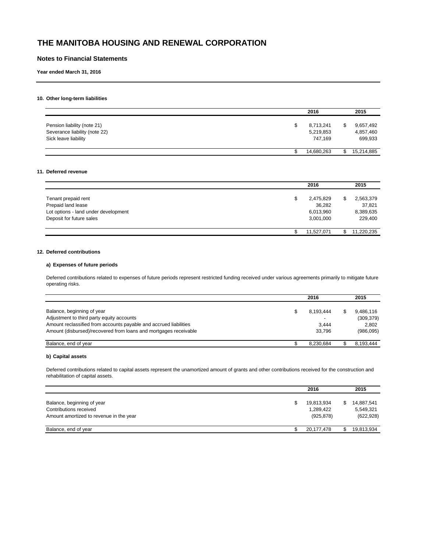# **Notes to Financial Statements**

**Year ended March 31, 2016**

# **10. Other long-term liabilities**

|                                                                                      | 2016                                    |    | 2015                              |
|--------------------------------------------------------------------------------------|-----------------------------------------|----|-----------------------------------|
| Pension liability (note 21)<br>Severance liability (note 22)<br>Sick leave liability | \$<br>8.713.241<br>5,219,853<br>747.169 | J. | 9,657,492<br>4,857,460<br>699,933 |
|                                                                                      | 14,680,263                              |    | 15,214,885                        |

# **11. Deferred revenue**

|                                      | 2016            |   | 2015       |
|--------------------------------------|-----------------|---|------------|
| Tenant prepaid rent                  | \$<br>2,475,829 | S | 2,563,379  |
| Prepaid land lease                   | 36,282          |   | 37.821     |
| Lot options - land under development | 6,013,960       |   | 8,389,635  |
| Deposit for future sales             | 3,001,000       |   | 229,400    |
|                                      |                 |   |            |
|                                      | 11,527,071      |   | 11,220,235 |

### **12. Deferred contributions**

# **a) Expenses of future periods**

Deferred contributions related to expenses of future periods represent restricted funding received under various agreements primarily to mitigate future operating risks.

|                                                                   | 2016                     |   | 2015       |
|-------------------------------------------------------------------|--------------------------|---|------------|
| Balance, beginning of year                                        | 8.193.444                | S | 9.486.116  |
| Adjustment to third party equity accounts                         | $\overline{\phantom{a}}$ |   | (309, 379) |
| Amount reclassified from accounts payable and accrued liabilities | 3.444                    |   | 2.802      |
| Amount (disbursed)/recovered from loans and mortgages receivable  | 33.796                   |   | (986,095)  |
| Balance, end of year                                              | 8.230.684                |   | 8.193.444  |

# **b) Capital assets**

Deferred contributions related to capital assets represent the unamortized amount of grants and other contributions received for the construction and rehabilitation of capital assets.

|                                                                                                 |   | 2016                                  | 2015                                  |
|-------------------------------------------------------------------------------------------------|---|---------------------------------------|---------------------------------------|
| Balance, beginning of year<br>Contributions received<br>Amount amortized to revenue in the year | S | 19,813,934<br>1,289,422<br>(925, 878) | 14,887,541<br>5,549,321<br>(622, 928) |
| Balance, end of year                                                                            |   | 20,177,478                            | 19,813,934                            |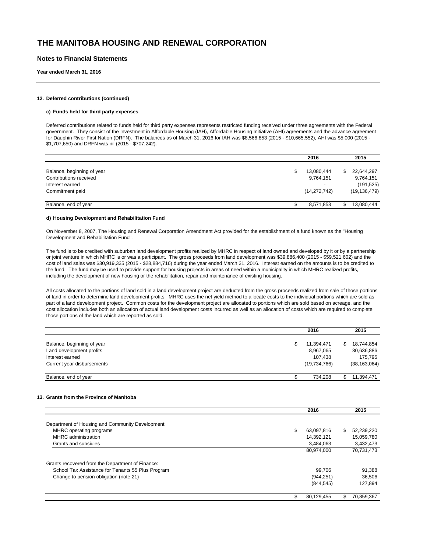# **Notes to Financial Statements**

**Year ended March 31, 2016**

#### **12. Deferred contributions (continued)**

#### **c) Funds held for third party expenses**

Deferred contributions related to funds held for third party expenses represents restricted funding received under three agreements with the Federal government. They consist of the Investment in Affordable Housing (IAH), Affordable Housing Initiative (AHI) agreements and the advance agreement for Dauphin River First Nation (DRFN). The balances as of March 31, 2016 for IAH was \$8,566,853 (2015 - \$10,665,552), AHI was \$5,000 (2015 - \$1,707,650) and DRFN was nil (2015 - \$707,242).

|                            | 2016                     |    | 2015           |
|----------------------------|--------------------------|----|----------------|
| Balance, beginning of year | \$<br>13,080,444         | \$ | 22,644,297     |
| Contributions received     | 9,764,151                |    | 9,764,151      |
| Interest earned            | $\overline{\phantom{a}}$ |    | (191, 525)     |
| Commitment paid            | (14, 272, 742)           |    | (19, 136, 479) |
| Balance, end of year       | 8,571,853                | JЭ | 13,080,444     |
|                            |                          |    |                |

### **d) Housing Development and Rehabilitation Fund**

On November 8, 2007, The Housing and Renewal Corporation Amendment Act provided for the establishment of a fund known as the "Housing Development and Rehabilitation Fund".

The fund is to be credited with suburban land development profits realized by MHRC in respect of land owned and developed by it or by a partnership or joint venture in which MHRC is or was a participant. The gross proceeds from land development was \$39,886,400 (2015 - \$59,521,602) and the cost of land sales was \$30,919,335 (2015 - \$28,884,716) during the year ended March 31, 2016. Interest earned on the amounts is to be credited to the fund. The fund may be used to provide support for housing projects in areas of need within a municipality in which MHRC realized profits, including the development of new housing or the rehabilitation, repair and maintenance of existing housing.

All costs allocated to the portions of land sold in a land development project are deducted from the gross proceeds realized from sale of those portions of land in order to determine land development profits. MHRC uses the net yield method to allocate costs to the individual portions which are sold as part of a land development project. Common costs for the development project are allocated to portions which are sold based on acreage, and the cost allocation includes both an allocation of actual land development costs incurred as well as an allocation of costs which are required to complete those portions of the land which are reported as sold.

|                                                        |   | 2016         |    | 2015           |
|--------------------------------------------------------|---|--------------|----|----------------|
|                                                        | S | 11.394.471   | S. | 18,744,854     |
| Balance, beginning of year<br>Land development profits |   | 8,967,065    |    | 30,636,886     |
| Interest earned                                        |   | 107.438      |    | 175.795        |
| Current year disbursements                             |   | (19,734,766) |    | (38, 163, 064) |
| Balance, end of year                                   |   | 734.208      |    | 11.394.471     |

### **13. Grants from the Province of Manitoba**

|                                                   | 2016             | 2015             |
|---------------------------------------------------|------------------|------------------|
| Department of Housing and Community Development:  |                  |                  |
| MHRC operating programs                           | \$<br>63,097,816 | \$<br>52,239,220 |
| MHRC administration                               | 14.392.121       | 15,059,780       |
| Grants and subsidies                              | 3,484,063        | 3,432,473        |
|                                                   | 80,974,000       | 70,731,473       |
| Grants recovered from the Department of Finance:  |                  |                  |
| School Tax Assistance for Tenants 55 Plus Program | 99.706           | 91,388           |
| Change to pension obligation (note 21)            | (944, 251)       | 36,506           |
|                                                   | (844, 545)       | 127,894          |
|                                                   | 80,129,455       | 70,859,367       |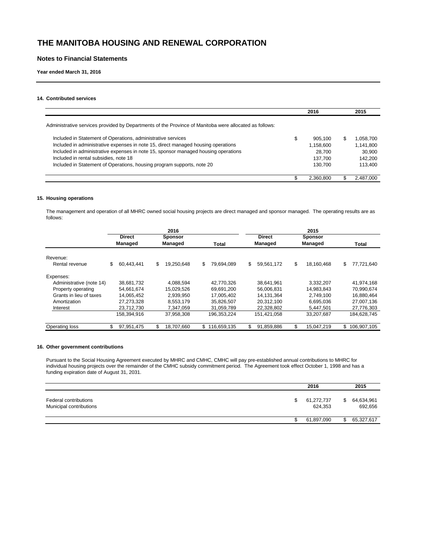# **Notes to Financial Statements**

**Year ended March 31, 2016**

# **14. Contributed services**

|                                                                                                        |   | 2016      |   | 2015      |
|--------------------------------------------------------------------------------------------------------|---|-----------|---|-----------|
| Administrative services provided by Departments of the Province of Manitoba were allocated as follows: |   |           |   |           |
| Included in Statement of Operations, administrative services                                           | S | 905.100   | S | 1,058,700 |
| Included in administrative expenses in note 15, direct managed housing operations                      |   | 1,158,600 |   | 1,141,800 |
| Included in administrative expenses in note 15, sponsor managed housing operations                     |   | 28.700    |   | 30.900    |
| Included in rental subsidies, note 18                                                                  |   | 137.700   |   | 142.200   |
| Included in Statement of Operations, housing program supports, note 20                                 |   | 130.700   |   | 113,400   |
|                                                                                                        |   | 2.360.800 |   | 2,487,000 |

### **15. Housing operations**

The management and operation of all MHRC owned social housing projects are direct managed and sponsor managed. The operating results are as follows:

|                          |                                 | 2016 |                           |    |             |    | 2015                     |    |                                  |    |             |
|--------------------------|---------------------------------|------|---------------------------|----|-------------|----|--------------------------|----|----------------------------------|----|-------------|
|                          | <b>Direct</b><br><b>Managed</b> |      | <b>Sponsor</b><br>Managed |    | Total       |    | <b>Direct</b><br>Managed |    | <b>Sponsor</b><br><b>Managed</b> |    | Total       |
| Revenue:                 |                                 |      |                           |    |             |    |                          |    |                                  |    |             |
| Rental revenue           | \$<br>60,443,441                | S.   | 19,250,648                | \$ | 79,694,089  | \$ | 59,561,172               | \$ | 18,160,468                       | \$ | 77,721,640  |
| Expenses:                |                                 |      |                           |    |             |    |                          |    |                                  |    |             |
| Administrative (note 14) | 38,681,732                      |      | 4.088.594                 |    | 42.770.326  |    | 38.641.961               |    | 3,332,207                        |    | 41,974,168  |
| Property operating       | 54.661.674                      |      | 15,029,526                |    | 69.691.200  |    | 56,006,831               |    | 14,983,843                       |    | 70,990,674  |
| Grants in lieu of taxes  | 14,065,452                      |      | 2,939,950                 |    | 17,005,402  |    | 14.131.364               |    | 2,749,100                        |    | 16,880,464  |
| Amortization             | 27,273,328                      |      | 8,553,179                 |    | 35,826,507  |    | 20,312,100               |    | 6,695,036                        |    | 27,007,136  |
| Interest                 | 23,712,730                      |      | 7,347,059                 |    | 31.059.789  |    | 22,328,802               |    | 5,447,501                        |    | 27,776,303  |
|                          | 158,394,916                     |      | 37,958,308                |    | 196.353.224 |    | 151,421,058              |    | 33,207,687                       |    | 184,628,745 |
| Operating loss           | \$<br>97,951,475                | S.   | 18,707,660                | \$ | 116,659,135 | \$ | 91,859,886               | \$ | 15,047,219                       | \$ | 106,907,105 |

# **16. Other government contributions**

Pursuant to the Social Housing Agreement executed by MHRC and CMHC, CMHC will pay pre-established annual contributions to MHRC for individual housing projects over the remainder of the CMHC subsidy commitment period. The Agreement took effect October 1, 1998 and has a funding expiration date of August 31, 2031.

|                                                  | 2016                  | 2015                  |
|--------------------------------------------------|-----------------------|-----------------------|
| Federal contributions<br>Municipal contributions | 61,272,737<br>624,353 | 64,634,961<br>692,656 |
|                                                  | 61,897,090            | 65,327,617            |
|                                                  |                       |                       |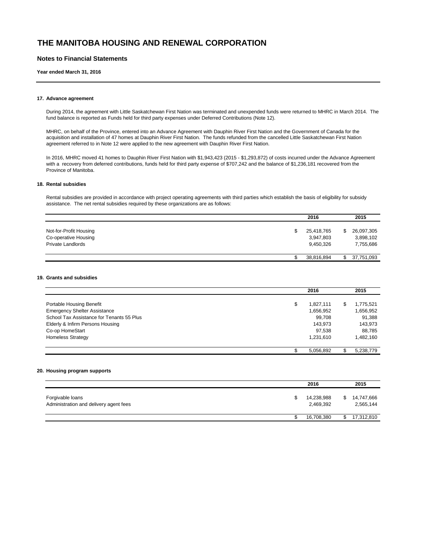# **Notes to Financial Statements**

### **Year ended March 31, 2016**

### **17. Advance agreement**

During 2014, the agreement with Little Saskatchewan First Nation was terminated and unexpended funds were returned to MHRC in March 2014. The fund balance is reported as Funds held for third party expenses under Deferred Contributions (Note 12).

MHRC, on behalf of the Province, entered into an Advance Agreement with Dauphin River First Nation and the Government of Canada for the acquisition and installation of 47 homes at Dauphin River First Nation. The funds refunded from the cancelled Little Saskatchewan First Nation agreement referred to in Note 12 were applied to the new agreement with Dauphin River First Nation.

In 2016, MHRC moved 41 homes to Dauphin River First Nation with \$1,943,423 (2015 - \$1,293,872) of costs incurred under the Advance Agreement with a recovery from deferred contributions, funds held for third party expense of \$707,242 and the balance of \$1,236,181 recovered from the Province of Manitoba.

# **18. Rental subsidies**

Rental subsidies are provided in accordance with project operating agreements with third parties which establish the basis of eligibility for subsidy assistance. The net rental subsidies required by these organizations are as follows:

|                                                                            | 2016                                 | 2015                                 |
|----------------------------------------------------------------------------|--------------------------------------|--------------------------------------|
| Not-for-Profit Housing<br>Co-operative Housing<br><b>Private Landlords</b> | 25,418,765<br>3,947,803<br>9.450.326 | 26,097,305<br>3,898,102<br>7,755,686 |
|                                                                            | 38,816,894                           | 37,751,093                           |

### **19. Grants and subsidies**

|                                           | 2016            |   | 2015      |
|-------------------------------------------|-----------------|---|-----------|
|                                           |                 |   |           |
| Portable Housing Benefit                  | \$<br>1,827,111 | S | 1,775,521 |
| <b>Emergency Shelter Assistance</b>       | 1,656,952       |   | 1,656,952 |
| School Tax Assistance for Tenants 55 Plus | 99.708          |   | 91,388    |
| Elderly & Infirm Persons Housing          | 143,973         |   | 143,973   |
| Co-op HomeStart                           | 97,538          |   | 88.785    |
| <b>Homeless Strategy</b>                  | 1,231,610       |   | 1,482,160 |
|                                           | 5,056,892       |   | 5,238,779 |

## **20. Housing program supports**

|                                                            | 2016                    |     | 2015                    |
|------------------------------------------------------------|-------------------------|-----|-------------------------|
| Forgivable loans<br>Administration and delivery agent fees | 14,238,988<br>2,469,392 | \$. | 14,747,666<br>2,565,144 |
|                                                            | 16,708,380              |     | 17,312,810              |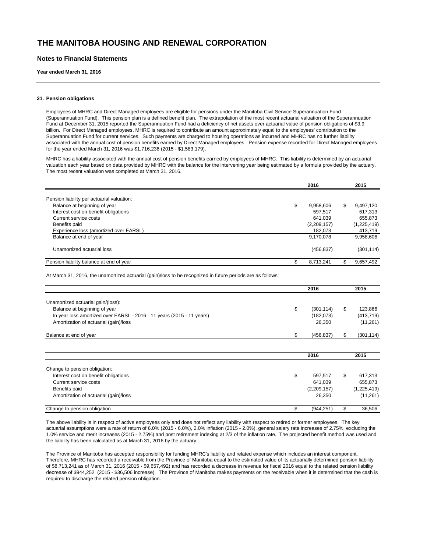# **Notes to Financial Statements**

**Year ended March 31, 2016**

### **21. Pension obligations**

Employees of MHRC and Direct Managed employees are eligible for pensions under the Manitoba Civil Service Superannuation Fund (Superannuation Fund). This pension plan is a defined benefit plan. The extrapolation of the most recent actuarial valuation of the Superannuation Fund at December 31, 2015 reported the Superannuation Fund had a deficiency of net assets over actuarial value of pension obligations of \$3.9 billion. For Direct Managed employees, MHRC is required to contribute an amount approximately equal to the employees' contribution to the Superannuation Fund for current services. Such payments are charged to housing operations as incurred and MHRC has no further liability associated with the annual cost of pension benefits earned by Direct Managed employees. Pension expense recorded for Direct Managed employees for the year ended March 31, 2016 was \$1,716,236 (2015 - \$1,583,179).

MHRC has a liability associated with the annual cost of pension benefits earned by employees of MHRC. This liability is determined by an actuarial valuation each year based on data provided by MHRC with the balance for the intervening year being estimated by a formula provided by the actuary. The most recent valuation was completed at March 31, 2016.

|                                            | 2016            |    | 2015        |
|--------------------------------------------|-----------------|----|-------------|
| Pension liability per actuarial valuation: |                 |    |             |
| Balance at beginning of year               | \$<br>9,958,606 | S. | 9,497,120   |
| Interest cost on benefit obligations       | 597,517         |    | 617.313     |
| Current service costs                      | 641.039         |    | 655,873     |
| Benefits paid                              | (2,209,157)     |    | (1,225,419) |
| Experience loss (amortized over EARSL)     | 182.073         |    | 413,719     |
| Balance at end of year                     | 9.170.078       |    | 9,958,606   |
| Unamortized actuarial loss                 | (456, 837)      |    | (301, 114)  |
| Pension liability balance at end of year   | 8,713,241       |    | 9,657,492   |

At March 31, 2016, the unamortized actuarial (gain)/loss to be recognized in future periods are as follows:

|                                                                       | 2016             |    |             |
|-----------------------------------------------------------------------|------------------|----|-------------|
| Unamortized actuarial gain/(loss):                                    |                  |    |             |
| Balance at beginning of year                                          | \$<br>(301, 114) | \$ | 123,866     |
| In year loss amortized over EARSL - 2016 - 11 years (2015 - 11 years) | (182, 073)       |    | (413, 719)  |
| Amortization of actuarial (gain)/loss                                 | 26,350           |    | (11, 261)   |
| Balance at end of year                                                | \$<br>(456,837)  |    | (301, 114)  |
|                                                                       |                  |    |             |
|                                                                       | 2016             |    | 2015        |
| Change to pension obligation:                                         |                  |    |             |
| Interest cost on benefit obligations                                  | \$<br>597,517    | \$ | 617,313     |
| Current service costs                                                 | 641,039          |    | 655,873     |
| Benefits paid                                                         | (2,209,157)      |    | (1,225,419) |
| Amortization of actuarial (gain)/loss                                 | 26,350           |    | (11, 261)   |
| Change to pension obligation                                          | \$<br>(944, 251) |    | 36,506      |

The above liability is in respect of active employees only and does not reflect any liability with respect to retired or former employees. The key actuarial assumptions were a rate of return of 6.0% (2015 - 6.0%), 2.0% inflation (2015 - 2.0%), general salary rate increases of 2.75%, excluding the 1.0% service and merit increases (2015 - 2.75%) and post retirement indexing at 2/3 of the inflation rate. The projected benefit method was used and the liability has been calculated as at March 31, 2016 by the actuary.

The Province of Manitoba has accepted responsibility for funding MHRC's liability and related expense which includes an interest component. Therefore, MHRC has recorded a receivable from the Province of Manitoba equal to the estimated value of its actuarially determined pension liability of \$8,713,241 as of March 31, 2016 (2015 - \$9,657,492) and has recorded a decrease in revenue for fiscal 2016 equal to the related pension liability decrease of \$944,252 (2015 - \$36,506 increase). The Province of Manitoba makes payments on the receivable when it is determined that the cash is required to discharge the related pension obligation.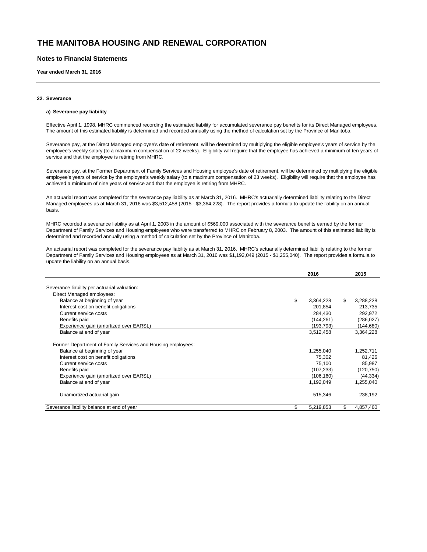# **Notes to Financial Statements**

**Year ended March 31, 2016**

### **22. Severance**

#### **a) Severance pay liability**

Effective April 1, 1998, MHRC commenced recording the estimated liability for accumulated severance pay benefits for its Direct Managed employees. The amount of this estimated liability is determined and recorded annually using the method of calculation set by the Province of Manitoba.

Severance pay, at the Direct Managed employee's date of retirement, will be determined by multiplying the eligible employee's years of service by the employee's weekly salary (to a maximum compensation of 22 weeks). Eligibility will require that the employee has achieved a minimum of ten years of service and that the employee is retiring from MHRC.

Severance pay, at the Former Department of Family Services and Housing employee's date of retirement, will be determined by multiplying the eligible employee's years of service by the employee's weekly salary (to a maximum compensation of 23 weeks). Eligibility will require that the employee has achieved a minimum of nine years of service and that the employee is retiring from MHRC.

An actuarial report was completed for the severance pay liability as at March 31, 2016. MHRC's actuarially determined liability relating to the Direct Managed employees as at March 31, 2016 was \$3,512,458 (2015 - \$3,364,228). The report provides a formula to update the liability on an annual basis.

MHRC recorded a severance liability as at April 1, 2003 in the amount of \$569,000 associated with the severance benefits earned by the former Department of Family Services and Housing employees who were transferred to MHRC on February 8, 2003. The amount of this estimated liability is determined and recorded annually using a method of calculation set by the Province of Manitoba.

An actuarial report was completed for the severance pay liability as at March 31, 2016. MHRC's actuarially determined liability relating to the former Department of Family Services and Housing employees as at March 31, 2016 was \$1,192,049 (2015 - \$1,255,040). The report provides a formula to update the liability on an annual basis.

|                                                             | 2016            |    | 2015       |  |
|-------------------------------------------------------------|-----------------|----|------------|--|
| Severance liability per actuarial valuation:                |                 |    |            |  |
| Direct Managed employees:                                   |                 |    |            |  |
|                                                             |                 |    |            |  |
| Balance at beginning of year                                | \$<br>3,364,228 | \$ | 3,288,228  |  |
| Interest cost on benefit obligations                        | 201,854         |    | 213,735    |  |
| Current service costs                                       | 284,430         |    | 292,972    |  |
| Benefits paid                                               | (144, 261)      |    | (286, 027) |  |
| Experience gain (amortized over EARSL)                      | (193,793)       |    | (144,680)  |  |
| Balance at end of year                                      | 3,512,458       |    | 3,364,228  |  |
| Former Department of Family Services and Housing employees: |                 |    |            |  |
| Balance at beginning of year                                | 1,255,040       |    | 1,252,711  |  |
| Interest cost on benefit obligations                        | 75,302          |    | 81,426     |  |
| Current service costs                                       | 75,100          |    | 85,987     |  |
| Benefits paid                                               | (107, 233)      |    | (120, 750) |  |
| Experience gain (amortized over EARSL)                      | (106,160)       |    | (44, 334)  |  |
| Balance at end of year                                      | 1,192,049       |    | 1,255,040  |  |
| Unamortized actuarial gain                                  | 515,346         |    | 238,192    |  |
| Severance liability balance at end of year                  | \$<br>5,219,853 | \$ | 4,857,460  |  |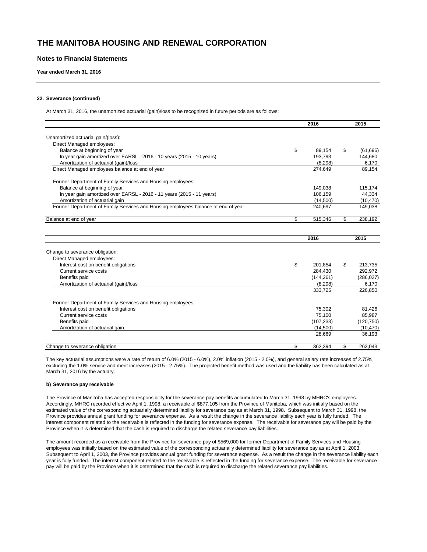# **Notes to Financial Statements**

**Year ended March 31, 2016**

# **22. Severance (continued)**

At March 31, 2016, the unamortized actuarial (gain)/loss to be recognized in future periods are as follows:

|                                                                                   |    | 2016                |    | 2015                |  |
|-----------------------------------------------------------------------------------|----|---------------------|----|---------------------|--|
| Unamortized actuarial gain/(loss):                                                |    |                     |    |                     |  |
| Direct Managed employees:                                                         |    |                     |    |                     |  |
| Balance at beginning of year                                                      | \$ | 89,154              | \$ | (61, 696)           |  |
| In year gain amortized over EARSL - 2016 - 10 years (2015 - 10 years)             |    | 193,793             |    | 144.680             |  |
| Amortization of actuarial (gain)/loss                                             |    | (8, 298)            |    | 6,170               |  |
| Direct Managed employees balance at end of year                                   |    | 274,649             |    | 89,154              |  |
|                                                                                   |    |                     |    |                     |  |
| Former Department of Family Services and Housing employees:                       |    |                     |    |                     |  |
| Balance at beginning of year                                                      |    | 149,038             |    | 115,174             |  |
| In year gain amortized over EARSL - 2016 - 11 years (2015 - 11 years)             |    | 106,159             |    | 44,334              |  |
| Amortization of actuarial gain                                                    |    | (14,500)            |    | (10, 470)           |  |
| Former Department of Family Services and Housing employees balance at end of year |    | 240.697             |    | 149,038             |  |
| Balance at end of year                                                            | \$ | 515,346             | \$ | 238,192             |  |
|                                                                                   |    |                     |    |                     |  |
|                                                                                   |    | 2016                |    | 2015                |  |
| Change to severance obligation:                                                   |    |                     |    |                     |  |
|                                                                                   |    |                     |    |                     |  |
| Direct Managed employees:                                                         |    |                     |    | 213.735             |  |
| Interest cost on benefit obligations<br>Current service costs                     | \$ | 201.854             | \$ |                     |  |
|                                                                                   |    | 284,430             |    | 292,972             |  |
| Benefits paid                                                                     |    | (144, 261)          |    | (286, 027)<br>6.170 |  |
| Amortization of actuarial (gain)/loss                                             |    | (8, 298)<br>333,725 |    | 226,850             |  |
|                                                                                   |    |                     |    |                     |  |
| Former Department of Family Services and Housing employees:                       |    |                     |    |                     |  |
| Interest cost on benefit obligations                                              |    | 75,302              |    | 81,426              |  |
| Current service costs                                                             |    | 75,100              |    | 85,987              |  |
| Benefits paid                                                                     |    | (107, 233)          |    | (120, 750)          |  |
| Amortization of actuarial gain                                                    |    | (14,500)            |    | (10, 470)           |  |
|                                                                                   |    | 28,669              |    | 36,193              |  |
| Change to severance obligation                                                    | \$ | 362.394             | \$ | 263.043             |  |

The key actuarial assumptions were a rate of return of 6.0% (2015 - 6.0%), 2.0% inflation (2015 - 2.0%), and general salary rate increases of 2.75%, excluding the 1.0% service and merit increases (2015 - 2.75%). The projected benefit method was used and the liability has been calculated as at March 31, 2016 by the actuary.

### **b) Severance pay receivable**

The Province of Manitoba has accepted responsibility for the severance pay benefits accumulated to March 31, 1998 by MHRC's employees. Accordingly, MHRC recorded effective April 1, 1998, a receivable of \$877,105 from the Province of Manitoba, which was initially based on the estimated value of the corresponding actuarially determined liability for severance pay as at March 31, 1998. Subsequent to March 31, 1998, the Province provides annual grant funding for severance expense. As a result the change in the severance liability each year is fully funded. The interest component related to the receivable is reflected in the funding for severance expense. The receivable for severance pay will be paid by the Province when it is determined that the cash is required to discharge the related severance pay liabilities.

The amount recorded as a receivable from the Province for severance pay of \$569,000 for former Department of Family Services and Housing employees was initially based on the estimated value of the corresponding actuarially determined liability for severance pay as at April 1, 2003. Subsequent to April 1, 2003, the Province provides annual grant funding for severance expense. As a result the change in the severance liability each year is fully funded. The interest component related to the receivable is reflected in the funding for severance expense. The receivable for severance pay will be paid by the Province when it is determined that the cash is required to discharge the related severance pay liabilities.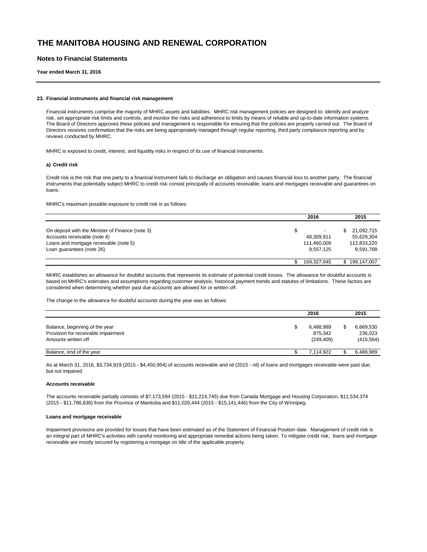# **Notes to Financial Statements**

**Year ended March 31, 2016**

### **23. Financial instruments and financial risk management**

Financial instruments comprise the majority of MHRC assets and liabilities. MHRC risk management policies are designed to: identify and analyze risk, set appropriate risk limits and controls, and monitor the risks and adherence to limits by means of reliable and up-to-date information systems. The Board of Directors approves these policies and management is responsible for ensuring that the policies are properly carried out. The Board of Directors receives confirmation that the risks are being appropriately managed through regular reporting, third party compliance reporting and by reviews conducted by MHRC.

MHRC is exposed to credit, interest, and liquidity risks in respect of its use of financial instruments.

### **a) Credit risk**

Credit risk is the risk that one party to a financial instrument fails to discharge an obligation and causes financial loss to another party. The financial instruments that potentially subject MHRC to credit risk consist principally of accounts receivable, loans and mortgages receivable and guarantees on loans.

MHRC's maximum possible exposure to credit risk is as follows:

|                                                  | 2016        | 2015             |
|--------------------------------------------------|-------------|------------------|
|                                                  |             |                  |
| On deposit with the Minister of Finance (note 3) |             | 21,092,715<br>S. |
| Accounts receivable (note 4)                     | 48,309,911  | 55,629,304       |
| Loans and mortgage receivable (note 5)           | 111,460,009 | 112,833,220      |
| Loan guarantees (note 26)                        | 9.557.125   | 9.591.768        |
|                                                  | 169,327,045 | \$199,147,007    |

MHRC establishes an allowance for doubtful accounts that represents its estimate of potential credit losses. The allowance for doubtful accounts is based on MHRC's estimates and assumptions regarding customer analysis, historical payment trends and statutes of limitations. These factors are considered when determining whether past due accounts are allowed for or written off.

The change in the allowance for doubtful accounts during the year was as follows:

|                                                                                              | 2016                               |  |                                    |
|----------------------------------------------------------------------------------------------|------------------------------------|--|------------------------------------|
| Balance, beginning of the year<br>Provision for receivable impairment<br>Amounts written off | 6.488.989<br>875.342<br>(249, 409) |  | 6,669,530<br>236,023<br>(416, 564) |
| Balance, end of the year                                                                     | 7.114.922                          |  | 6,488,989                          |

As at March 31, 2016, \$3,734,919 (2015 - \$4,450,954) of accounts receivable and nil (2015 - nil) of loans and mortgages receivable were past due, but not impaired.

#### **Accounts receivable**

The accounts receivable partially consists of \$7,173,594 (2015 - \$11,214,745) due from Canada Mortgage and Housing Corporation, \$11,534,374 (2015 - \$11,786,638) from the Province of Manitoba and \$11,020,444 (2015 - \$15,141,446) from the City of Winnipeg.

#### **Loans and mortgage receivable**

Impairment provisions are provided for losses that have been estimated as of the Statement of Financial Position date. Management of credit risk is an integral part of MHRC's activities with careful monitoring and appropriate remedial actions being taken. To mitigate credit risk, loans and mortgage recievable are mostly secured by registering a mortgage on title of the applicable property.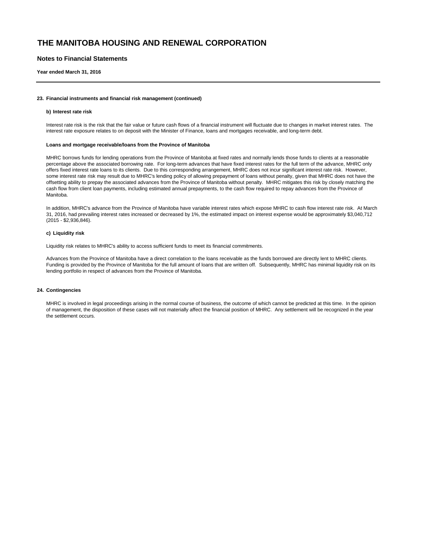# **Notes to Financial Statements**

**Year ended March 31, 2016**

#### **23. Financial instruments and financial risk management (continued)**

#### **b) Interest rate risk**

Interest rate risk is the risk that the fair value or future cash flows of a financial instrument will fluctuate due to changes in market interest rates. The interest rate exposure relates to on deposit with the Minister of Finance, loans and mortgages receivable, and long-term debt.

### **Loans and mortgage receivable/loans from the Province of Manitoba**

MHRC borrows funds for lending operations from the Province of Manitoba at fixed rates and normally lends those funds to clients at a reasonable percentage above the associated borrowing rate. For long-term advances that have fixed interest rates for the full term of the advance, MHRC only offers fixed interest rate loans to its clients. Due to this corresponding arrangement, MHRC does not incur significant interest rate risk. However, some interest rate risk may result due to MHRC's lending policy of allowing prepayment of loans without penalty, given that MHRC does not have the offsetting ability to prepay the associated advances from the Province of Manitoba without penalty. MHRC mitigates this risk by closely matching the cash flow from client loan payments, including estimated annual prepayments, to the cash flow required to repay advances from the Province of Manitoba.

In addition, MHRC's advance from the Province of Manitoba have variable interest rates which expose MHRC to cash flow interest rate risk. At March 31, 2016, had prevailing interest rates increased or decreased by 1%, the estimated impact on interest expense would be approximately \$3,040,712 (2015 - \$2,936,846).

#### **c) Liquidity risk**

Liquidity risk relates to MHRC's ability to access sufficient funds to meet its financial commitments.

Advances from the Province of Manitoba have a direct correlation to the loans receivable as the funds borrowed are directly lent to MHRC clients. Funding is provided by the Province of Manitoba for the full amount of loans that are written off. Subsequently, MHRC has minimal liquidity risk on its lending portfolio in respect of advances from the Province of Manitoba.

#### **24. Contingencies**

MHRC is involved in legal proceedings arising in the normal course of business, the outcome of which cannot be predicted at this time. In the opinion of management, the disposition of these cases will not materially affect the financial position of MHRC. Any settlement will be recognized in the year the settlement occurs.